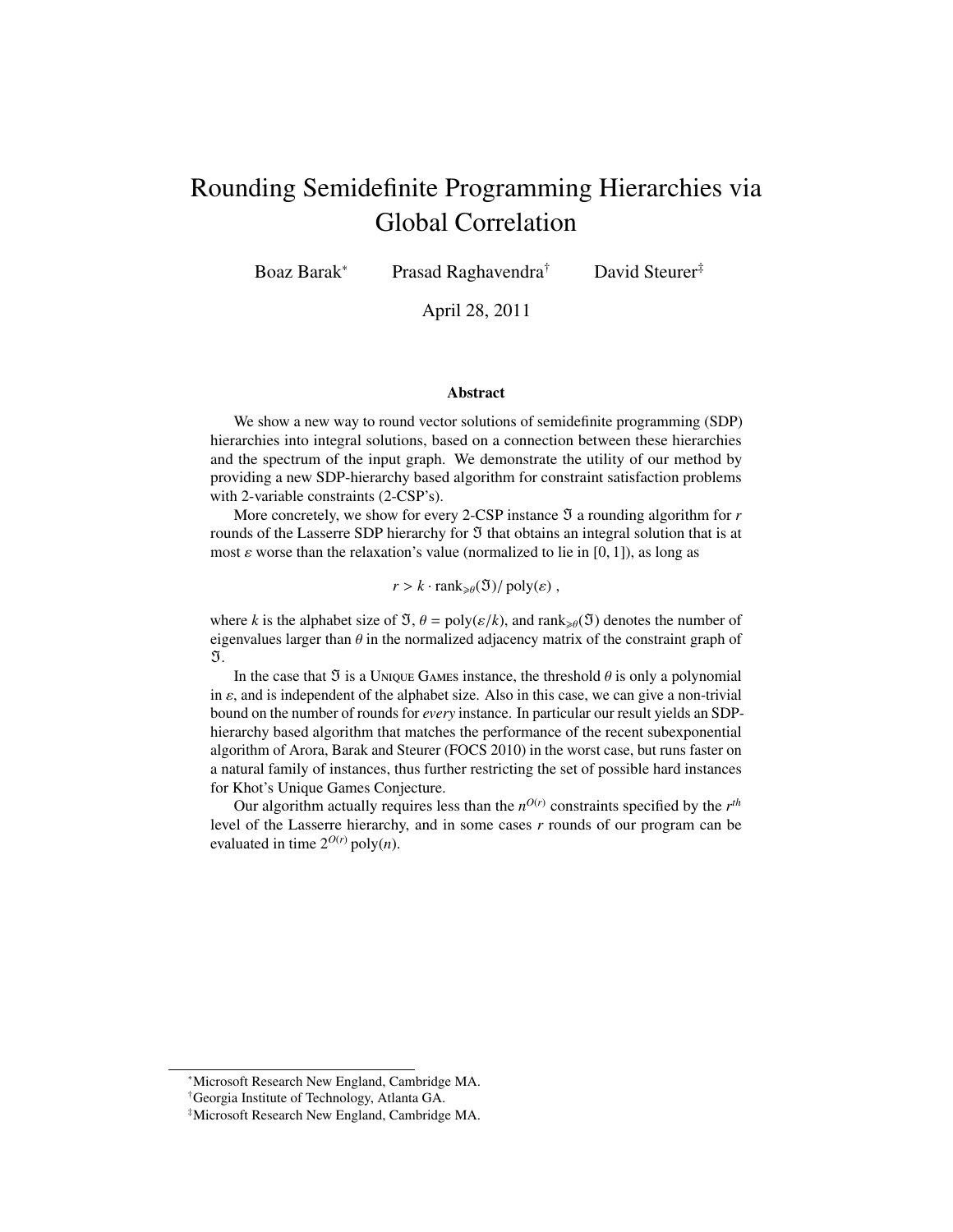# <span id="page-0-0"></span>Rounding Semidefinite Programming Hierarchies via Global Correlation

Boaz Barak<sup>∗</sup> Prasad Raghavendra† David Steurer‡

April 28, 2011

#### **Abstract**

We show a new way to round vector solutions of semidefinite programming (SDP) hierarchies into integral solutions, based on a connection between these hierarchies and the spectrum of the input graph. We demonstrate the utility of our method by providing a new SDP-hierarchy based algorithm for constraint satisfaction problems with 2-variable constraints (2-CSP's).

More concretely, we show for every 2-CSP instance  $\Im$  a rounding algorithm for  $r$ rounds of the Lasserre SDP hierarchy for  $\Im$  that obtains an integral solution that is at most  $\varepsilon$  worse than the relaxation's value (normalized to lie in [0, 1]), as long as

 $r > k \cdot \text{rank}_{\geq \theta}(\mathfrak{I})/\text{poly}(\varepsilon)$ ,

where *k* is the alphabet size of  $\mathfrak{I}, \theta = \text{poly}(\varepsilon/k)$ , and rank<sub> $\geq \theta$ </sub>( $\mathfrak{I}$ ) denotes the number of eigenvalues larger than  $\theta$  in the normalized adjacency matrix of the constraint graph of  $\mathfrak{I}.$ 

In the case that  $\Im$  is a Unique Games instance, the threshold  $\theta$  is only a polynomial in  $\varepsilon$ , and is independent of the alphabet size. Also in this case, we can give a non-trivial bound on the number of rounds for *every* instance. In particular our result yields an SDPhierarchy based algorithm that matches the performance of the recent subexponential algorithm of Arora, Barak and Steurer (FOCS 2010) in the worst case, but runs faster on a natural family of instances, thus further restricting the set of possible hard instances for Khot's Unique Games Conjecture.

Our algorithm actually requires less than the  $n^{O(r)}$  constraints specified by the  $r^{th}$ level of the Lasserre hierarchy, and in some cases *r* rounds of our program can be evaluated in time  $2^{O(r)}$  poly(*n*).

<sup>∗</sup>Microsoft Research New England, Cambridge MA.

<sup>†</sup>Georgia Institute of Technology, Atlanta GA.

<sup>‡</sup>Microsoft Research New England, Cambridge MA.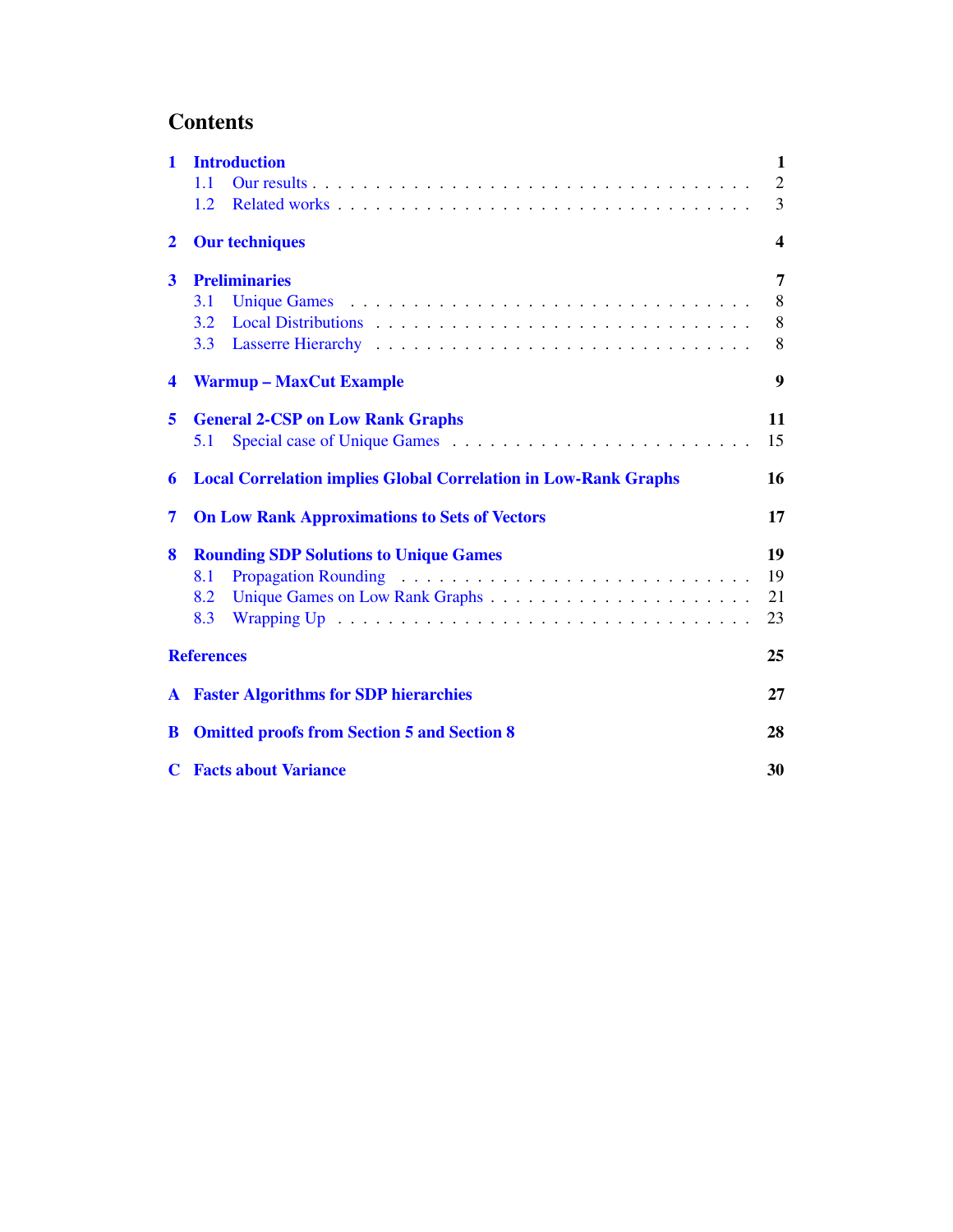# **Contents**

| 1                       | <b>Introduction</b>                                                    |                  |  |  |
|-------------------------|------------------------------------------------------------------------|------------------|--|--|
|                         | 11                                                                     | $\mathfrak{2}$   |  |  |
|                         | 1.2                                                                    | 3                |  |  |
| $\mathbf{2}$            | <b>Our techniques</b>                                                  | $\boldsymbol{4}$ |  |  |
| $\overline{\mathbf{3}}$ | <b>Preliminaries</b>                                                   | 7                |  |  |
|                         | 3.1                                                                    | 8                |  |  |
|                         | 3.2                                                                    | 8                |  |  |
|                         | 3.3                                                                    | 8                |  |  |
| $\blacktriangleleft$    | <b>Warmup – MaxCut Example</b>                                         | 9                |  |  |
| 5                       | <b>General 2-CSP on Low Rank Graphs</b>                                | 11               |  |  |
|                         | 5.1                                                                    | 15               |  |  |
| 6                       | <b>Local Correlation implies Global Correlation in Low-Rank Graphs</b> |                  |  |  |
| 7                       | <b>On Low Rank Approximations to Sets of Vectors</b>                   |                  |  |  |
| 8                       | <b>Rounding SDP Solutions to Unique Games</b>                          | 19               |  |  |
|                         | 8.1                                                                    | 19               |  |  |
|                         | 8.2                                                                    | 21               |  |  |
|                         | 8.3                                                                    | 23               |  |  |
|                         | <b>References</b>                                                      | 25               |  |  |
|                         | <b>A</b> Faster Algorithms for SDP hierarchies                         |                  |  |  |
| B                       | <b>Omitted proofs from Section 5 and Section 8</b>                     |                  |  |  |
|                         | <b>C</b> Facts about Variance                                          |                  |  |  |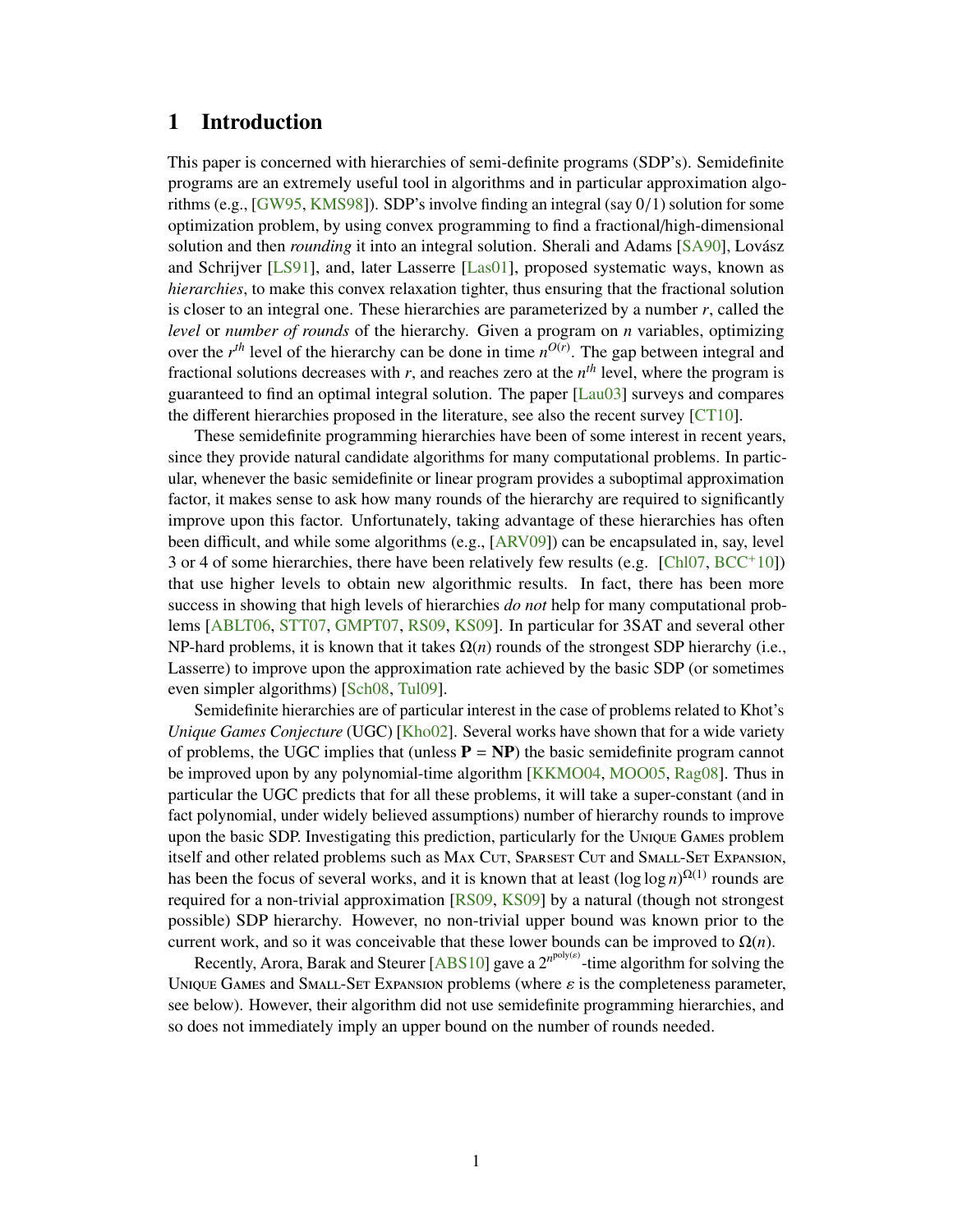# <span id="page-2-0"></span>1 Introduction

This paper is concerned with hierarchies of semi-definite programs (SDP's). Semidefinite programs are an extremely useful tool in algorithms and in particular approximation algorithms (e.g., [\[GW95,](#page-27-0) [KMS98\]](#page-27-1)). SDP's involve finding an integral (say <sup>0</sup>/1) solution for some optimization problem, by using convex programming to find a fractional/high-dimensional solution and then *rounding* it into an integral solution. Sherali and Adams [\[SA90\]](#page-28-1), Lovász and Schrijver [\[LS91\]](#page-27-2), and, later Lasserre [\[Las01\]](#page-27-3), proposed systematic ways, known as *hierarchies*, to make this convex relaxation tighter, thus ensuring that the fractional solution is closer to an integral one. These hierarchies are parameterized by a number *r*, called the *level* or *number of rounds* of the hierarchy. Given a program on *n* variables, optimizing over the  $r^{th}$  level of the hierarchy can be done in time  $n^{O(r)}$ . The gap between integral and fractional solutions decreases with  $r$ , and reaches zero at the  $n<sup>th</sup>$  level, where the program is guaranteed to find an optimal integral solution. The paper [\[Lau03\]](#page-27-4) surveys and compares the different hierarchies proposed in the literature, see also the recent survey [\[CT10\]](#page-26-1).

These semidefinite programming hierarchies have been of some interest in recent years, since they provide natural candidate algorithms for many computational problems. In particular, whenever the basic semidefinite or linear program provides a suboptimal approximation factor, it makes sense to ask how many rounds of the hierarchy are required to significantly improve upon this factor. Unfortunately, taking advantage of these hierarchies has often been difficult, and while some algorithms (e.g., [\[ARV09\]](#page-26-2)) can be encapsulated in, say, level 3 or 4 of some hierarchies, there have been relatively few results (e.g.  $[Ch 107, BCC^+10]$  $[Ch 107, BCC^+10]$  $[Ch 107, BCC^+10]$ ) that use higher levels to obtain new algorithmic results. In fact, there has been more success in showing that high levels of hierarchies *do not* help for many computational problems [\[ABLT06,](#page-26-5) [STT07,](#page-28-2) [GMPT07,](#page-26-6) [RS09,](#page-28-3) [KS09\]](#page-27-5). In particular for 3SAT and several other NP-hard problems, it is known that it takes  $\Omega(n)$  rounds of the strongest SDP hierarchy (i.e., Lasserre) to improve upon the approximation rate achieved by the basic SDP (or sometimes even simpler algorithms) [\[Sch08,](#page-28-4) [Tul09\]](#page-28-5).

Semidefinite hierarchies are of particular interest in the case of problems related to Khot's *Unique Games Conjecture* (UGC) [\[Kho02\]](#page-27-6). Several works have shown that for a wide variety of problems, the UGC implies that (unless  $P = NP$ ) the basic semidefinite program cannot be improved upon by any polynomial-time algorithm [\[KKMO04,](#page-27-7) [MOO05,](#page-27-8) [Rag08\]](#page-28-6). Thus in particular the UGC predicts that for all these problems, it will take a super-constant (and in fact polynomial, under widely believed assumptions) number of hierarchy rounds to improve upon the basic SDP. Investigating this prediction, particularly for the Unique Games problem itself and other related problems such as MAX CUT, SPARSEST CUT and SMALL-SET EXPANSION, has been the focus of several works, and it is known that at least  $(\log \log n)^{\Omega(1)}$  rounds are required for a non-trivial approximation [\[RS09,](#page-28-3) [KS09\]](#page-27-5) by a natural (though not strongest possible) SDP hierarchy. However, no non-trivial upper bound was known prior to the current work, and so it was conceivable that these lower bounds can be improved to  $\Omega(n)$ .

Recently, Arora, Barak and Steurer [\[ABS10\]](#page-26-7) gave a 2<sup>npoly(s)</sup>-time algorithm for solving the UNIQUE GAMES and SMALL-SET EXPANSION problems (where  $\varepsilon$  is the completeness parameter, see below). However, their algorithm did not use semidefinite programming hierarchies, and so does not immediately imply an upper bound on the number of rounds needed.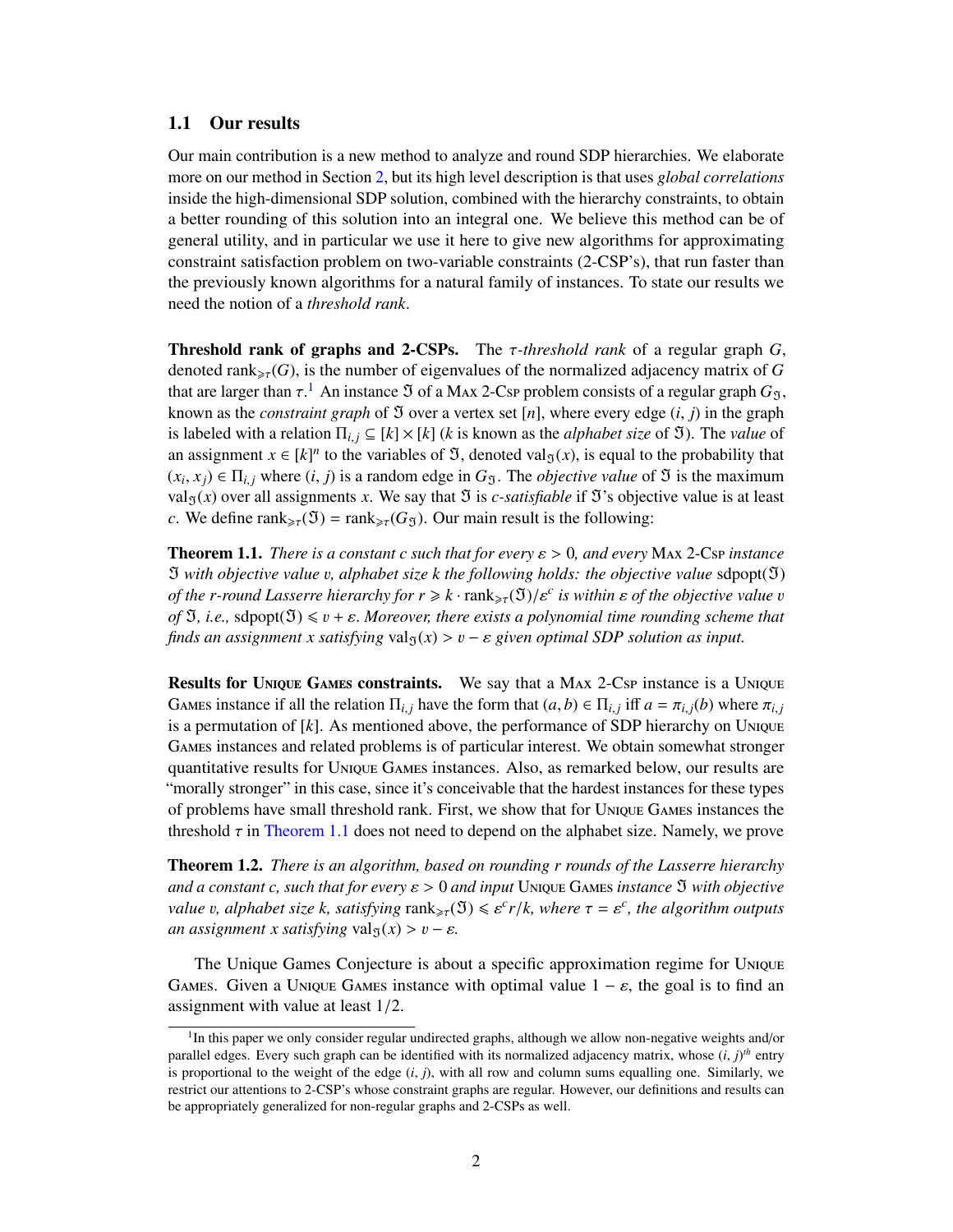#### <span id="page-3-0"></span>1.1 Our results

Our main contribution is a new method to analyze and round SDP hierarchies. We elaborate more on our method in Section [2,](#page-5-0) but its high level description is that uses *global correlations* inside the high-dimensional SDP solution, combined with the hierarchy constraints, to obtain a better rounding of this solution into an integral one. We believe this method can be of general utility, and in particular we use it here to give new algorithms for approximating constraint satisfaction problem on two-variable constraints (2-CSP's), that run faster than the previously known algorithms for a natural family of instances. To state our results we need the notion of a *threshold rank*.

Threshold rank of graphs and 2-CSPs. The τ*-threshold rank* of a regular graph *<sup>G</sup>*, denoted rank<sub> $\geq \tau$ </sub> $(G)$ , is the number of eigenvalues of the normalized adjacency matrix of G that are larger than  $\tau$ .<sup>[1](#page-3-1)</sup> An instance  $\Im$  of a Max 2-Csp problem consists of a regular graph  $G_{\Im}$ ,<br>known as the constraint graph of  $\Im$  over a vertex set [n], where every edge (*i*, *i*) in the graph known as the *constraint graph* of  $\Im$  over a vertex set [n], where every edge  $(i, j)$  in the graph is labeled with a relation  $\Pi_{i,j} \subseteq [k] \times [k]$  (*k* is known as the *alphabet size* of  $\mathfrak{I}$ ). The *value* of an assignment  $x \in [k]^n$  to the variables of  $\mathfrak{I}$ , denoted val<sub> $\mathfrak{I}(x)$ </sub>, is equal to the probability that  $(x_i, x_j) \in \Pi_{i,j}$  where  $(i, j)$  is a random edge in  $G_{\mathcal{F}}$ . The *objective value* of  $\mathcal{F}$  is the maximum value (*x*) over all assignments *x*. We say that  $\mathcal{F}$  is *c* satisfiable if  $\mathcal{F}$ 's objective value is val<sub>3</sub>(*x*) over all assignments *x*. We say that  $\Im$  is *c*-*satisfiable* if  $\Im$ 's objective value is at least *c*. We define rank<sub> $\geq \tau$ </sub>( $\Im$ ) = rank $\geq \tau$ (*G* $\Im$ ). Our main result is the following:

<span id="page-3-2"></span>**Theorem 1.1.** *There is a constant c such that for every*  $\varepsilon > 0$ , and every MAx 2-Csp *instance*  $\mathfrak I$  with objective value v, alphabet size k the following holds: the objective value sdpopt( $\mathfrak I$ ) *of the r-round Lasserre hierarchy for*  $r \geq k \cdot \text{rank}_{\geq 7}(\mathfrak{I})/\varepsilon^c$  *is within*  $\varepsilon$  *of the objective value v*<br>of  $\mathfrak{I}$ , *i.e.*, sdpopt( $\mathfrak{I}$ )  $\leq r + \varepsilon$ . Moreover, there exists a polynomial time roundi *of*  $\mathfrak{I}$ , *i.e.*, sdpopt $(\mathfrak{I}) \leq v + \varepsilon$ . *Moreover, there exists a polynomial time rounding scheme that finds an assignment x satisfying* val<sub> $5(x)$ </sub> >  $v - \varepsilon$  *given optimal SDP solution as input.* 

Results for Unique Games constraints. We say that a MAX 2-Csp instance is a Unique GAMES instance if all the relation  $\Pi_{i,j}$  have the form that  $(a, b) \in \Pi_{i,j}$  iff  $a = \pi_{i,j}(b)$  where  $\pi_{i,j}$  is a permutation of  $[k]$ . As mentioned above, the performance of SDP hierarchy on UNIQUE is a permutation of [*k*]. As mentioned above, the performance of SDP hierarchy on Unique Games instances and related problems is of particular interest. We obtain somewhat stronger quantitative results for Unique Games instances. Also, as remarked below, our results are "morally stronger" in this case, since it's conceivable that the hardest instances for these types of problems have small threshold rank. First, we show that for Unique Games instances the threshold  $\tau$  in [Theorem 1.1](#page-3-2) does not need to depend on the alphabet size. Namely, we prove

<span id="page-3-3"></span>Theorem 1.2. *There is an algorithm, based on rounding r rounds of the Lasserre hierarchy and a constant c, such that for every*  $\varepsilon > 0$  *and input* Unique Games *instance*  $\Im$  *with objective value v, alphabet size k, satisfying*  $\text{rank}_{\geq \tau}(\mathfrak{I}) \leq \varepsilon^c r/k$ , where  $\tau = \varepsilon^c$ , the algorithm outputs an assignment x satisfying  $\text{val}_{\geq r}(x) > n - \varepsilon$ *an assignment x satisfying* val $g(x) > v - \varepsilon$ *.* 

The Unique Games Conjecture is about a specific approximation regime for Unique GAMES. Given a UNIQUE GAMES instance with optimal value  $1 - \varepsilon$ , the goal is to find an assignment with value at least 1/2.

<span id="page-3-1"></span><sup>&</sup>lt;sup>1</sup>In this paper we only consider regular undirected graphs, although we allow non-negative weights and/or parallel edges. Every such graph can be identified with its normalized adjacency matrix, whose  $(i, j)^{th}$  entry is proportional to the weight of the edge  $(i, j)$  with all row and column sums equalling one. Similarly, we is proportional to the weight of the edge (*i*, *<sup>j</sup>*), with all row and column sums equalling one. Similarly, we restrict our attentions to 2-CSP's whose constraint graphs are regular. However, our definitions and results can be appropriately generalized for non-regular graphs and 2-CSPs as well.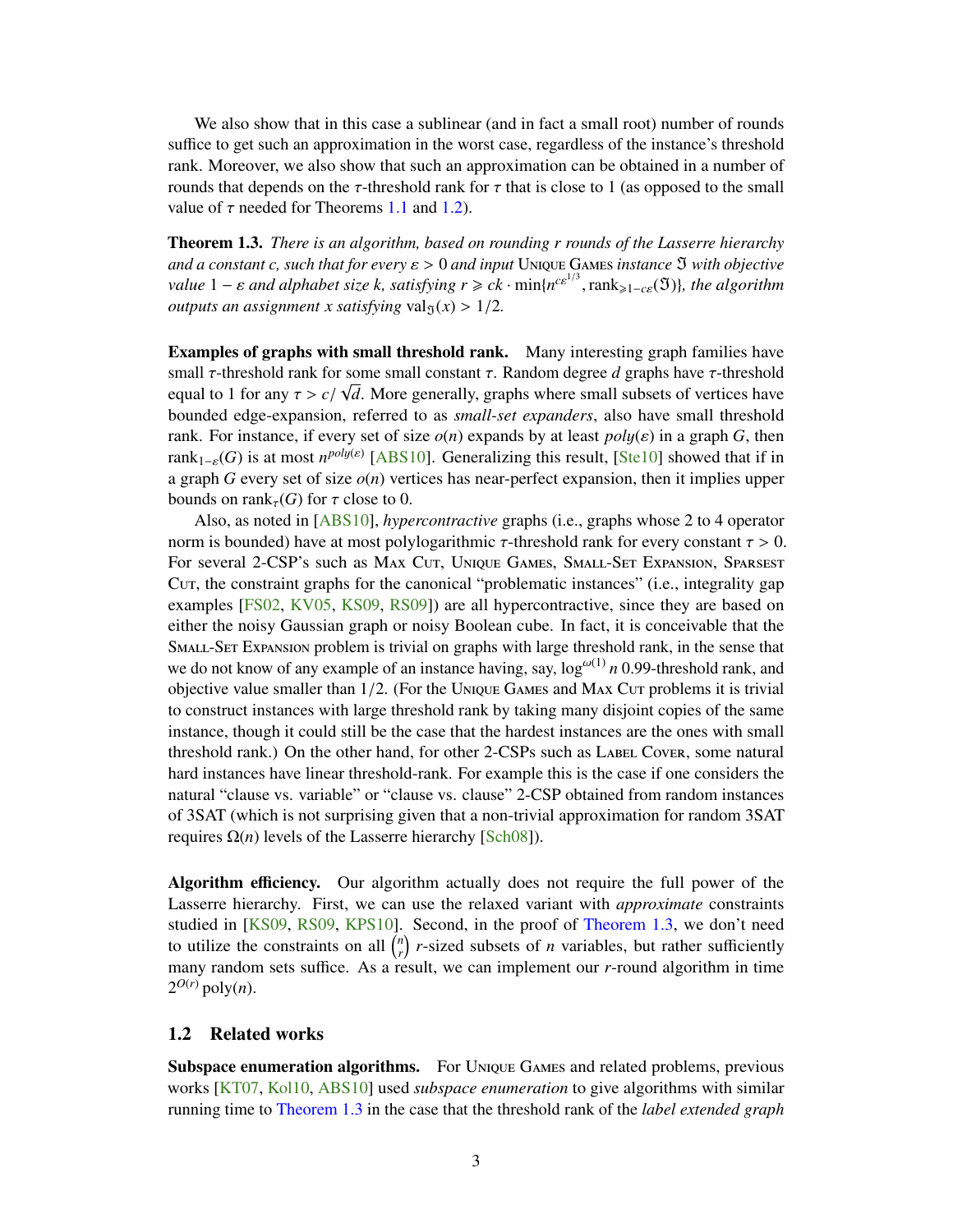<span id="page-4-2"></span>We also show that in this case a sublinear (and in fact a small root) number of rounds suffice to get such an approximation in the worst case, regardless of the instance's threshold rank. Moreover, we also show that such an approximation can be obtained in a number of rounds that depends on the  $\tau$ -threshold rank for  $\tau$  that is close to 1 (as opposed to the small value of  $\tau$  needed for Theorems [1.1](#page-3-2) and [1.2\)](#page-3-3).

<span id="page-4-1"></span>Theorem 1.3. *There is an algorithm, based on rounding r rounds of the Lasserre hierarchy and a constant c, such that for every*  $\varepsilon > 0$  *and input* Unique Games *instance*  $\Im$  *with objective value*  $1 - \varepsilon$  *and alphabet size k, satisfying*  $r \ge c k \cdot \min\{n^{c\epsilon^{1/3}}, \text{rank}_{\geq 1 - c\epsilon}(\mathfrak{I})\}$ *, the algorithm* outputs an assignment x satisfying  $y_2 l_x(x) > 1/2$ *outputs an assignment x satisfying* val<sub> $5(x)$ </sub> > 1/2*.* 

Examples of graphs with small threshold rank. Many interesting graph families have small  $\tau$ -threshold rank for some small constant  $\tau$ . Random degree *d* graphs have  $\tau$ -threshold<br>equal to 1 for any  $\tau > c/\sqrt{d}$ . More generally, graphs where small subsets of vertices have equal to 1 for any  $\tau > c/\sqrt{d}$ . More generally, graphs where small subsets of vertices have<br>bounded edge-expansion, referred to as *small-set expanders*, also have small threshold bounded edge-expansion, referred to as *small-set expanders*, also have small threshold rank. For instance, if every set of size  $o(n)$  expands by at least  $poly(\varepsilon)$  in a graph *G*, then  $rank_{1-\varepsilon}(G)$  is at most  $n^{poly(\varepsilon)}$  [\[ABS10\]](#page-26-7). Generalizing this result, [\[Ste10\]](#page-28-7) showed that if in a graph *G* every set of size  $o(n)$  vertices has near-perfect expansion, then it implies upper bounds on rank<sub> $\tau$ </sub>(*G*) for  $\tau$  close to 0.

Also, as noted in [\[ABS10\]](#page-26-7), *hypercontractive* graphs (i.e., graphs whose 2 to 4 operator norm is bounded) have at most polylogarithmic  $τ$ -threshold rank for every constant  $τ > 0$ . For several 2-CSP's such as Max Cut, Unique Games, Small-Set Expansion, Sparsest Cut, the constraint graphs for the canonical "problematic instances" (i.e., integrality gap examples [\[FS02,](#page-26-8) [KV05,](#page-27-9) [KS09,](#page-27-5) [RS09\]](#page-28-3)) are all hypercontractive, since they are based on either the noisy Gaussian graph or noisy Boolean cube. In fact, it is conceivable that the SMALL-SET EXPANSION problem is trivial on graphs with large threshold rank, in the sense that we do not know of any example of an instance having, say,  $log^{\omega(1)} n 0.99$ -threshold rank, and objective value smaller than  $1/2$ . (For the Unique Games and Max Cur problems it is trivial to construct instances with large threshold rank by taking many disjoint copies of the same instance, though it could still be the case that the hardest instances are the ones with small threshold rank.) On the other hand, for other 2-CSPs such as LABEL Cover, some natural hard instances have linear threshold-rank. For example this is the case if one considers the natural "clause vs. variable" or "clause vs. clause" 2-CSP obtained from random instances of 3SAT (which is not surprising given that a non-trivial approximation for random 3SAT requires  $Ω(n)$  levels of the Lasserre hierarchy [\[Sch08\]](#page-28-4)).

Algorithm efficiency. Our algorithm actually does not require the full power of the Lasserre hierarchy. First, we can use the relaxed variant with *approximate* constraints studied in [\[KS09,](#page-27-5) [RS09,](#page-28-3) [KPS10\]](#page-27-10). Second, in the proof of [Theorem 1.3,](#page-4-1) we don't need to utilize the constraints on all  $\binom{n}{r}$  $\binom{n}{r}$  *r*-sized subsets of *n* variables, but rather sufficiently many random sets suffice. As a result, we can implement our *r*-round algorithm in time  $2^{O(r)}$  poly $(n)$ .

#### <span id="page-4-0"></span>1.2 Related works

Subspace enumeration algorithms. For Unique Games and related problems, previous works [\[KT07,](#page-27-11) [Kol10,](#page-27-12) [ABS10\]](#page-26-7) used *subspace enumeration* to give algorithms with similar running time to [Theorem 1.3](#page-4-1) in the case that the threshold rank of the *label extended graph*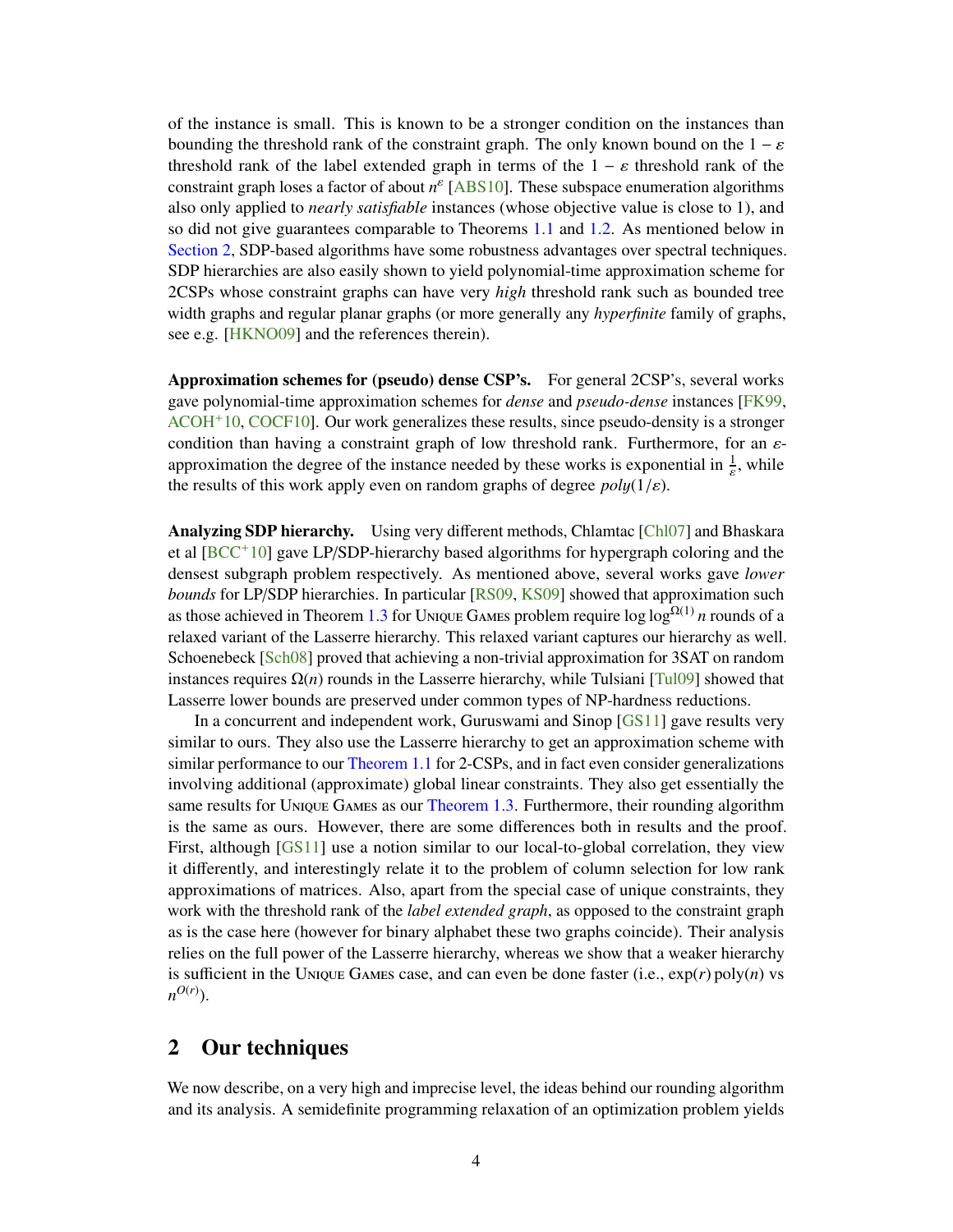<span id="page-5-1"></span>of the instance is small. This is known to be a stronger condition on the instances than bounding the threshold rank of the constraint graph. The only known bound on the  $1 - \varepsilon$ threshold rank of the label extended graph in terms of the  $1 - \varepsilon$  threshold rank of the constraint graph loses a factor of about *n* ε [\[ABS10\]](#page-26-7). These subspace enumeration algorithms also only applied to *nearly satisfiable* instances (whose objective value is close to 1), and so did not give guarantees comparable to Theorems [1.1](#page-3-2) and [1.2.](#page-3-3) As mentioned below in [Section 2,](#page-5-0) SDP-based algorithms have some robustness advantages over spectral techniques. SDP hierarchies are also easily shown to yield polynomial-time approximation scheme for 2CSPs whose constraint graphs can have very *high* threshold rank such as bounded tree width graphs and regular planar graphs (or more generally any *hyperfinite* family of graphs, see e.g. [\[HKNO09\]](#page-27-13) and the references therein).

Approximation schemes for (pseudo) dense CSP's. For general 2CSP's, several works gave polynomial-time approximation schemes for *dense* and *pseudo-dense* instances [\[FK99,](#page-26-9) [ACOH](#page-26-10)+10, [COCF10\]](#page-26-11). Our work generalizes these results, since pseudo-density is a stronger condition than having a constraint graph of low threshold rank. Furthermore, for an  $\varepsilon$ approximation the degree of the instance needed by these works is exponential in  $\frac{1}{s}$ , while the results of this work apply even on random graphs of degree  $poly(1/\varepsilon)$ .

Analyzing SDP hierarchy. Using very different methods, Chlamtac [\[Chl07\]](#page-26-3) and Bhaskara et al [\[BCC](#page-26-4)+10] gave LP/SDP-hierarchy based algorithms for hypergraph coloring and the densest subgraph problem respectively. As mentioned above, several works gave *lower bounds* for LP/SDP hierarchies. In particular [\[RS09,](#page-28-3) [KS09\]](#page-27-5) showed that approximation such as those achieved in Theorem [1.3](#page-4-1) for Unique Games problem require  $\log \log^{\Omega(1)} n$  rounds of a relaxed variant of the Lasserre hierarchy. This relaxed variant captures our hierarchy as well. Schoenebeck [\[Sch08\]](#page-28-4) proved that achieving a non-trivial approximation for 3SAT on random instances requires  $\Omega(n)$  rounds in the Lasserre hierarchy, while Tulsiani [\[Tul09\]](#page-28-5) showed that Lasserre lower bounds are preserved under common types of NP-hardness reductions.

In a concurrent and independent work, Guruswami and Sinop [\[GS11\]](#page-27-14) gave results very similar to ours. They also use the Lasserre hierarchy to get an approximation scheme with similar performance to our [Theorem 1.1](#page-3-2) for 2-CSPs, and in fact even consider generalizations involving additional (approximate) global linear constraints. They also get essentially the same results for Unique Games as our [Theorem 1.3.](#page-4-1) Furthermore, their rounding algorithm is the same as ours. However, there are some differences both in results and the proof. First, although [\[GS11\]](#page-27-14) use a notion similar to our local-to-global correlation, they view it differently, and interestingly relate it to the problem of column selection for low rank approximations of matrices. Also, apart from the special case of unique constraints, they work with the threshold rank of the *label extended graph*, as opposed to the constraint graph as is the case here (however for binary alphabet these two graphs coincide). Their analysis relies on the full power of the Lasserre hierarchy, whereas we show that a weaker hierarchy is sufficient in the Unique Games case, and can even be done faster (i.e., exp(*r*) poly(*n*) vs  $n^{O(r)}$ ).

### <span id="page-5-0"></span>2 Our techniques

We now describe, on a very high and imprecise level, the ideas behind our rounding algorithm and its analysis. A semidefinite programming relaxation of an optimization problem yields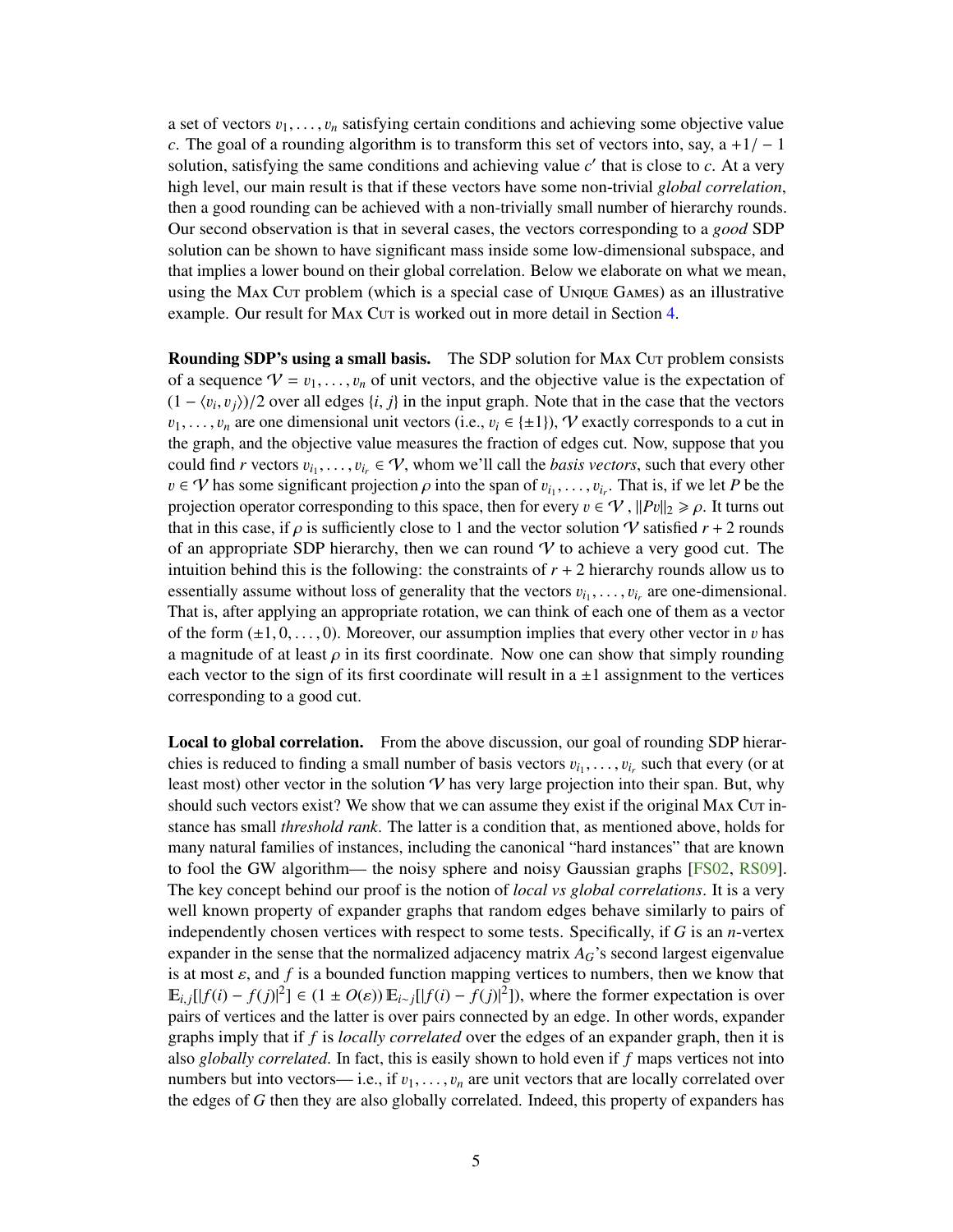<span id="page-6-0"></span>a set of vectors  $v_1, \ldots, v_n$  satisfying certain conditions and achieving some objective value *c*. The goal of a rounding algorithm is to transform this set of vectors into, say,  $a + 1/ - 1$ solution, satisfying the same conditions and achieving value  $c'$  that is close to  $c$ . At a very high level, our main result is that if these vectors have some non-trivial *global correlation*, then a good rounding can be achieved with a non-trivially small number of hierarchy rounds. Our second observation is that in several cases, the vectors corresponding to a *good* SDP solution can be shown to have significant mass inside some low-dimensional subspace, and that implies a lower bound on their global correlation. Below we elaborate on what we mean, using the Max Cut problem (which is a special case of Unique Games) as an illustrative example. Our result for MAX Cut is worked out in more detail in Section [4.](#page-10-0)

Rounding SDP's using a small basis. The SDP solution for MAX Cur problem consists of a sequence  $V = v_1, \ldots, v_n$  of unit vectors, and the objective value is the expectation of  $(1 - \langle v_i, v_j \rangle)/2$  over all edges  $\{i, j\}$  in the input graph. Note that in the case that the vectors  $v_i$ ,  $v_j$  are one dimensional unit vectors  $(i, e, v_j \in J+1)$ . We exactly corresponds to a cut in  $v_1, \ldots, v_n$  are one dimensional unit vectors (i.e.,  $v_i \in \{\pm 1\}$ ), V exactly corresponds to a cut in the graph, and the objective value measures the fraction of edges cut. Now, suppose that you could find *r* vectors  $v_{i_1}, \ldots, v_{i_r} \in V$ , whom we'll call the *basis vectors*, such that every other  $v \in V$  has some significant projection  $\alpha$  into the span of  $v_i$ . That is if we let *P* be the  $v \in \mathcal{V}$  has some significant projection  $\rho$  into the span of  $v_{i_1}, \ldots, v_{i_r}$ . That is, if we let *P* be the projection operator corresponding to this space, then for every  $v \in \mathcal{U}$ ,  $||P_v||_2 > \rho$ . It turns out projection operator corresponding to this space, then for every  $v \in \mathcal{V}$ ,  $||Pv||_2 \ge \rho$ . It turns out that in this case, if  $\rho$  is sufficiently close to 1 and the vector solution V satisfied  $r + 2$  rounds of an appropriate SDP hierarchy, then we can round  $\mathcal V$  to achieve a very good cut. The intuition behind this is the following: the constraints of  $r + 2$  hierarchy rounds allow us to essentially assume without loss of generality that the vectors  $v_{i_1}, \ldots, v_{i_r}$  are one-dimensional.<br>That is after applying an appropriate ratation, we can think of each one of them as a vector. That is, after applying an appropriate rotation, we can think of each one of them as a vector of the form  $(\pm 1, 0, \ldots, 0)$ . Moreover, our assumption implies that every other vector in v has a magnitude of at least  $\rho$  in its first coordinate. Now one can show that simply rounding each vector to the sign of its first coordinate will result in  $a \pm 1$  assignment to the vertices corresponding to a good cut.

Local to global correlation. From the above discussion, our goal of rounding SDP hierarchies is reduced to finding a small number of basis vectors  $v_{i_1}, \ldots, v_{i_r}$  such that every (or at least most) other vector in the solution  $\mathcal{V}$  has very large projection into their span. But why least most) other vector in the solution  $V$  has very large projection into their span. But, why should such vectors exist? We show that we can assume they exist if the original MAX Cut instance has small *threshold rank*. The latter is a condition that, as mentioned above, holds for many natural families of instances, including the canonical "hard instances" that are known to fool the GW algorithm— the noisy sphere and noisy Gaussian graphs [\[FS02,](#page-26-8) [RS09\]](#page-28-3). The key concept behind our proof is the notion of *local vs global correlations*. It is a very well known property of expander graphs that random edges behave similarly to pairs of independently chosen vertices with respect to some tests. Specifically, if *G* is an *n*-vertex expander in the sense that the normalized adjacency matrix  $A_G$ 's second largest eigenvalue is at most  $\varepsilon$ , and  $f$  is a bounded function mapping vertices to numbers, then we know that  $E_{i,j}[[f(i) - f(j)]^2]$  ∈ (1 ±  $O(\varepsilon)$ )  $E_{i \sim j}[[f(i) - f(j)]^2]$ ), where the former expectation is over<br>pairs of vertices and the latter is over pairs connected by an edge. In other words, expander pairs of vertices and the latter is over pairs connected by an edge. In other words, expander graphs imply that if *f* is *locally correlated* over the edges of an expander graph, then it is also *globally correlated*. In fact, this is easily shown to hold even if *f* maps vertices not into numbers but into vectors— i.e., if  $v_1, \ldots, v_n$  are unit vectors that are locally correlated over the edges of *G* then they are also globally correlated. Indeed, this property of expanders has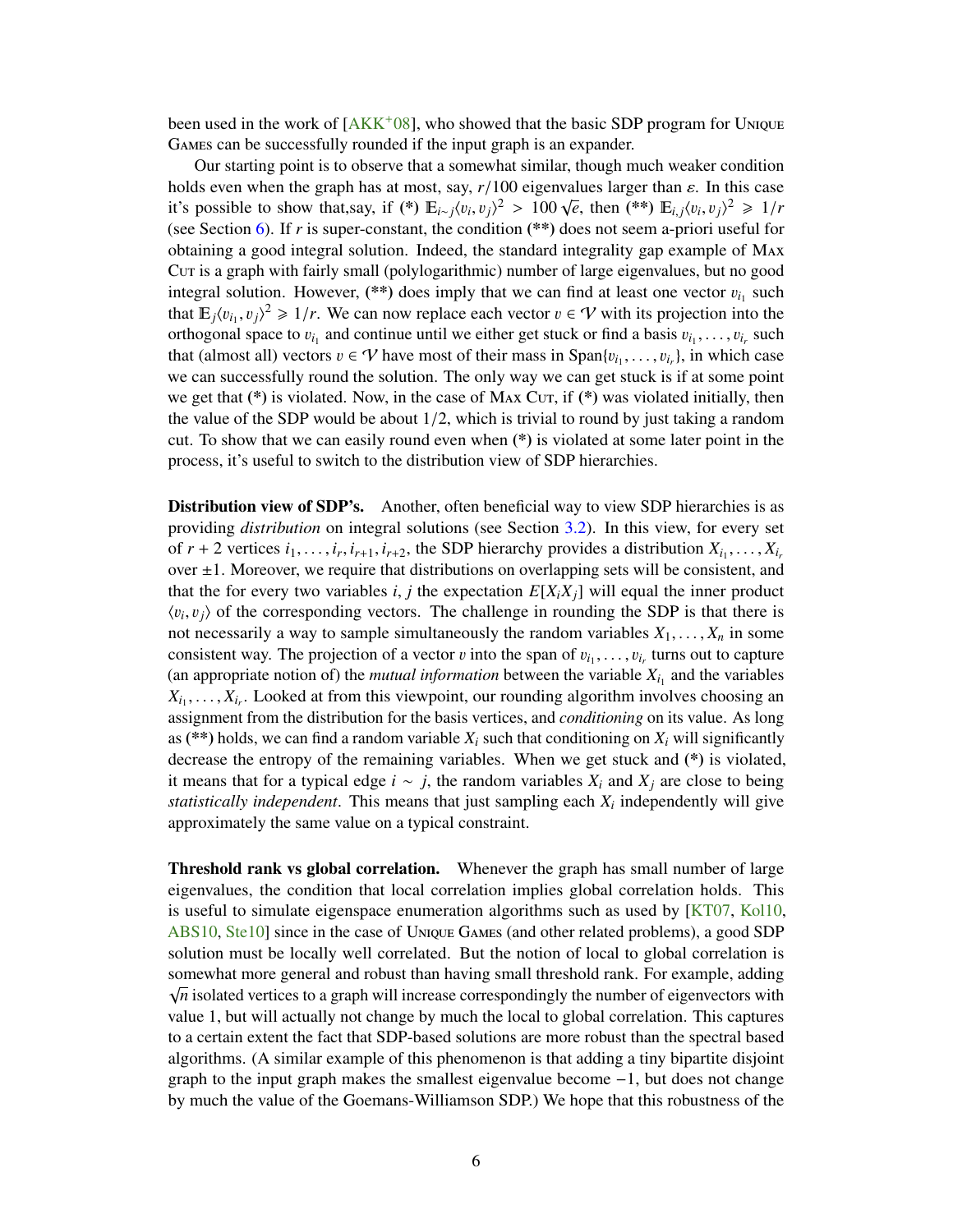<span id="page-7-0"></span>been used in the work of  $[AKK^+08]$  $[AKK^+08]$ , who showed that the basic SDP program for Unique Games can be successfully rounded if the input graph is an expander.

Our starting point is to observe that a somewhat similar, though much weaker condition holds even when the graph has at most, say,  $r/100$  eigenvalues larger than  $\varepsilon$ . In this case it's possible to show that,say, if (\*)  $E_{i\rightarrow j}(v_i, v_j)^2 > 100 \sqrt{e}$ , then (\*\*)  $E_{i,j}(v_i, v_j)^2 \ge 1/r$ <br>(see Section 6) If r is super constant, the condition (\*\*) does not seem a priori useful for (see Section [6\)](#page-17-0). If *r* is super-constant, the condition (\*\*) does not seem a-priori useful for obtaining a good integral solution. Indeed, the standard integrality gap example of Max Cut is a graph with fairly small (polylogarithmic) number of large eigenvalues, but no good integral solution. However, (\*\*) does imply that we can find at least one vector  $v_{i_1}$  such that  $\mathbb{E} |v_{i_1}|$   $\leq$   $\mathbb{E} |v_{i_2}|$   $\leq$   $\mathbb{E} |v_{i_3}|$   $\leq$   $\mathbb{E} |v_{i_4}|$   $\leq$   $\mathbb{E} |v_{i_5}|$  and  $\mathbb{E} |v_{i_6$ that  $E_j \langle v_{i_1}, v_j \rangle^2 \geq 1/r$ . We can now replace each vector  $v \in \mathcal{V}$  with its projection into the orthogonal space to  $v_k$  and continue until we either get stuck or find a basis  $v_k = v_k$  such orthogonal space to  $v_{i_1}$  and continue until we either get stuck or find a basis  $v_{i_1}, \ldots, v_{i_r}$  such that (almost all) vectors  $v \in \Omega$  have most of their mass in Span $\{v_{i_1}, \ldots, v_{i_r}\}$  in which case , . . . , v*i<sup>r</sup>* that (almost all) vectors  $v \in V$  have most of their mass in  $\text{Span}\{v_{i_1}, \ldots, v_{i_r}\}\)$ , in which case that (almost all) vectors  $v \in Y$  have most of their mass in  $\text{Span}\{v_{i_1}, \dots, v_{i_r}\}$ , in which case we can successfully round the solution. The only way we can get stuck is if at some point we get that  $(*)$  is violated. Now, in the case of MAx Cur, if  $(*)$  was violated initially, then the value of the SDP would be about  $1/2$ , which is trivial to round by just taking a random cut. To show that we can easily round even when (\*) is violated at some later point in the process, it's useful to switch to the distribution view of SDP hierarchies.

Distribution view of SDP's. Another, often beneficial way to view SDP hierarchies is as providing *distribution* on integral solutions (see Section [3.2\)](#page-9-1). In this view, for every set of  $r + 2$  vertices  $i_1, \ldots, i_r, i_{r+1}, i_{r+2}$ , the SDP hierarchy provides a distribution  $X_{i_1}, \ldots, X_{i_r}$ <br>over  $\pm 1$ . Moreover, we require that distributions on overlapping sets will be consistent, and over  $\pm 1$ . Moreover, we require that distributions on overlapping sets will be consistent, and that the for every two variables *i*, *j* the expectation  $E[X_iX_j]$  will equal the inner product  $\langle v_i, v_j \rangle$  of the corresponding vectors. The challenge in rounding the SDP is that there is not necessarily a way to sample simultaneously the random variables  $Y_i$ .  $Y_i$  is some not necessarily a way to sample simultaneously the random variables  $X_1, \ldots, X_n$  in some consistent way. The projection of a vector v into the span of  $v_{i_1}, \ldots, v_{i_r}$  turns out to capture<br>(an appropriate notion of) the *mutual information* between the variable Y<sub>1</sub>, and the variables consistent way. The projection of a vector v into the span of  $v_{i_1}, \ldots, v_{i_r}$  turns out to capture (an appropriate notion of) the *mutual information* between the variable  $X_{i_1}$  and the variables  $X_{i_1}, \ldots, X_{i_r}$ . Looked at from this viewpoint, our rounding algorithm involves choosing an assignment from the distribution for the basis vertices and conditioning on its value. As long assignment from the distribution for the basis vertices, and *conditioning* on its value. As long as (\*\*) holds, we can find a random variable  $X_i$  such that conditioning on  $X_i$  will significantly decrease the entropy of the remaining variables. When we get stuck and (\*) is violated, it means that for a typical edge *i* ∼ *j*, the random variables  $X_i$  and  $X_j$  are close to being *statistically independent*. This means that just sampling each *X<sup>i</sup>* independently will give approximately the same value on a typical constraint.

Threshold rank vs global correlation. Whenever the graph has small number of large eigenvalues, the condition that local correlation implies global correlation holds. This is useful to simulate eigenspace enumeration algorithms such as used by [\[KT07,](#page-27-11) [Kol10,](#page-27-12) [ABS10,](#page-26-7) [Ste10\]](#page-28-7) since in the case of Unique Games (and other related problems), a good SDP solution must be locally well correlated. But the notion of local to global correlation is somewhat more general and robust than having small threshold rank. For example, adding  $\sqrt{n}$  isolated vertices to a graph will increase correspondingly the number of eigenvectors with value 1, but will actually not change by much the local to global correlation. This captures to a certain extent the fact that SDP-based solutions are more robust than the spectral based algorithms. (A similar example of this phenomenon is that adding a tiny bipartite disjoint graph to the input graph makes the smallest eigenvalue become −1, but does not change by much the value of the Goemans-Williamson SDP.) We hope that this robustness of the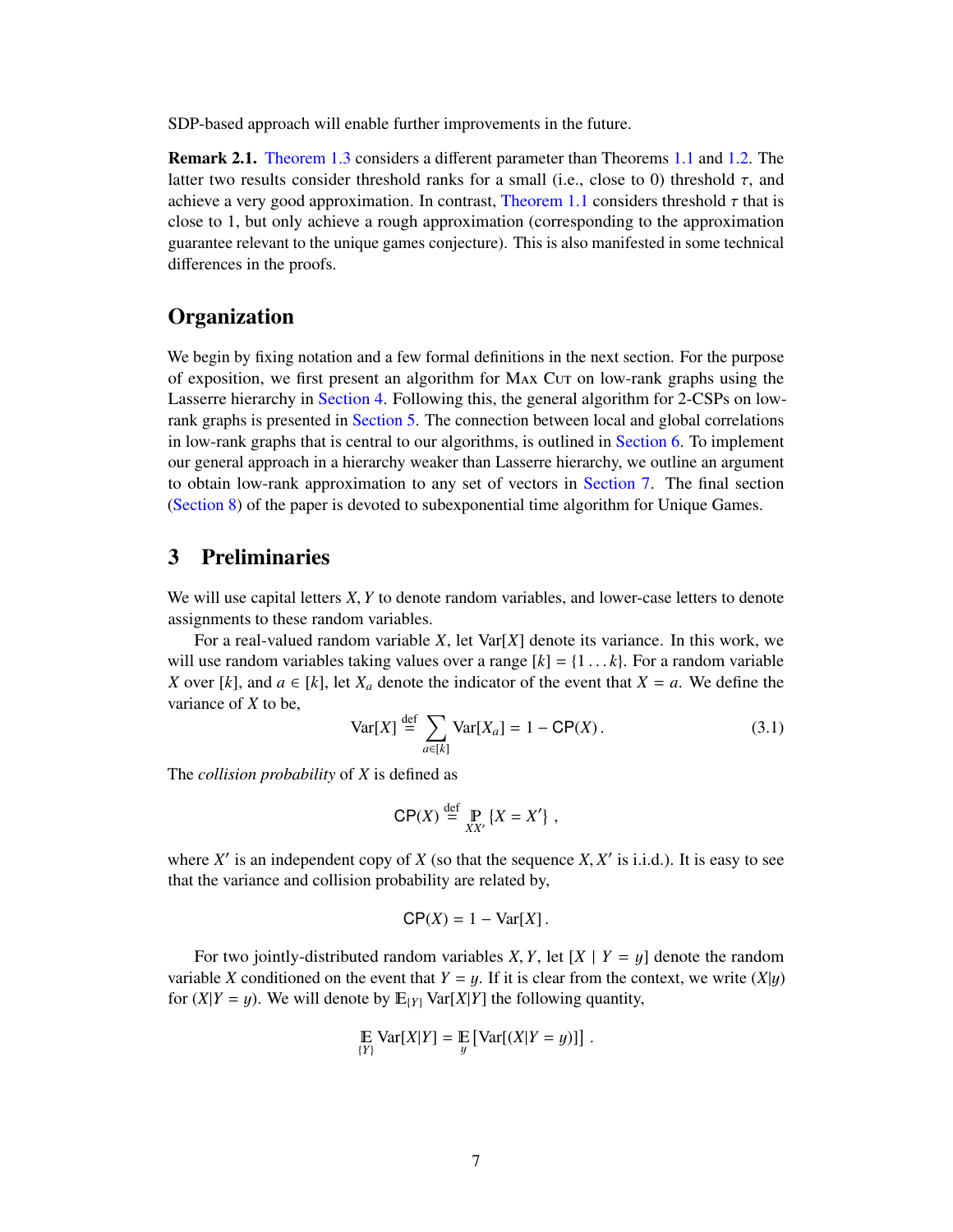SDP-based approach will enable further improvements in the future.

Remark 2.1. [Theorem 1.3](#page-4-1) considers a different parameter than Theorems [1.1](#page-3-2) and [1.2.](#page-3-3) The latter two results consider threshold ranks for a small (i.e., close to 0) threshold  $\tau$ , and achieve a very good approximation. In contrast, [Theorem 1.1](#page-3-2) considers threshold  $\tau$  that is close to 1, but only achieve a rough approximation (corresponding to the approximation guarantee relevant to the unique games conjecture). This is also manifested in some technical differences in the proofs.

### **Organization**

We begin by fixing notation and a few formal definitions in the next section. For the purpose of exposition, we first present an algorithm for Max Cut on low-rank graphs using the Lasserre hierarchy in [Section 4.](#page-10-0) Following this, the general algorithm for 2-CSPs on lowrank graphs is presented in [Section 5.](#page-12-0) The connection between local and global correlations in low-rank graphs that is central to our algorithms, is outlined in [Section 6.](#page-17-0) To implement our general approach in a hierarchy weaker than Lasserre hierarchy, we outline an argument to obtain low-rank approximation to any set of vectors in [Section 7.](#page-18-0) The final section [\(Section 8\)](#page-20-0) of the paper is devoted to subexponential time algorithm for Unique Games.

### <span id="page-8-0"></span>3 Preliminaries

We will use capital letters *<sup>X</sup>*, *<sup>Y</sup>* to denote random variables, and lower-case letters to denote assignments to these random variables.

For a real-valued random variable *X*, let Var[*X*] denote its variance. In this work, we will use random variables taking values over a range  $[k] = \{1 \dots k\}$ . For a random variable *X* over [*k*], and  $a \in [k]$ , let  $X_a$  denote the indicator of the event that  $X = a$ . We define the variance of *X* to be,

$$
\text{Var}[X] \stackrel{\text{def}}{=} \sum_{a \in [k]} \text{Var}[X_a] = 1 - \text{CP}(X). \tag{3.1}
$$

The *collision probability* of *X* is defined as

$$
\mathsf{CP}(X) \stackrel{\text{def}}{=} \mathop{\mathbb{P}}_{XX'} \{ X = X' \} ,
$$

where  $X'$  is an independent copy of  $X$  (so that the sequence  $X, X'$  is i.i.d.). It is easy to see<br>that the variance and collision probability are related by that the variance and collision probability are related by,

$$
CP(X) = 1 - \text{Var}[X].
$$

For two jointly-distributed random variables *X*, *Y*, let  $[X | Y = y]$  denote the random variable *X* conditioned on the event that  $Y = y$ . If it is clear from the context, we write  $(X|y)$ for  $(X|Y = y)$ . We will denote by  $E(Y|Y)$  Var $[X|Y]$  the following quantity,

$$
\mathbb{E} \operatorname{Var}[X|Y] = \mathbb{E} \left[ \operatorname{Var}[(X|Y=y)] \right]
$$
  
<sub>{Y}</sub>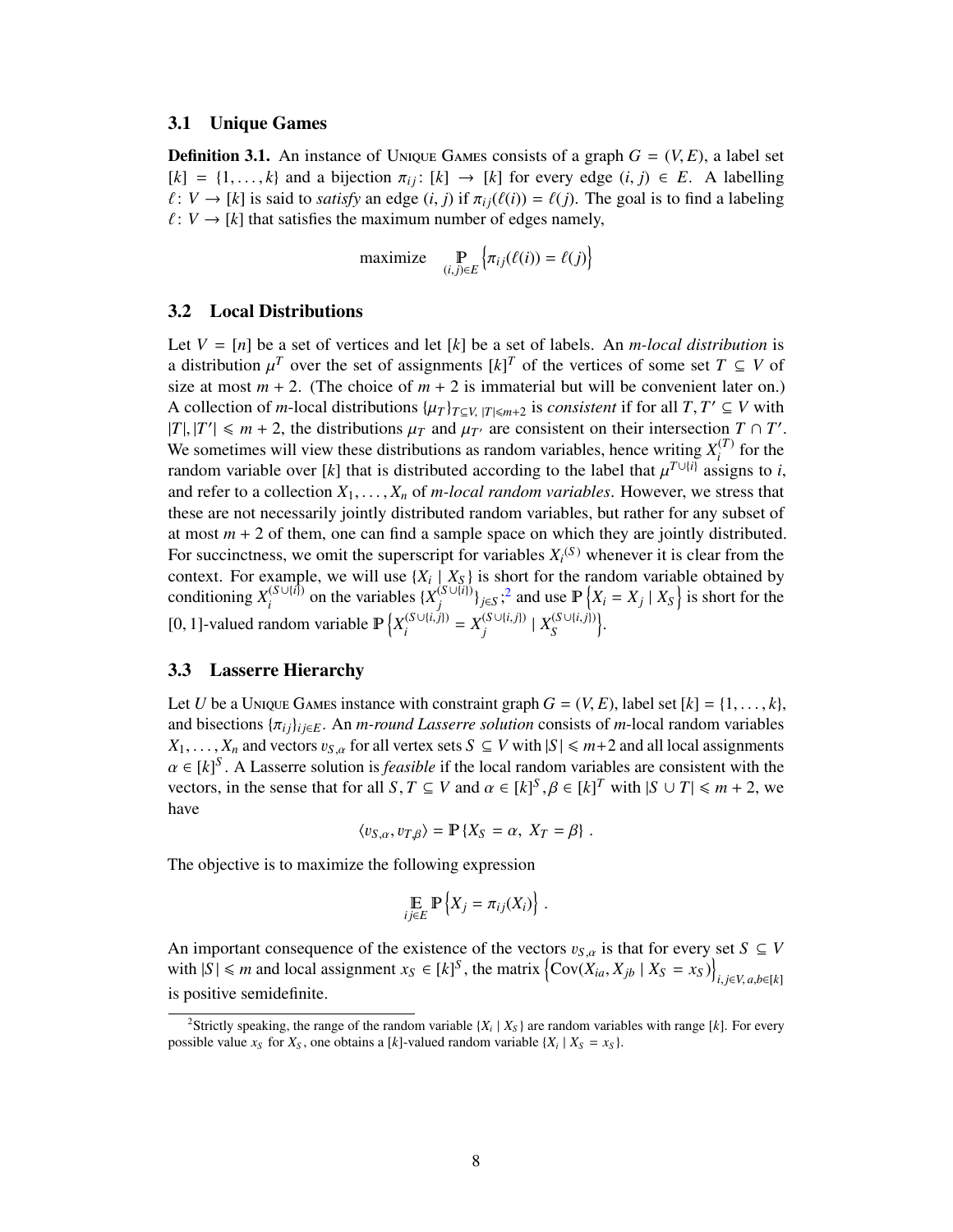#### <span id="page-9-0"></span>3.1 Unique Games

**Definition 3.1.** An instance of UNIQUE GAMES consists of a graph  $G = (V, E)$ , a label set  $[k] = \{1, \ldots, k\}$  and a bijection  $\pi_{ij}$ :  $[k] \rightarrow [k]$  for every edge  $(i, j) \in E$ . A labelling  $\ell : V \to [k]$  is said to *satisfy* an edge  $(i, j)$  if  $\pi_{ij}(\ell(i)) = \ell(j)$ . The goal is to find a labeling  $\ell : V \to [k]$  that satisfies the maximum number of edges namely,

$$
\text{maximize} \quad \mathop{\mathbb{P}}_{(i,j)\in E} \left\{ \pi_{ij}(\ell(i)) = \ell(j) \right\}
$$

#### <span id="page-9-1"></span>3.2 Local Distributions

Let  $V = [n]$  be a set of vertices and let  $[k]$  be a set of labels. An *m*-local distribution is a distribution  $\mu^T$  over the set of assignments  $[k]^T$  of the vertices of some set  $T \subseteq V$  of size at most  $m + 2$ . (The choice of  $m + 2$  is immaterial but will be convenient later on) size at most  $m + 2$ . (The choice of  $m + 2$  is immaterial but will be convenient later on.) A collection of *m*-local distributions  $\{\mu_T\}_{T \subseteq V, |T| \le m+2}$  is *consistent* if for all  $T, T' \subseteq V$  with  $|T| |T'| \le m+2$  the distributions  $\mu_T$  and  $\mu_T$  are consistent on their intersection  $T \cap T'$ |*T*|, |*T'*| ≤ *m* + 2, the distributions  $\mu_T$  and  $\mu_{T'}$  are consistent on their intersection *T* ∩ *T'*. We sometimes will view these distributions as random variables, hence writing  $Y^{(T)}$  for the We sometimes will view these distributions as random variables, hence writing  $X_i^{(T)}$  $\int_{i}^{(1)}$  for the random variable over [*k*] that is distributed according to the label that  $\mu^{T\cup\{i\}}$  assigns to *i*, and refer to a collection  $Y_t$ ,  $Y_t$  of *m* local random variables. However, we stress that and refer to a collection  $X_1, \ldots, X_n$  of *m-local random variables*. However, we stress that these are not necessarily jointly distributed random variables, but rather for any subset of at most  $m + 2$  of them, one can find a sample space on which they are jointly distributed. For succinctness, we omit the superscript for variables  $X_i^{(S)}$  whenever it is clear from the context. For example, we will use  $\{X_i \mid X_{\mathcal{S}}\}$  is short for the random variable obtained by conditioning  $X_i^{(S \cup \{i\})}$  $\mathcal{L}_i^{(S \cup \{i\})}$  on the variables  $\{X_j^{(S \cup \{i\})}\}$  $\int_{i}^{(S \cup \{i\})}$ <sub>*j*∈*S*</sub>;<sup>[2](#page-9-3)</sup> and use  $\mathbb{P}\left\{X_i = X_j \mid X_S\right\}$  is short for the  $[0, 1]$ -valued random variable  $\mathbb{P}\left\{X_i^{(S\cup\{i,j\})} = X_j^{(S\cup\{i,j\})} \mid X_S^{(S\cup\{i,j\})}\right\}.$ 

### <span id="page-9-2"></span>3.3 Lasserre Hierarchy

Let *U* be a Unique Games instance with constraint graph  $G = (V, E)$ , label set  $[k] = \{1, \ldots, k\}$ , and bisections  $\{\pi_{ij}\}_{i \in E}$ . An *m-round Lasserre solution* consists of *m*-local random variables *X*<sub>1</sub>, ..., *X<sub>n</sub>* and vectors  $v_{S,a}$  for all vertex sets  $S \subseteq V$  with  $|S| \le m+2$  and all local assignments  $\alpha \in [k]^S$ . A Lasserre solution is *feasible* if the local random variables are consistent with the vectors in the sense that for all  $S, T \subseteq V$  and  $\alpha \in [k]^S$ ,  $\beta \in [k]^T$  with  $|S| + |T| \le m + 2$ , we vectors, in the sense that for all *S*,  $T \subseteq V$  and  $\alpha \in [k]^S$ ,  $\beta \in [k]^T$  with  $|S \cup T| \le m + 2$ , we have have

$$
\langle v_{S,\alpha}, v_{T,\beta} \rangle = \mathbb{P} \{ X_S = \alpha, X_T = \beta \} .
$$

The objective is to maximize the following expression

$$
\mathop{\mathbb{E}}_{ij\in E} \mathbb{P}\left\{X_j = \pi_{ij}(X_i)\right\}.
$$

An important consequence of the existence of the vectors  $v_{S,\alpha}$  is that for every set  $S \subseteq V$ with  $|S| \le m$  and local assignment  $x_S \in [k]^S$ , the matrix  $\left\{ \text{Cov}(X_{ia}, X_{jb} \mid X_S = x_S) \right\}$ *<sup>i</sup>*, *<sup>j</sup>*∈*V*, *<sup>a</sup>*,*b*∈[*k*] is positive semidefinite.

<span id="page-9-3"></span><sup>&</sup>lt;sup>2</sup>Strictly speaking, the range of the random variable  $\{X_i | X_s\}$  are random variables with range [k]. For every possible value  $x_S$  for  $X_S$ , one obtains a [k]-valued random variable  $\{X_i \mid X_S = x_S\}$ .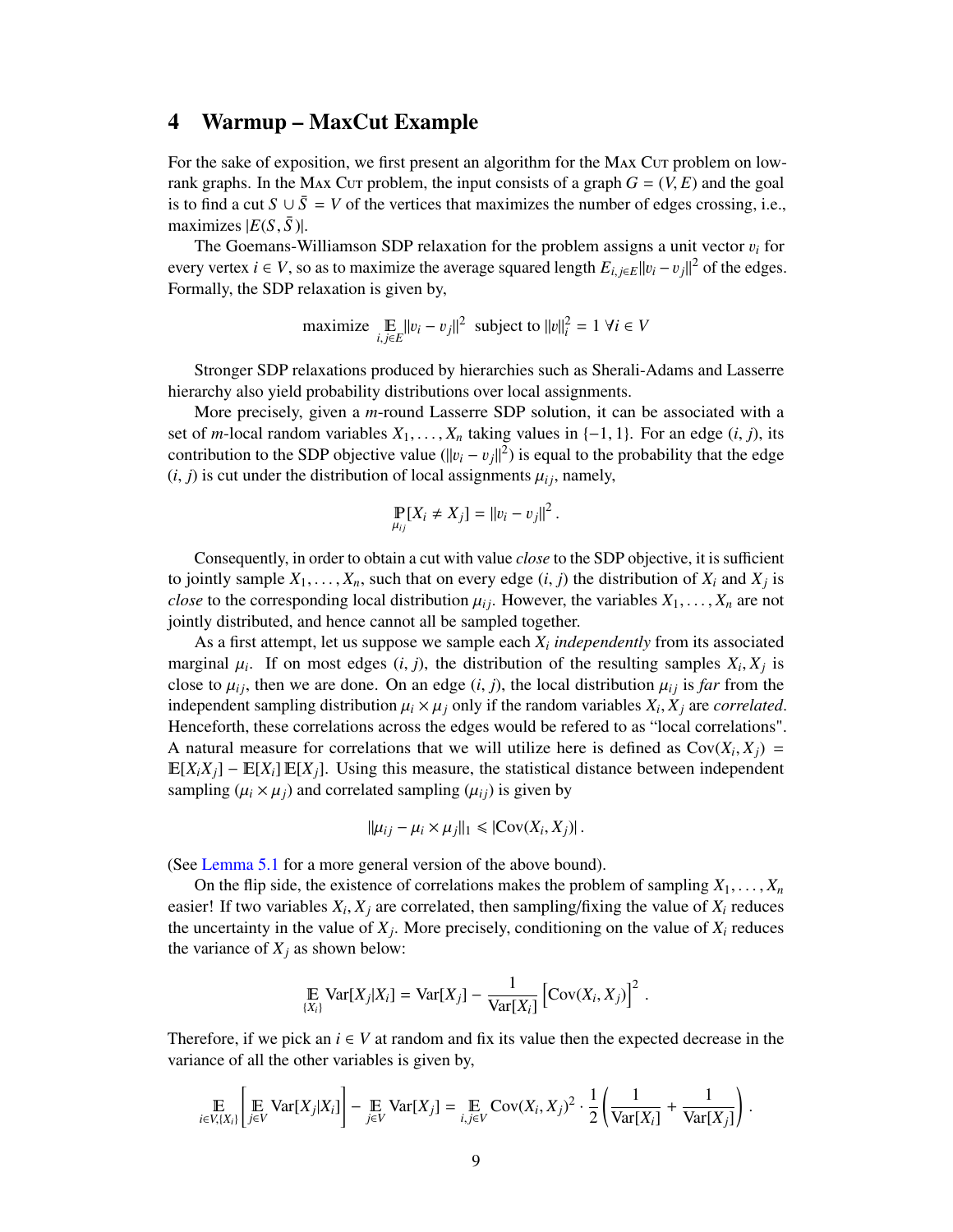### <span id="page-10-0"></span>4 Warmup – MaxCut Example

For the sake of exposition, we first present an algorithm for the MAX Cut problem on lowrank graphs. In the Max Cur problem, the input consists of a graph  $G = (V, E)$  and the goal is to find a cut  $S \cup \overline{S} = V$  of the vertices that maximizes the number of edges crossing, i.e., maximizes  $|E(S, \bar{S})|$ .

The Goemans-Williamson SDP relaxation for the problem assigns a unit vector  $v_i$  for every vertex *i* ∈ *V*, so as to maximize the average squared length  $E_{i,j\in E}||v_i - v_j||^2$  of the edges.<br>Formally the SDP relaxation is given by Formally, the SDP relaxation is given by,

maximize 
$$
\underset{i,j \in E}{\mathbb{E}} ||v_i - v_j||^2
$$
 subject to  $||v||_i^2 = 1 \ \forall i \in V$ 

Stronger SDP relaxations produced by hierarchies such as Sherali-Adams and Lasserre hierarchy also yield probability distributions over local assignments.

More precisely, given a *m*-round Lasserre SDP solution, it can be associated with a set of *m*-local random variables  $X_1, \ldots, X_n$  taking values in  $\{-1, 1\}$ . For an edge  $(i, j)$ , its contribution to the SDP objective value  $(\|v_i - v_j\|^2)$  is equal to the probability that the edge  $(i, i)$  is cut under the distribution of local assignments  $(u_i)$  namely  $(i, j)$  is cut under the distribution of local assignments  $\mu_{ij}$ , namely,

$$
\Pr_{\mu_{ij}}[X_i \neq X_j] = ||v_i - v_j||^2.
$$

Consequently, in order to obtain a cut with value *close* to the SDP objective, it is sufficient to jointly sample  $X_1, \ldots, X_n$ , such that on every edge  $(i, j)$  the distribution of  $X_i$  and  $X_j$  is close to the corresponding local distribution  $u_1$ . However, the variables  $Y_i$ ,  $Y_i$  are not *close* to the corresponding local distribution  $\mu_{ij}$ . However, the variables  $X_1, \ldots, X_n$  are not jointly distributed, and hence cannot all be sampled together.

As a first attempt, let us suppose we sample each *X<sup>i</sup> independently* from its associated marginal  $\mu_i$ . If on most edges  $(i, j)$ , the distribution of the resulting samples  $X_i, X_j$  is<br>close to  $\mu_i$ , then we are done. On an edge  $(i, j)$ , the local distribution  $\mu_i$  is far from the close to  $\mu_{ij}$ , then we are done. On an edge  $(i, j)$ , the local distribution  $\mu_{ij}$  is *far* from the independent sampling distribution  $\mu_i \times \mu_j$  only if the random variables  $X_i, X_j$  are *correlated*.<br>Henceforth, these correlations across the edges would be referred to as "local correlations" Henceforth, these correlations across the edges would be refered to as "local correlations". A natural measure for correlations that we will utilize here is defined as  $Cov(X_i, X_j) =$ <br>  $E[Y, Y, 1] = E[Y, 1] E[Y, 1]$ . Using this measure, the statistical distance between independent  $\mathbb{E}[X_i X_j] - \mathbb{E}[X_i] \mathbb{E}[X_j]$ . Using this measure, the statistical distance between independent sampling  $(\mu_i \times \mu_j)$  and correlated sampling  $(\mu_{ij})$  is given by

$$
\|\mu_{ij}-\mu_i\times\mu_j\|_1\leqslant |\mathrm{Cov}(X_i,X_j)|\,.
$$

(See [Lemma 5.1](#page-12-1) for a more general version of the above bound).

On the flip side, the existence of correlations makes the problem of sampling  $X_1, \ldots, X_n$ easier! If two variables  $X_i$ ,  $X_j$  are correlated, then sampling/fixing the value of  $X_i$  reduces the uncertainty in the value of  $X_j$ . More precisely, conditioning on the value of  $X_i$  reduces the variance of  $X_j$  as shown below:

$$
\mathop{\mathbb{E}}_{\{X_i\}} \text{Var}[X_j | X_i] = \text{Var}[X_j] - \frac{1}{\text{Var}[X_i]} [\text{Cov}(X_i, X_j)]^2
$$

Therefore, if we pick an  $i \in V$  at random and fix its value then the expected decrease in the variance of all the other variables is given by,

$$
\mathop{\mathbb{E}}_{i \in V, \{X_i\}} \left[ \mathop{\mathbb{E}}_{j \in V} \text{Var}[X_j | X_i] \right] - \mathop{\mathbb{E}}_{j \in V} \text{Var}[X_j] = \mathop{\mathbb{E}}_{i,j \in V} \text{Cov}(X_i, X_j)^2 \cdot \frac{1}{2} \left( \frac{1}{\text{Var}[X_i]} + \frac{1}{\text{Var}[X_j]} \right)
$$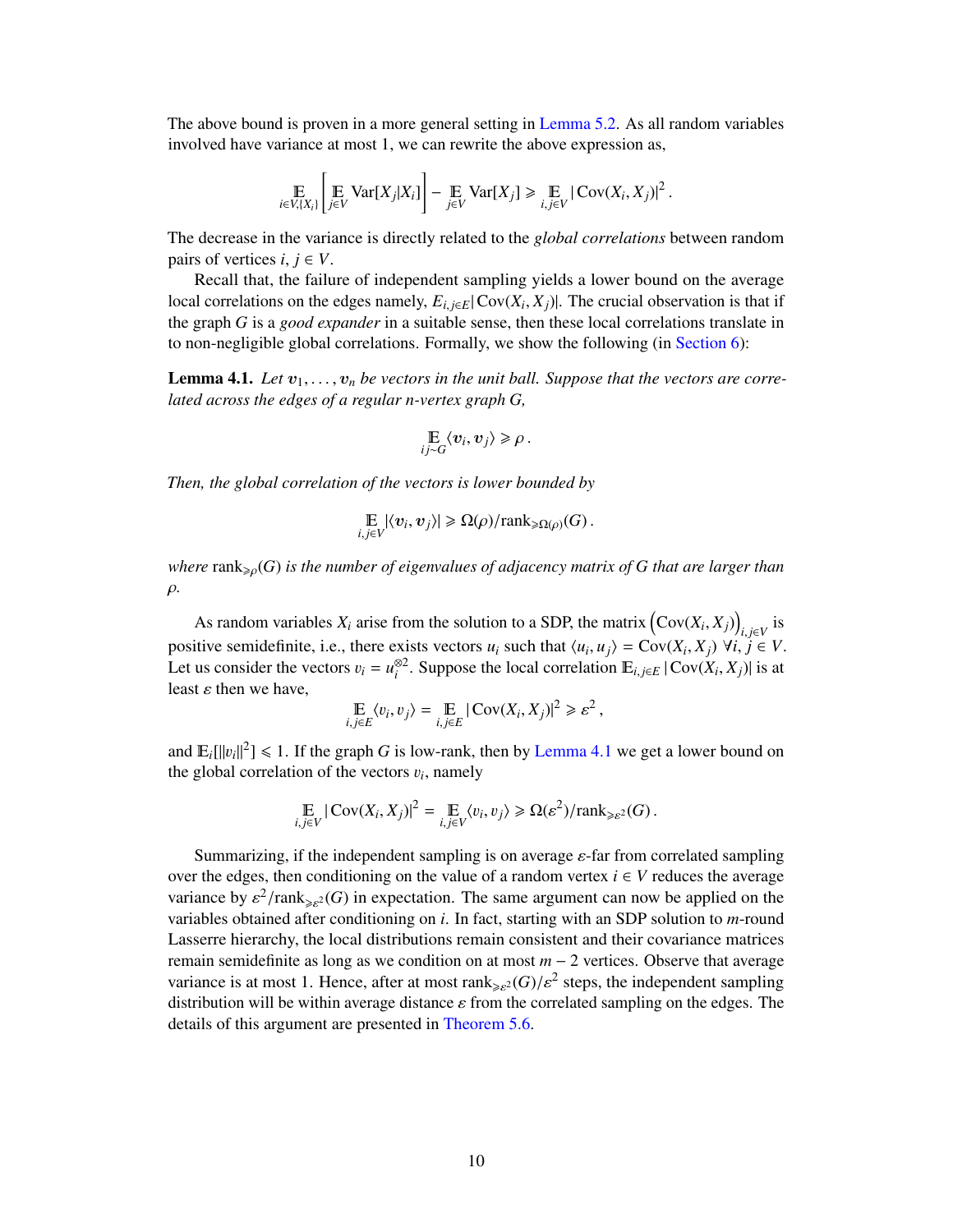The above bound is proven in a more general setting in [Lemma 5.2.](#page-12-2) As all random variables involved have variance at most 1, we can rewrite the above expression as,

$$
\mathop{\mathbb{E}}_{i \in V, \{X_i\}} \left[ \mathop{\mathbb{E}}_{j \in V} \text{Var}[X_j | X_i] \right] - \mathop{\mathbb{E}}_{j \in V} \text{Var}[X_j] \ge \mathop{\mathbb{E}}_{i, j \in V} |\text{Cov}(X_i, X_j)|^2
$$

The decrease in the variance is directly related to the *global correlations* between random pairs of vertices  $i, j \in V$ .

Recall that, the failure of independent sampling yields a lower bound on the average local correlations on the edges namely,  $E_{i,j\in E}|\text{Cov}(X_i, X_j)|$ . The crucial observation is that if the graph *G* is a *good expander* in a suitable sense, then these local correlations translate in to non-negligible global correlations. Formally, we show the following (in [Section 6\)](#page-17-0):

<span id="page-11-0"></span>**Lemma 4.1.** Let  $v_1, \ldots, v_n$  be vectors in the unit ball. Suppose that the vectors are corre*lated across the edges of a regular n-vertex graph G,*

$$
\mathop{\mathbb{E}}_{ij \sim G} \langle v_i, v_j \rangle \geq \rho.
$$

*Then, the global correlation of the vectors is lower bounded by*

$$
\mathop{\mathbb{E}}_{i,j\in V} |\langle v_i, v_j \rangle| \geq \Omega(\rho) / \text{rank}_{\geq \Omega(\rho)}(G).
$$

*where*  $\text{rank}_{\geqslant o}(G)$  *is the number of eigenvalues of adjacency matrix of* G *that are larger than* ρ*.*

As random variables  $X_i$  arise from the solution to a SDP, the matrix  $(Cov(X_i, X_j))_{i,j \in V}$  is **i** positive semidefinite, i.e., there exists vectors  $u_i$  such that  $\langle u_i, u_j \rangle = \text{Cov}(X_i, X_j) \ \forall i, j \in V$ .<br>Let us consider the vectors  $v_i - v^{\otimes 2}$ . Suppose the local correlation  $\mathbb{F}_{k+1} \cup \text{Cov}(Y_k, Y_k)$  is at Let us consider the vectors  $v_i = u_i^{\otimes 2}$ . Suppose the local correlation  $\mathbb{E}_{i,j \in E} |Cov(X_i, X_j)|$  is at least  $\epsilon$  then we have least  $\varepsilon$  then we have,

$$
\mathop{\mathbb{E}}_{i,j\in E}\langle v_i,v_j\rangle = \mathop{\mathbb{E}}_{i,j\in E}|\text{Cov}(X_i,X_j)|^2 \geq \varepsilon^2,
$$

and  $\mathbb{E}_{i}[\Vert v_{i} \Vert^{2}] \le 1$ . If the graph *G* is low-rank, then by [Lemma 4.1](#page-11-0) we get a lower bound on the global correlation of the vectors  $v_{i}$ , namely the global correlation of the vectors  $v_i$ , namely

$$
\mathbb{E}_{i,j\in V}|\text{Cov}(X_i,X_j)|^2 = \mathbb{E}_{i,j\in V}\langle v_i,v_j\rangle \geq \Omega(\varepsilon^2)/\text{rank}_{\geq \varepsilon^2}(G).
$$

Summarizing, if the independent sampling is on average  $\varepsilon$ -far from correlated sampling over the edges, then conditioning on the value of a random vertex  $i \in V$  reduces the average variance by  $\varepsilon^2 / \text{rank}_{\geq \varepsilon^2}(G)$  in expectation. The same argument can now be applied on the variables obtained after conditioning on *i*. In fact, starting with an SDP solution to *m*-round variables obtained after conditioning on *i*. In fact, starting with an SDP solution to *m*-round Lasserre hierarchy, the local distributions remain consistent and their covariance matrices remain semidefinite as long as we condition on at most *m* − 2 vertices. Observe that average variance is at most 1. Hence, after at most rank  ${}_{\geq e}(G)/\varepsilon^2$  steps, the independent sampling<br>distribution will be within average distance c from the correlated sampling on the edges. The distribution will be within average distance  $\varepsilon$  from the correlated sampling on the edges. The details of this argument are presented in [Theorem 5.6.](#page-15-0)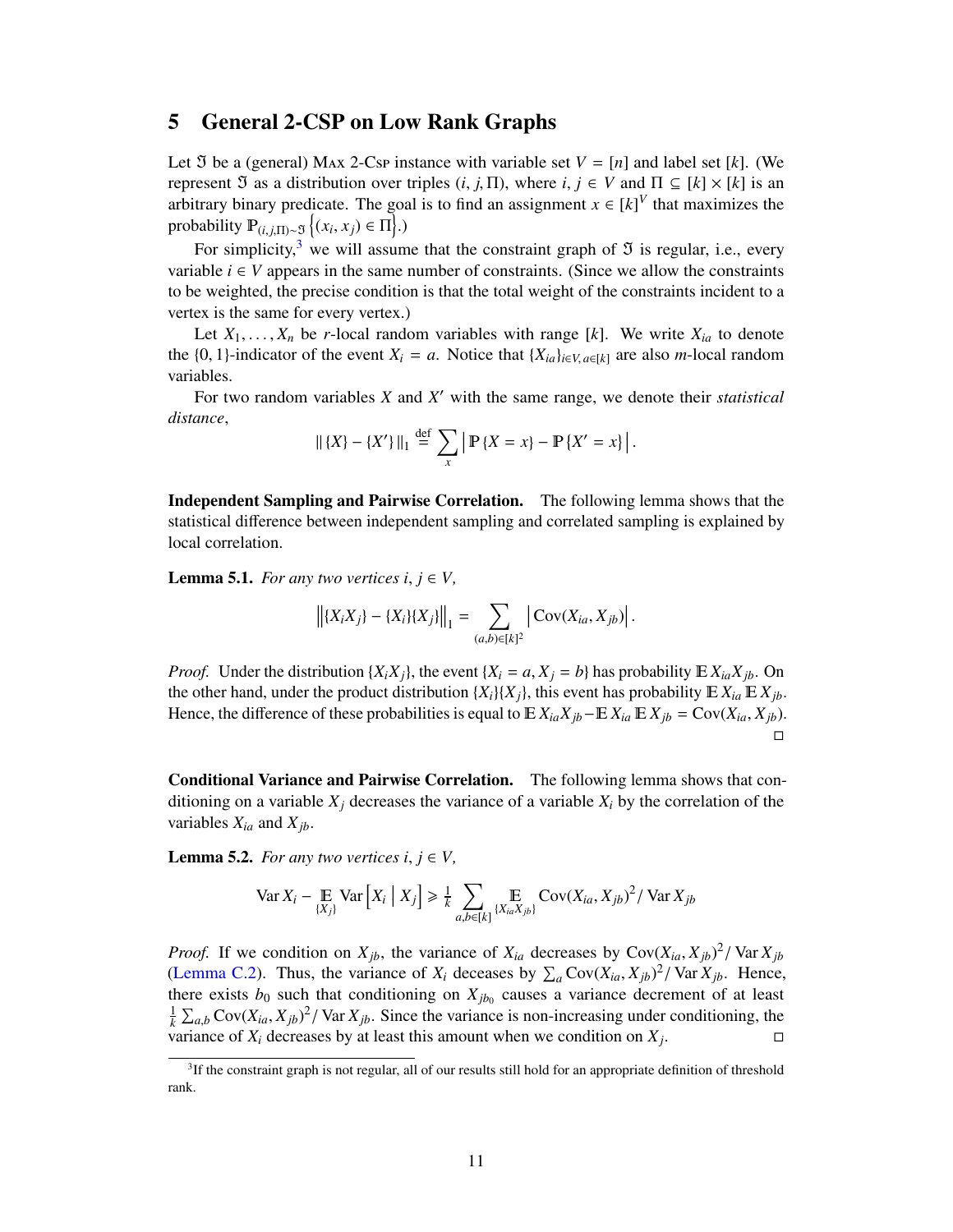# <span id="page-12-0"></span>5 General 2-CSP on Low Rank Graphs

Let  $\Im$  be a (general) MAx 2-Csp instance with variable set  $V = [n]$  and label set [k]. (We represent  $\Im$  as a distribution over triples  $(i, j, \Pi)$ , where  $i, j \in V$  and  $\Pi \subseteq [k] \times [k]$  is an arbitrary binary predicate. The goal is to find an assignment  $x \in [k]^V$  that maximizes the probability  $\mathbb{P}_{(i,j,\Pi)\sim\mathfrak{I}}\left\{(x_i,x_j)\in\Pi\right\}$ .)

For simplicity,<sup>[3](#page-12-3)</sup> we will assume that the constraint graph of  $\Im$  is regular, i.e., every variable  $i \in V$  appears in the same number of constraints. (Since we allow the constraints to be weighted, the precise condition is that the total weight of the constraints incident to a vertex is the same for every vertex.)

Let  $X_1, \ldots, X_n$  be *r*-local random variables with range [k]. We write  $X_{ia}$  to denote the {0, 1}-indicator of the event  $X_i = a$ . Notice that  $\{X_{ia}\}_{i \in V, a \in [k]}$  are also *m*-local random variables.

For two random variables *X* and *X'* with the same range, we denote their *statistical distance*,

$$
\| \{X\} - \{X'\} \|_1 \stackrel{\text{def}}{=} \sum_{x} | \mathbb{P} \{X = x\} - \mathbb{P} \{X' = x\} |.
$$

Independent Sampling and Pairwise Correlation. The following lemma shows that the statistical difference between independent sampling and correlated sampling is explained by local correlation.

<span id="page-12-1"></span>**Lemma 5.1.** *For any two vertices i,*  $j \in V$ *,* 

$$
\left\| \{X_i X_j\} - \{X_i\} \{X_j\} \right\|_1 = \sum_{(a,b)\in[k]^2} \left| \text{Cov}(X_{ia}, X_{jb}) \right|.
$$

*Proof.* Under the distribution  $\{X_i X_j\}$ , the event  $\{X_i = a, X_j = b\}$  has probability  $E X_{ia} X_{jb}$ . On the other hand, under the product distribution  $\{X_i\}\{X_j\}$ , this event has probability  $E X_{ia} E X_{jb}$ . Hence, the difference of these probabilities is equal to  $E X_{ia} X_{jb} - E X_{ia} E X_{jb} = Cov(X_{ia}, X_{jb})$ .  $\overline{\phantom{a}}$ 

Conditional Variance and Pairwise Correlation. The following lemma shows that conditioning on a variable  $X_i$  decreases the variance of a variable  $X_i$  by the correlation of the variables  $X_{ia}$  and  $X_{jb}$ .

<span id="page-12-2"></span>**Lemma 5.2.** *For any two vertices i,*  $j \in V$ *,* 

$$
\text{Var}\,X_i - \underset{\{X_j\}}{\mathbb{E}}\text{Var}\left[X_i \mid X_j\right] \ge \frac{1}{k} \sum_{a,b \in [k]} \underset{\{X_{ia}, X_{jb}\}}{\mathbb{E}} \text{Cov}(X_{ia}, X_{jb})^2 / \text{Var}\,X_{jb}
$$

*Proof.* If we condition on  $X_{jb}$ , the variance of  $X_{ia}$  decreases by Cov( $X_{ia}$ ,  $X_{jb}$ )<sup>2</sup>/ $Var X_{jb}$ <br>(Lemma C.2). Thus, the variance of *X<sub>i</sub>* deceases by  $\sum Cov(Y_i, Y_i)^2 / Var X_{jb}$ . Hence [\(Lemma C.2\)](#page-31-1). Thus, the variance of  $X_i$  deceases by  $\sum_a \text{Cov}(X_{ia}, X_{jb})^2 / \text{Var } X_{jb}$ . Hence, there exists he such that conditioning on  $X_{ab}$ , causes a variance decrement of at least there exists  $b_0$  such that conditioning on  $X_{jb_0}$  causes a variance decrement of at least  $\frac{1}{k} \sum_{a,b} \text{Cov}(X_{ia}, X_{jb})^2 / \text{Var } X_{jb}$ . Since the variance is non-increasing under conditioning, the variance of  $X_i$  decreases by at least this amount when we condition on  $X_i$ . . — П<br>. — П

<span id="page-12-3"></span><sup>3</sup> If the constraint graph is not regular, all of our results still hold for an appropriate definition of threshold rank.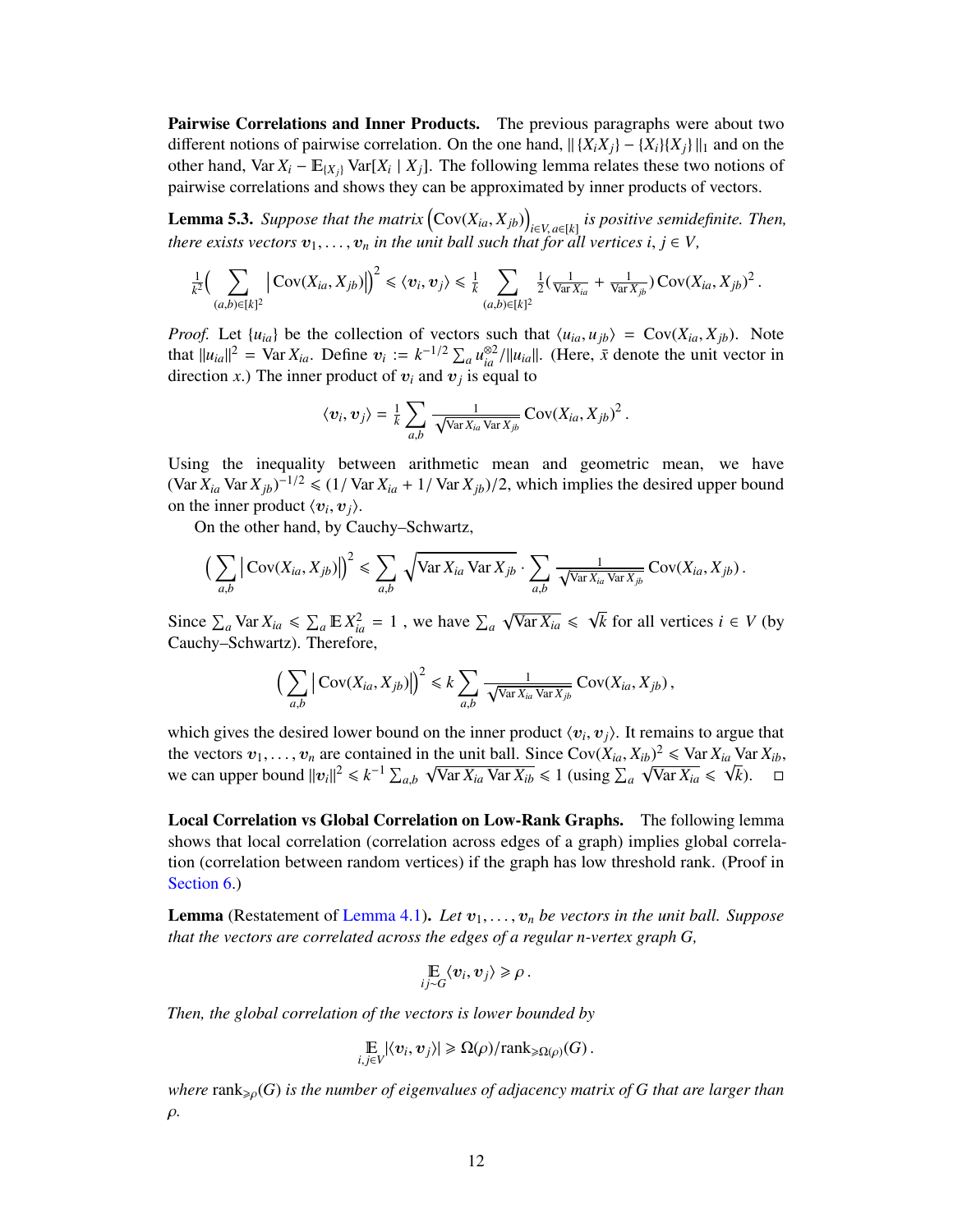**Pairwise Correlations and Inner Products.** The previous paragraphs were about two different notions of pairwise correlation. On the one hand,  $\left|\{X_i X_j\} - \{X_i\} \{X_i\}\right|\right|_1$  and on the other hand, Var  $X_i$  –  $\mathbb{E}_{\{X_j\}}$  Var $[X_i | X_j]$ . The following lemma relates these two notions of pairwise correlations and shows they can be approximated by inner products of vectors.

<span id="page-13-0"></span>**Lemma 5.3.** *Suppose that the matrix*  $(Cov(X_{ia}, X_{jb}))$ <br>there with vectors  $x_i$  and in the writh  $all$  and the *<sup>i</sup>*∈*V*, *<sup>a</sup>*∈[*k*] *is positive semidefinite. Then, there exists vectors*  $v_1, \ldots, v_n$  *in the unit ball such that for all vertices i,*  $j \in V$ *,* 

$$
\frac{1}{k^2} \Big(\sum_{(a,b)\in[k]^2} \Big|\operatorname{Cov}(X_{ia}, X_{jb})\Big|\Big)^2 \leq \langle v_i, v_j\rangle \leq \frac{1}{k} \sum_{(a,b)\in[k]^2} \frac{1}{2} \big(\frac{1}{\operatorname{Var} X_{ia}} + \frac{1}{\operatorname{Var} X_{jb}}\big) \operatorname{Cov}(X_{ia}, X_{jb})^2.
$$

*Proof.* Let  $\{u_{ia}\}$  be the collection of vectors such that  $\langle u_{ia}, u_{ib} \rangle = \text{Cov}(X_{ia}, X_{ib})$ . Note that  $||u_{ia}||^2 = \text{Var } X_{ia}$ . Define  $v_i := k^{-1/2} \sum_a u_{ia}^{\otimes 2} / ||u_{ia}||$ . (Here,  $\bar{x}$  denote the unit vector in direction x) The inner product of xy and xy is equal to direction *x*.) The inner product of  $v_i$  and  $v_j$  is equal to

$$
\langle v_i, v_j \rangle = \frac{1}{k} \sum_{a,b} \frac{1}{\sqrt{\text{Var} X_{ia} \text{Var} X_{jb}}} \text{Cov}(X_{ia}, X_{jb})^2.
$$

Using the inequality between arithmetic mean and geometric mean, we have  $(\text{Var } X_{ia} \text{Var } X_{jb})^{-1/2} \leq (1/\text{Var } X_{ia} + 1/\text{Var } X_{jb})/2$ , which implies the desired upper bound on the inner product  $\langle x, x \rangle$ on the inner product  $\langle v_i, v_j \rangle$ .<br>On the other hand, by *C*<sub>3</sub>

On the other hand, by Cauchy–Schwartz,

$$
\left(\sum_{a,b} \left| \text{Cov}(X_{ia}, X_{jb}) \right|\right)^2 \leq \sum_{a,b} \sqrt{\text{Var}\, X_{ia}\, \text{Var}\, X_{jb}} \cdot \sum_{a,b} \frac{1}{\sqrt{\text{Var}\, X_{ia}\, \text{Var}\, X_{jb}}} \, \text{Cov}(X_{ia}, X_{jb})\,.
$$

Since  $\sum_a \text{Var } X_{ia} \le \sum_a \mathbb{E} X_{ia}^2 = 1$ , we have  $\sum_a$  $\sqrt{\text{Var } X_{ia}} \leq \sqrt{2}$ *k* for all vertices *i* ∈ *V* (by Cauchy–Schwartz). Therefore,

$$
\left(\sum_{a,b} \left| \text{Cov}(X_{ia}, X_{jb}) \right|\right)^2 \leq k \sum_{a,b} \frac{1}{\sqrt{\text{Var} X_{ia} \text{Var} X_{jb}}} \text{Cov}(X_{ia}, X_{jb}),
$$

which gives the desired lower bound on the inner product  $\langle v_i, v_j \rangle$ . It remains to argue that<br>the vectors  $v_i$ ,  $v_j$  are contained in the unit ball. Since  $Cov(Y_i, Y_j)^2 < Var Y$ . Var  $Y_j$ the vectors  $v_1, \ldots, v_n$  are contained in the unit ball. Since  $Cov(X_{ia}, X_{ib})^2 \leq \text{Var } X_{ia}$  Var  $X_{ib}$ ,<br>we can upper bound  $||v_1||^2 \leq k^{-1} \sum_{i} \sqrt{\text{Var } Y_i} \leq 1$  (using  $\sum_{i} \sqrt{\text{Var } Y_i} \leq \sqrt{k}$ ) we can upper bound  $||v_i||^2 \le k^{-1} \sum_{a,b} \sqrt{\text{Var } X_{ia} \text{Var } X_{ib}} \le 1$  (using  $\sum_a \sqrt{\text{Var } X_{ia}} \le \sqrt{k}$ ).  $\square$ 

Local Correlation vs Global Correlation on Low-Rank Graphs. The following lemma shows that local correlation (correlation across edges of a graph) implies global correlation (correlation between random vertices) if the graph has low threshold rank. (Proof in [Section 6.](#page-17-0))

**Lemma** (Restatement of [Lemma 4.1\)](#page-11-0). Let  $v_1, \ldots, v_n$  be vectors in the unit ball. Suppose *that the vectors are correlated across the edges of a regular n-vertex graph G,*

$$
\mathop{\mathbb{E}}_{ij \sim G} \langle v_i, v_j \rangle \geq \rho.
$$

*Then, the global correlation of the vectors is lower bounded by*

$$
\mathop{\mathbb{E}}_{i,j\in V} |\langle v_i, v_j \rangle| \geq \Omega(\rho) / \text{rank}_{\geq \Omega(\rho)}(G).
$$

*where* rank>ρ(*G*) *is the number of eigenvalues of adjacency matrix of <sup>G</sup> that are larger than* ρ*.*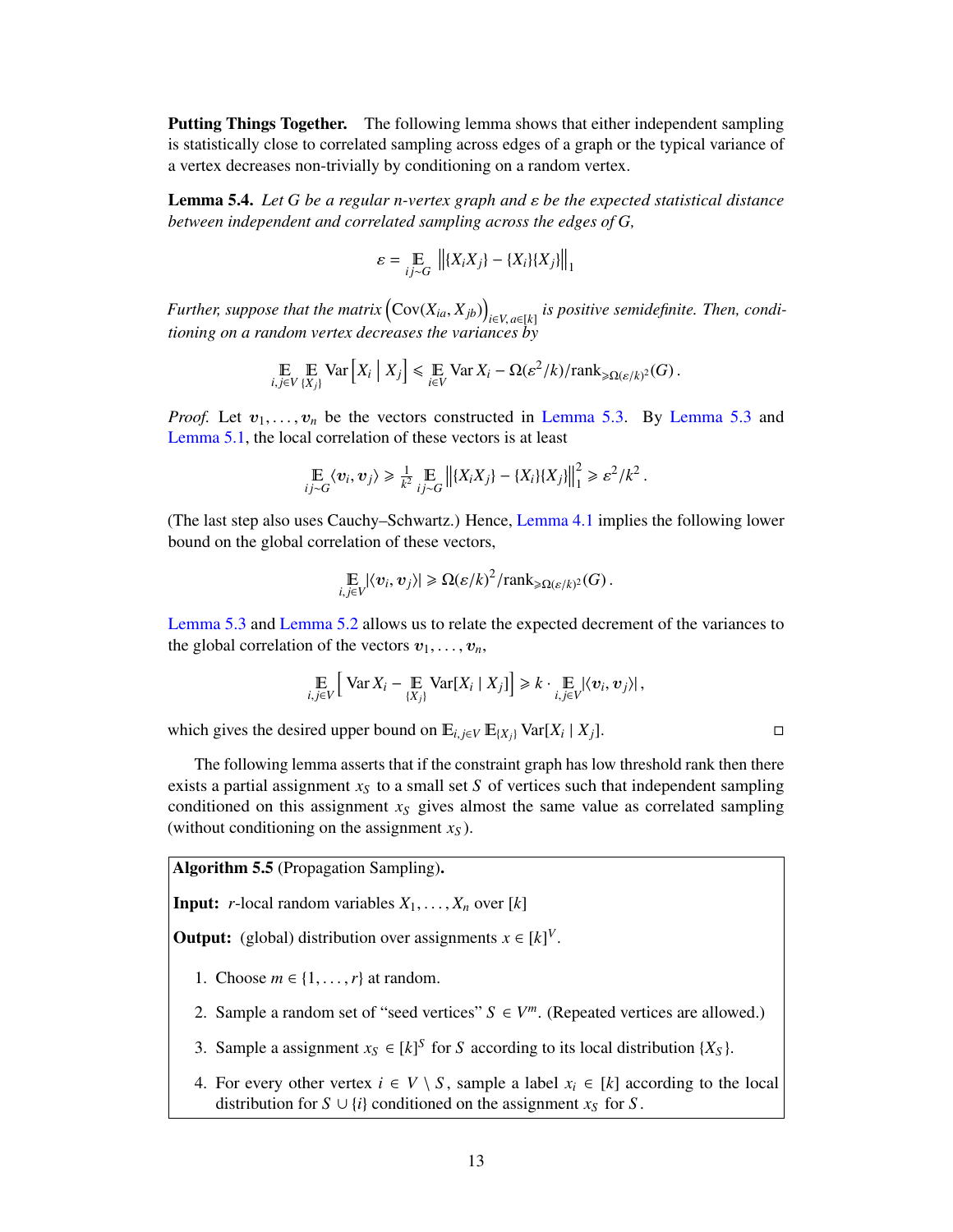**Putting Things Together.** The following lemma shows that either independent sampling is statistically close to correlated sampling across edges of a graph or the typical variance of a vertex decreases non-trivially by conditioning on a random vertex.

<span id="page-14-1"></span>Lemma 5.4. *Let <sup>G</sup> be a regular n-vertex graph and* ε *be the expected statistical distance between independent and correlated sampling across the edges of G,*

$$
\varepsilon = \mathop{\mathbb{E}}\limits_{ij \sim G} \left\| \{X_i X_j\} - \{X_i\} \{X_j\} \right\|_1
$$

*Further, suppose that the matrix*  $(Cov(X_{ia}, X_{jb}))_{i \in V, a \in [k]}$  *is positive semidefinite. Then, condi-*<br> *is view* and a new day water demonstrationally in the semi*i a*<sup>*i*</sup>ic*V*, *a*∈*[k] i*<sup>*i*</sup>*icoi*</sub> *<i>tioning on a random vertex decreases the variances by* 

$$
\mathop{\mathbb{E}}_{i,j\in V}\mathop{\mathbb{E}}_{\{X_j\}} \text{Var}\left[X_i \mid X_j\right] \leq \mathop{\mathbb{E}}_{i\in V} \text{Var}\, X_i - \Omega(\varepsilon^2/k)/\text{rank}_{\geq \Omega(\varepsilon/k)^2}(G)\,.
$$

*Proof.* Let  $v_1, \ldots, v_n$  be the vectors constructed in [Lemma 5.3.](#page-13-0) By [Lemma 5.3](#page-13-0) and [Lemma 5.1,](#page-12-1) the local correlation of these vectors is at least

$$
\mathop{\mathbb{E}}_{ij \sim G} \langle v_i, v_j \rangle \geq \frac{1}{k^2} \mathop{\mathbb{E}}_{ij \sim G} \left\| \{X_i X_j\} - \{X_i\} \{X_j\} \right\|_1^2 \geq \varepsilon^2 / k^2.
$$

(The last step also uses Cauchy–Schwartz.) Hence, [Lemma 4.1](#page-11-0) implies the following lower bound on the global correlation of these vectors,

$$
\mathop{\mathbb{E}}_{i,j\in V} |\langle v_i, v_j \rangle| \geq \Omega(\varepsilon/k)^2 / \text{rank}_{\geq \Omega(\varepsilon/k)^2}(G).
$$

[Lemma 5.3](#page-13-0) and [Lemma 5.2](#page-12-2) allows us to relate the expected decrement of the variances to the global correlation of the vectors  $v_1, \ldots, v_n$ ,

$$
\mathop{\mathbb{E}}_{i,j\in V}\Big[\operatorname{Var} X_i - \mathop{\mathbb{E}}_{\{X_j\}} \operatorname{Var}[X_i \mid X_j]\Big] \geq k \cdot \mathop{\mathbb{E}}_{i,j\in V} |\langle v_i, v_j \rangle|,
$$

which gives the desired upper bound on  $E_{i,j \in V} E_{\{X_j\}}$  Var[ $X_i | X_j$ ]. □

The following lemma asserts that if the constraint graph has low threshold rank then there exists a partial assignment  $x<sub>S</sub>$  to a small set *S* of vertices such that independent sampling conditioned on this assignment  $x<sub>S</sub>$  gives almost the same value as correlated sampling (without conditioning on the assignment *x<sup>S</sup>* ).

<span id="page-14-0"></span>Algorithm 5.5 (Propagation Sampling).

**Input:** *r*-local random variables  $X_1, \ldots, X_n$  over [*k*]

**Output:** (global) distribution over assignments  $x \in [k]^V$ .

- 1. Choose  $m \in \{1, \ldots, r\}$  at random.
- 2. Sample a random set of "seed vertices"  $S \in V^m$ . (Repeated vertices are allowed.)
- 3. Sample a assignment  $x_S \in [k]^S$  for *S* according to its local distribution  $\{X_S\}$ .
- 4. For every other vertex  $i \in V \setminus S$ , sample a label  $x_i \in [k]$  according to the local distribution for  $S \cup \{i\}$  conditioned on the assignment  $x_S$  for  $S$ .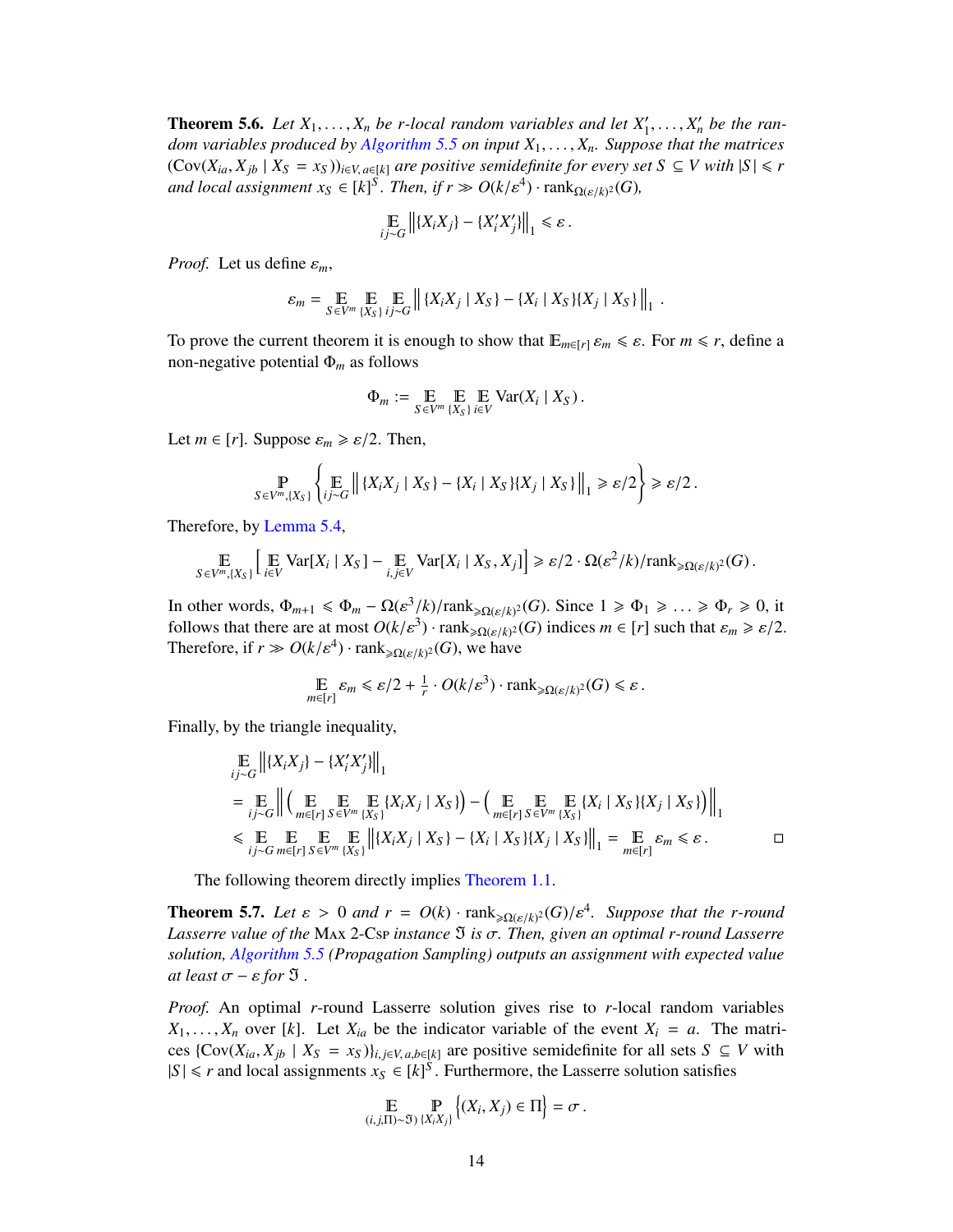<span id="page-15-0"></span>**Theorem 5.6.** *Let*  $X_1, \ldots, X_n$  *be r*-local random variables and let  $X'_1$  dom variables produced by Algorithm 5.5 on input  $X_1, \ldots, X_n$  Suppose  $X'_1, \ldots, X'_n$  be the ran-<br>  $X'_2$  *be matrices dom variables produced by [Algorithm 5.5](#page-14-0) on input <sup>X</sup>*1, . . . , *<sup>X</sup>n. Suppose that the matrices*  $(Cov(X_{ia}, X_{ib} \mid X_S = x_S))_{i \in V, a \in [k]}$  are positive semidefinite for every set  $S \subseteq V$  with  $|S| \le r$ *and local assignment*  $x_S \in [k]^S$ *. Then, if*  $r \gg O(k/\varepsilon^4) \cdot \text{rank}_{\Omega(\varepsilon/k)^2}(G)$ *,* 

$$
\underset{i,j\sim G}{\mathbb{E}}\left\|\{X_iX_j\}-\{X_i'X_j'\}\right\|_1\leq \varepsilon.
$$

*Proof.* Let us define  $\varepsilon_m$ ,

$$
\varepsilon_m = \mathop{\mathbb{E}}_{S \in V^m} \mathop{\mathbb{E}}_{\{X_S\}} \mathop{\mathbb{E}}_{ij \sim G} \left\| \{X_i X_j \mid X_S\} - \{X_i \mid X_S\} \{X_j \mid X_S\} \right\|_1
$$

To prove the current theorem it is enough to show that  $\mathbb{E}_{m\in[r]}\varepsilon_m \leq \varepsilon$ . For  $m \leq r$ , define a non-negative potential Φ*<sup>m</sup>* as follows

$$
\Phi_m := \mathop{\mathbb{E}}_{S \in V^m} \mathop{\mathbb{E}}_{\{X_S\}} \mathop{\mathbb{E}}_{i \in V} \text{Var}(X_i \mid X_S) .
$$

Let  $m \in [r]$ . Suppose  $\varepsilon_m \geq \varepsilon/2$ . Then,

$$
\Pr_{S \in V^m, \{X_S\}} \left\{ \mathop{\mathbb{E}}_{ij \sim G} \left\| \{X_i X_j \mid X_S\} - \{X_i \mid X_S\} \{X_j \mid X_S\} \right\|_1 \geqslant \varepsilon/2 \right\} \geqslant \varepsilon/2.
$$

Therefore, by [Lemma 5.4,](#page-14-1)

$$
\mathop{\mathbb{E}}_{S \in V^m, \{X_S\}} \Big[ \mathop{\mathbb{E}}_{i \in V} \text{Var}[X_i \mid X_S] - \mathop{\mathbb{E}}_{i,j \in V} \text{Var}[X_i \mid X_S, X_j] \Big] \geq \varepsilon/2 \cdot \Omega(\varepsilon^2/k) / \text{rank}_{\geq \Omega(\varepsilon/k)^2}(G) \, .
$$

In other words,  $\Phi_{m+1} \le \Phi_m - \Omega(\varepsilon^3/k)/\text{rank}_{\ge \Omega(\varepsilon/k)^2}(G)$ . Since  $1 \ge \Phi_1 \ge \dots \ge \Phi_r \ge 0$ , it<br>follows that there are at most  $O(k/\varepsilon^3)$ , rank some  $(G)$  indices  $m \in [r]$  such that  $\varepsilon \ge \varepsilon/2$ follows that there are at most  $O(k/\varepsilon^3) \cdot \text{rank}_{\geq \Omega(\varepsilon/k)^2}(G)$  indices  $m \in [r]$  such that  $\varepsilon_m \geq \varepsilon/2$ .<br>Therefore if  $r \gg O(k/\varepsilon^4)$ , rank such  $(G)$ , we have Therefore, if  $r \gg O(k/\varepsilon^4) \cdot \text{rank}_{\geq \Omega(\varepsilon/k)^2}(G)$ , we have

$$
\mathop{\mathbb{E}}_{m\in[r]} \varepsilon_m \leqslant \varepsilon/2 + \frac{1}{r} \cdot O(k/\varepsilon^3) \cdot \text{rank}_{\geqslant \Omega(\varepsilon/k)^2}(G) \leqslant \varepsilon.
$$

Finally, by the triangle inequality,

$$
\mathbb{E}_{ij \sim G} ||\{X_i X_j\} - \{X'_i X'_j\}||_1
$$
\n
$$
= \mathbb{E}_{ij \sim G} ||\left(\mathbb{E}_{m \in [r]} \mathbb{E}_{S \in V^m} \mathbb{E}_{\{X_i X_j\}} \{X_S\}\right) - \left(\mathbb{E}_{m \in [r]} \mathbb{E}_{S \in V^m} \mathbb{E}_{\{X_s\}} \{X_i \mid X_S\} \{X_j \mid X_S\}\right) ||_1
$$
\n
$$
\leq \mathbb{E}_{ij \sim G} \mathbb{E}_{m \in [r]} \mathbb{E}_{\{X_s\}} \mathbb{E}_{\{X_i X_j\}} \left\| \{X_i X_j \mid X_S\} - \{X_i \mid X_S\} \{X_j \mid X_S\} \right\|_1 = \mathbb{E}_{m \in [r]} \varepsilon_m \leq \varepsilon.
$$

The following theorem directly implies [Theorem 1.1.](#page-3-2)

**Theorem 5.7.** *Let*  $\varepsilon > 0$  *and*  $r = O(k) \cdot \text{rank}_{\geqslant \Omega(\varepsilon/k)^2}(G)/\varepsilon^4$ . Suppose that the *r-round Lassarra value of the Myr* 2 Cap instance  $\mathfrak{A}$  is  $\sigma$ . Then given an optimal *r* round *Lassarra Lasserre value of the* MAx 2-Csp *instance*  $\Im$  *is*  $\sigma$ *. Then, given an optimal r-round Lasserre solution, [Algorithm 5.5](#page-14-0) (Propagation Sampling) outputs an assignment with expected value at least*  $\sigma$  –  $\varepsilon$  *for*  $\mathfrak{I}$ .

*Proof.* An optimal *r*-round Lasserre solution gives rise to *r*-local random variables  $X_1, \ldots, X_n$  over [k]. Let  $X_{ia}$  be the indicator variable of the event  $X_i = a$ . The matrices  $\{Cov(X_{ia}, X_{jb} | X_S = x_S)\}_{i,j \in V, a,b \in [k]}$  are positive semidefinite for all sets  $S \subseteq V$  with  $|S| \le r$  and local assignments  $x_S \in [k]^{\tilde{S}}$ . Furthermore, the Lasserre solution satisfies

$$
\mathbb{E}_{(i,j,\Pi)\sim \mathfrak{I}}\big(\mathbb{P}_{\{X_iX_j\}}\big\{(X_i,X_j)\in \Pi\big\}=\sigma.
$$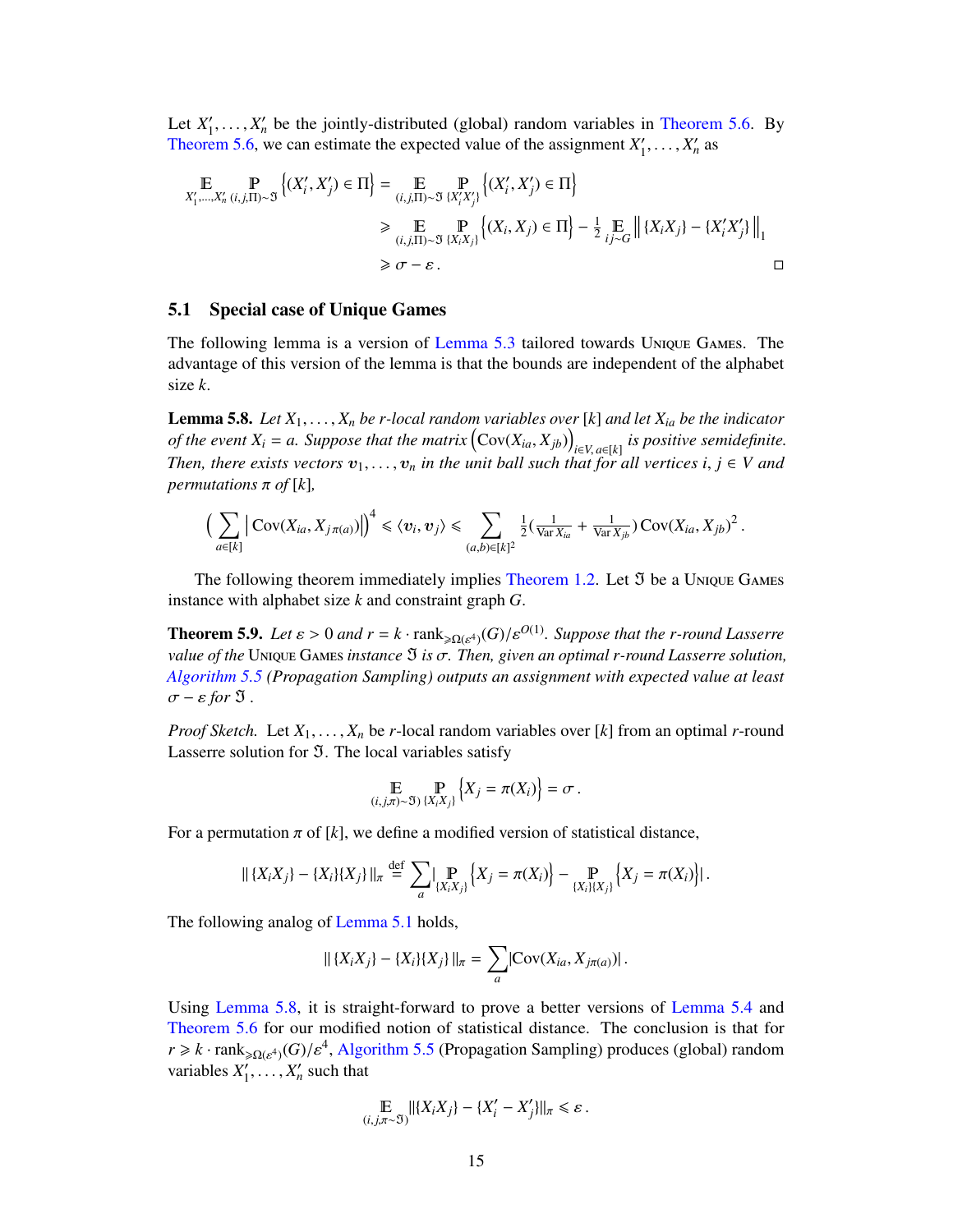Let  $X_1'$  $X'_1, \ldots, X'_n$  be the jointly-distributed (global) random variables in [Theorem 5.6.](#page-15-0) By<br>em 5.6, we can estimate the expected value of the assignment  $Y'$ ,  $Y'$  as [Theorem 5.6,](#page-15-0) we can estimate the expected value of the assignment  $X_1'$  $Y_1', \ldots, X_n'$  as

$$
\mathbb{E} \underset{X'_1, \dots, X'_n}{\mathbb{P}} \left[ \underset{(i,j,\Pi) \sim \mathfrak{I}}{\mathbb{P}} \left\{ (X'_i, X'_j) \in \Pi \right\} = \underset{(i,j,\Pi) \sim \mathfrak{I}}{\mathbb{E}} \underset{\{X'_i X'_j\}}{\mathbb{P}} \left\{ (X'_i, X'_j) \in \Pi \right\} \n\geq \underset{(i,j,\Pi) \sim \mathfrak{I}}{\mathbb{E}} \underset{\{X_i X_j\}}{\mathbb{P}} \left\{ (X_i, X_j) \in \Pi \right\} - \frac{1}{2} \underset{\{j \sim G\}}{\mathbb{E}} \left\| \{X_i X_j\} - \{X'_i X'_j\} \right\|_1 \n\geq \sigma - \varepsilon.
$$

#### <span id="page-16-0"></span>5.1 Special case of Unique Games

The following lemma is a version of [Lemma 5.3](#page-13-0) tailored towards Unique Games. The advantage of this version of the lemma is that the bounds are independent of the alphabet size *k*.

<span id="page-16-1"></span>Lemma 5.8. *Let <sup>X</sup>*1, . . . , *<sup>X</sup><sup>n</sup> be r-local random variables over* [*k*] *and let <sup>X</sup>ia be the indicator of the event*  $X_i = a$ . Suppose that the matrix  $(Cov(X_{ia}, X_{jb}))_{i \in V, a \in [k]}$  is positive semidefinite.<br>Then there exists usetars  $x_i = a$  in the unit hall such that for all vertices  $i \in V$  and *i*<sub>*i*</sub> *a*<sup>*i*</sup> *ci*<sup>*a*</sup><sub>*i*</sub><sup>*a*</sup> *i*<sup>*a*</sup> *i*<sup>*i*</sup> *i*<sup>*a*</sup> *i*<sup>*n*</sup> *i*<sup>*a*</sup> *i*<sup>*n*</sup> *i*<sup>*a*</sup> *i*<sup>*n*</sup> *i*<sup>*a*</sup> *i*<sup>*n*</sup> *i*<sup>*a*</sup> *if <i>i i <i>i <i>i <i>i*</del> *i <i>i <i>i*</del> *<i>i i i <i>i <i>i <i> permutations*  $\pi$  *of*  $[k]$ *,* 

$$
\Big(\sum_{a\in[k]} \Big|\operatorname{Cov}(X_{ia}, X_{j\pi(a)})\Big|\Big)^4 \leq \langle v_i, v_j\rangle \leq \sum_{(a,b)\in[k]^2} \tfrac{1}{2}(\tfrac{1}{\operatorname{Var} X_{ia}} + \tfrac{1}{\operatorname{Var} X_{jb}})\operatorname{Cov}(X_{ia}, X_{jb})^2.
$$

The following theorem immediately implies [Theorem 1.2.](#page-3-3) Let  $\mathfrak I$  be a Unique Games instance with alphabet size *k* and constraint graph *G*.

**Theorem 5.9.** *Let*  $\varepsilon > 0$  *and*  $r = k \cdot \text{rank}_{\geq \Omega(\varepsilon^4)}(G)/\varepsilon^{O(1)}$ *. Suppose that the r-round Lasserre*  $\Omega$  *rating*  $G$  *is a*  $\tau$  *Then given an optimal r round Lasserre solution value of the* UNIQUE GAMES *instance*  $\mathfrak{I}$  *is*  $\sigma$ . *Then, given an optimal r-round Lasserre solution, [Algorithm 5.5](#page-14-0) (Propagation Sampling) outputs an assignment with expected value at least*  $\sigma$  –  $\varepsilon$  *for*  $\mathfrak{I}$ .

*Proof Sketch.* Let *<sup>X</sup>*1, . . . , *<sup>X</sup><sup>n</sup>* be *<sup>r</sup>*-local random variables over [*k*] from an optimal *<sup>r</sup>*-round Lasserre solution for  $\mathfrak{I}$ . The local variables satisfy

$$
\mathbb{E} \bigoplus_{(i,j,\pi)\sim \mathfrak{V}} \mathbb{P}_{\{X_i X_j\}} \Big\{ X_j = \pi(X_i) \Big\} = \sigma.
$$

For a permutation  $\pi$  of [k], we define a modified version of statistical distance,

$$
\| \{X_i X_j\} - \{X_i\} \{X_j\} \|_{\pi} \stackrel{\text{def}}{=} \sum_{a} \big| \mathop{\mathbb{P}}_{\{X_i X_j\}} \left\{X_j = \pi(X_i)\right\} - \mathop{\mathbb{P}}_{\{X_i\} \{X_j\}} \left\{X_j = \pi(X_i)\right\} \big|.
$$

The following analog of [Lemma 5.1](#page-12-1) holds,

$$
\| \{X_i X_j\} - \{X_i\} \{X_j\} \|_{\pi} = \sum_{a} |\text{Cov}(X_{ia}, X_{j\pi(a)})|.
$$

Using [Lemma 5.8,](#page-16-1) it is straight-forward to prove a better versions of [Lemma 5.4](#page-14-1) and [Theorem 5.6](#page-15-0) for our modified notion of statistical distance. The conclusion is that for  $r \ge k \cdot \text{rank}_{\ge \Omega(\varepsilon^4)}(G)/\varepsilon^4$ , [Algorithm 5.5](#page-14-0) (Propagation Sampling) produces (global) random<br>variables  $Y'$ variables  $X_1'$  $X'_1, \ldots, X'_n$  such that

$$
\mathop{\mathbb{E}}_{(i,j,\pi\sim\mathfrak{V})} \|\{X_iX_j\} - \{X'_i - X'_j\}\|_{\pi} \leq \varepsilon.
$$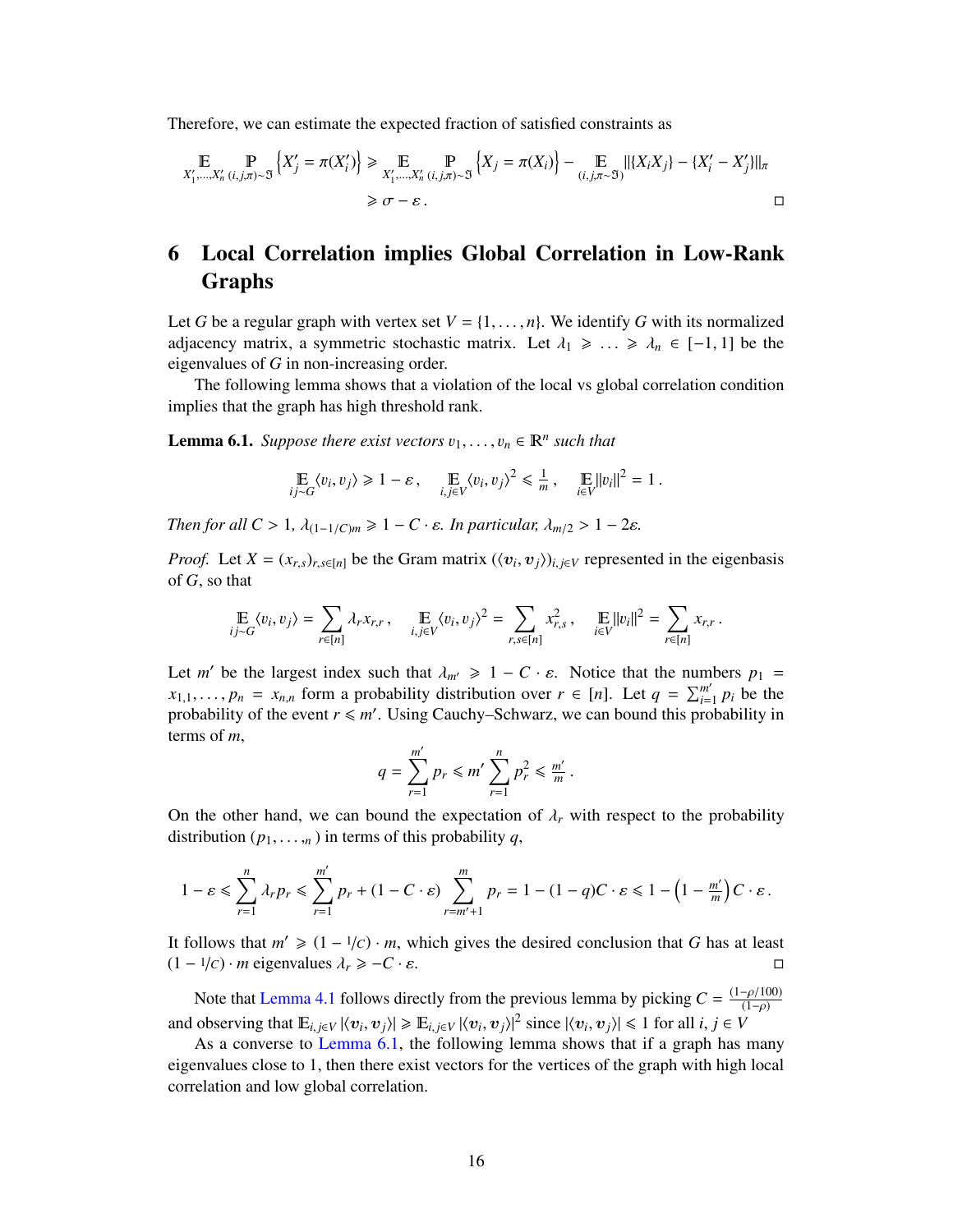Therefore, we can estimate the expected fraction of satisfied constraints as

 *X* 0 1 ,...,*<sup>X</sup>* 0 *n* (*i*, *<sup>j</sup>*,π)∼= n *X* 0 *<sup>j</sup>* <sup>=</sup> <sup>π</sup>(*<sup>X</sup>* 0 *i* ) o > *X* 0 1 ,...,*<sup>X</sup>* 0 *n* (*i*, *<sup>j</sup>*,π)∼= n *<sup>X</sup><sup>j</sup>* <sup>=</sup> <sup>π</sup>(*Xi*) o − (*i*, *<sup>j</sup>*,π∼=) k{*XiXj*} − {*X* 0 *<sup>i</sup>* − *X* 0 *j* }kπ <sup>&</sup>gt; σ <sup>−</sup> ε .

# <span id="page-17-0"></span>6 Local Correlation implies Global Correlation in Low-Rank Graphs

Let *G* be a regular graph with vertex set  $V = \{1, \ldots, n\}$ . We identify *G* with its normalized adjacency matrix, a symmetric stochastic matrix. Let  $\lambda_1 \geq \ldots \geq \lambda_n \in [-1, 1]$  be the eigenvalues of *G* in non-increasing order.

The following lemma shows that a violation of the local vs global correlation condition implies that the graph has high threshold rank.

<span id="page-17-1"></span>**Lemma 6.1.** *Suppose there exist vectors*  $v_1, \ldots, v_n \in \mathbb{R}^n$  *such that* 

$$
\mathop{\mathbb{E}}_{ij \sim G} \langle v_i, v_j \rangle \ge 1 - \varepsilon, \quad \mathop{\mathbb{E}}_{i,j \in V} \langle v_i, v_j \rangle^2 \le \frac{1}{m}, \quad \mathop{\mathbb{E}}_{i \in V} ||v_i||^2 = 1.
$$

*Then for all C* > 1,  $\lambda_{(1-1/C)m} \geq 1 - C \cdot \varepsilon$ . *In particular,*  $\lambda_{m/2} > 1 - 2\varepsilon$ .

*Proof.* Let  $X = (x_{r,s})_{r,s \in [n]}$  be the Gram matrix  $(\langle v_i, v_j \rangle)_{i,j \in V}$  represented in the eigenbasis of G so that of *G*, so that

$$
\mathop{\mathbb{E}}_{ij \sim G} \langle v_i, v_j \rangle = \sum_{r \in [n]} \lambda_r x_{r,r}, \quad \mathop{\mathbb{E}}_{i,j \in V} \langle v_i, v_j \rangle^2 = \sum_{r,s \in [n]} x_{r,s}^2, \quad \mathop{\mathbb{E}}_{i \in V} ||v_i||^2 = \sum_{r \in [n]} x_{r,r}.
$$

Let *m'* be the largest index such that  $\lambda_{m'} \geq 1 - C \cdot \varepsilon$ . Notice that the numbers  $p_1 = r_1$  form a probability distribution over  $r \in [n]$ . Let  $q = \sum_{m'} p_m$  be the  $x_{1,1}, \ldots, p_n = x_{n,n}$  form a probability distribution over  $r \in [n]$ . Let  $q = \sum_{i=1}^{m'} p_i$  reporting the event  $r \leq m'$ . Using Cauchy, Schwarz, we can bound this pro  $\binom{m'}{i=1}$  *p*<sub>*i*</sub> be the probability of the event  $r \leq m'$ . Using Cauchy–Schwarz, we can bound this probability in terms of *m*,

$$
q=\sum_{r=1}^{m'}p_r\leq m'\sum_{r=1}^np_r^2\leq \tfrac{m'}{m}
$$

On the other hand, we can bound the expectation of  $\lambda_r$  with respect to the probability distribution  $(p_1, \ldots, n)$  in terms of this probability *q*,

$$
1-\varepsilon\leq \sum_{r=1}^n \lambda_r p_r \leq \sum_{r=1}^{m'} p_r + (1-C\cdot \varepsilon) \sum_{r=m'+1}^m p_r = 1-(1-q)C\cdot \varepsilon \leq 1-\left(1-\tfrac{m'}{m}\right)C\cdot \varepsilon.
$$

It follows that  $m' \geq (1 - 1/c) \cdot m$ , which gives the desired conclusion that *G* has at least  $(1 - 1/c) \cdot m$  ejgenvalues  $\lambda \geq -C$ . s  $(1 - \frac{1}{c}) \cdot m$  eigenvalues  $\lambda_r \geq -C \cdot \varepsilon$ .  $\Box$ 

Note that [Lemma 4.1](#page-11-0) follows directly from the previous lemma by picking  $C = \frac{(1-\rho/100)}{(1-\rho)}$ (1−ρ) and observing that  $\mathbb{E}_{i,j\in V} |\langle v_i, v_j \rangle| \ge \mathbb{E}_{i,j\in V} |\langle v_i, v_j \rangle|^2$  since  $|\langle v_i, v_j \rangle| \le 1$  for all  $i, j \in V$ <br>As a converse to Lemma 6.1, the following lemma shows that if a graph has

As a converse to [Lemma 6.1,](#page-17-1) the following lemma shows that if a graph has many eigenvalues close to 1, then there exist vectors for the vertices of the graph with high local correlation and low global correlation.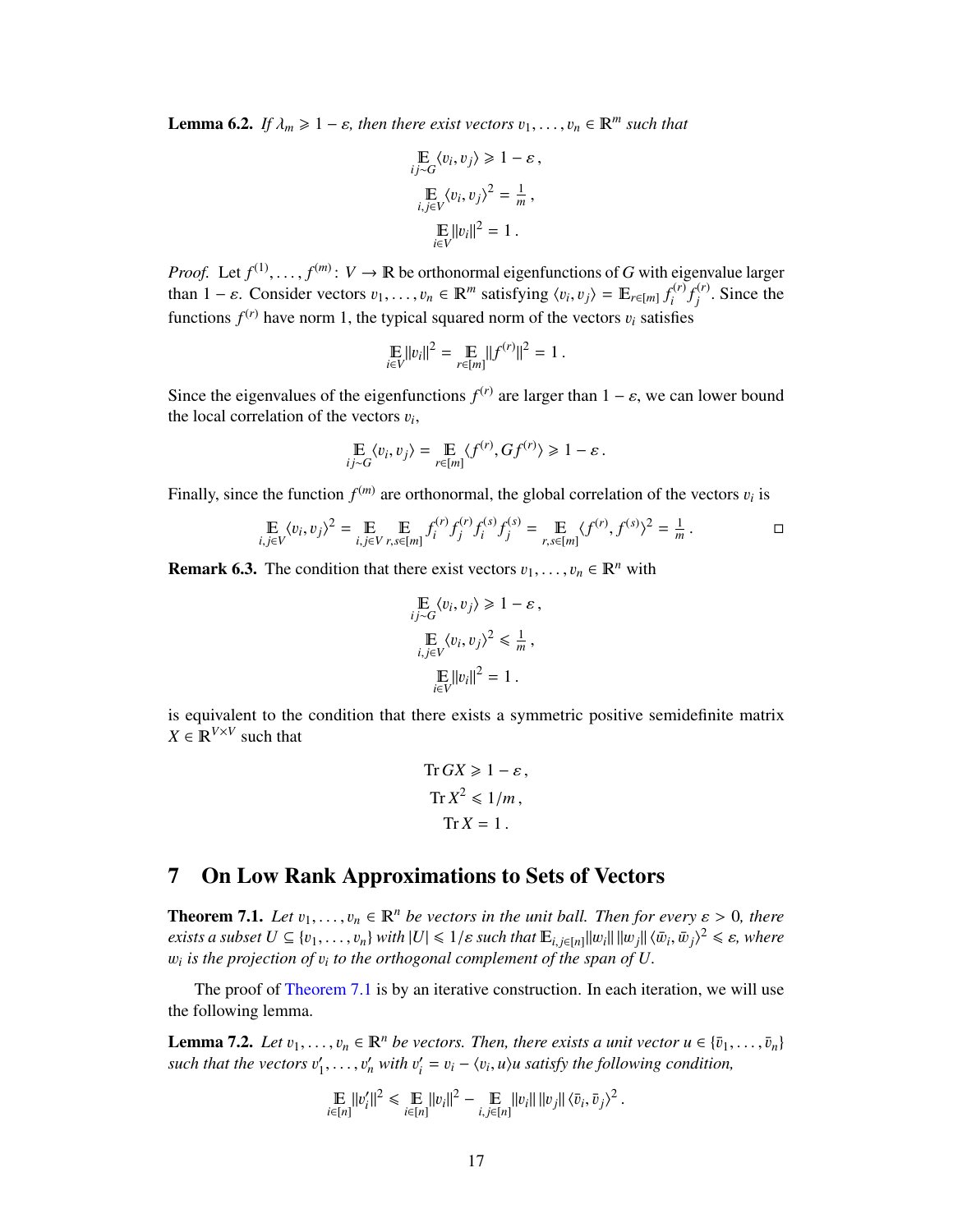**Lemma 6.2.** *If*  $\lambda_m \geq 1 - \varepsilon$ , then there exist vectors  $v_1, \ldots, v_n \in \mathbb{R}^m$  such that

$$
\mathbb{E}_{ij \sim G} \langle v_i, v_j \rangle \ge 1 - \varepsilon,
$$
  
\n
$$
\mathbb{E}_{i,j \in V} \langle v_i, v_j \rangle^2 = \frac{1}{m},
$$
  
\n
$$
\mathbb{E}_{i \in V} ||v_i||^2 = 1.
$$

*Proof.* Let  $f^{(1)}, \ldots, f^{(m)}: V \to \mathbb{R}$  be orthonormal eigenfunctions of *G* with eigenvalue larger than  $1 - \varepsilon$ . Consider vectors  $v_{\varepsilon} = v_{\varepsilon} \in \mathbb{R}^m$  satisfying  $\langle v_1, v_2 \rangle = \mathbb{E} \varepsilon \cdot f^{(r)} f^{(r)}$ . Since the than  $1 - \varepsilon$ . Consider vectors  $v_1, \ldots, v_n \in \mathbb{R}^m$  satisfying  $\langle v_i, v_j \rangle = \mathbb{E}_{r \in [m]} f_i^{(r)}$  $\int_i^{(r)} f_j^{(r)}$  $j^{(r)}$ . Since the functions  $f^{(r)}$  have norm 1, the typical squared norm of the vectors  $v_i$  satisfies

$$
\mathop{\mathbb{E}}_{i \in V} ||v_i||^2 = \mathop{\mathbb{E}}_{r \in [m]} ||f^{(r)}||^2 = 1.
$$

Since the eigenvalues of the eigenfunctions  $f^{(r)}$  are larger than  $1 - \varepsilon$ , we can lower bound the local correlation of the vectors *n*. the local correlation of the vectors  $v_i$ ,

$$
\mathop{\mathbb{E}}_{ij \sim G} \langle v_i, v_j \rangle = \mathop{\mathbb{E}}_{r \in [m]} \langle f^{(r)}, G f^{(r)} \rangle \ge 1 - \varepsilon.
$$

Finally, since the function  $f^{(m)}$  are orthonormal, the global correlation of the vectors  $v_i$  is

$$
\mathop{\mathbb{E}}_{i,j\in V} \langle v_i, v_j \rangle^2 = \mathop{\mathbb{E}}_{i,j\in V} \mathop{\mathbb{E}}_{r,s\in[m]} f_i^{(r)} f_j^{(r)} f_j^{(s)} f_j^{(s)} = \mathop{\mathbb{E}}_{r,s\in[m]} \langle f^{(r)}, f^{(s)} \rangle^2 = \frac{1}{m}.
$$

**Remark 6.3.** The condition that there exist vectors  $v_1, \ldots, v_n \in \mathbb{R}^n$  with

$$
\mathbb{E}_{ij \sim G} \langle v_i, v_j \rangle \ge 1 - \varepsilon,
$$
  
\n
$$
\mathbb{E}_{i,j \in V} \langle v_i, v_j \rangle^2 \le \frac{1}{m},
$$
  
\n
$$
\mathbb{E}_{i \in V} ||v_i||^2 = 1.
$$

is equivalent to the condition that there exists a symmetric positive semidefinite matrix  $X \in \mathbb{R}^{V \times V}$  such that

$$
\text{Tr } GX \ge 1 - \varepsilon,
$$
\n
$$
\text{Tr } X^2 \le 1/m,
$$
\n
$$
\text{Tr } X = 1.
$$

# <span id="page-18-0"></span>7 On Low Rank Approximations to Sets of Vectors

<span id="page-18-1"></span>**Theorem 7.1.** *Let*  $v_1, \ldots, v_n \in \mathbb{R}^n$  *be vectors in the unit ball. Then for every*  $\varepsilon > 0$ *, there exists a subset*  $U \subseteq \{v_1, \ldots, v_n\}$  *with*  $|U| \leq 1/\varepsilon$  *such that*  $\mathbb{E}_{i,j\in[n]} ||w_i|| ||w_j|| \langle \bar{w}_i, \bar{w}_j \rangle^2 \leq \varepsilon$ , where  $w_i$  *is the projection of*  $v_i$  *to the orthogonal complement of the span of*  $U$ w*i is the projection of* <sup>v</sup>*<sup>i</sup> to the orthogonal complement of the span of U.*

The proof of [Theorem 7.1](#page-18-1) is by an iterative construction. In each iteration, we will use the following lemma.

<span id="page-18-2"></span>**Lemma 7.2.** *Let*  $v_1, \ldots, v_n \in \mathbb{R}^n$  *be vectors. Then, there exists a unit vector*  $u \in {\bar{v}_1, \ldots, \bar{v}_n}$ such that the vectors  $v_1'$  $v'_1, \ldots, v'_n$  with  $v'_i$  $\mathbf{v}'_i = \mathbf{v}_i - \langle \mathbf{v}_i, \mathbf{u} \rangle$ *u* satisfy the following condition,

$$
\mathop{\mathbb{E}}_{i \in [n]} ||v_i'||^2 \leq \mathop{\mathbb{E}}_{i \in [n]} ||v_i||^2 - \mathop{\mathbb{E}}_{i,j \in [n]} ||v_i|| \, ||v_j|| \, \langle \bar{v}_i, \bar{v}_j \rangle^2 \, .
$$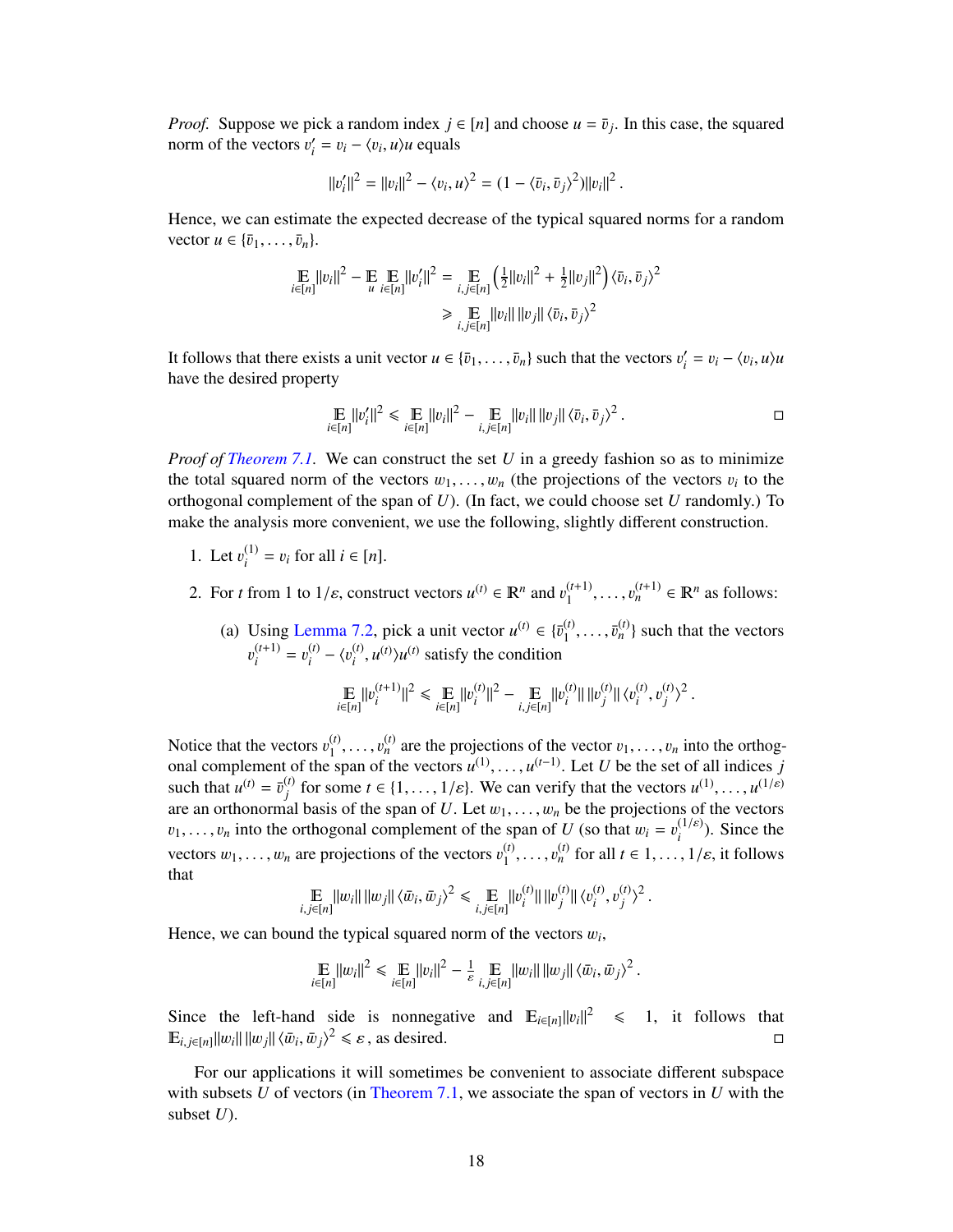*Proof.* Suppose we pick a random index  $j \in [n]$  and choose  $u = \bar{v}_j$ . In this case, the squared norm of the vectors  $v' = v_j - \langle v_j, u \rangle$  equals norm of the vectors  $v_i'$  $v_i' = v_i - \langle v_i, u \rangle u$  equals

$$
||v'_i||^2 = ||v_i||^2 - \langle v_i, u \rangle^2 = (1 - \langle \bar{v}_i, \bar{v}_j \rangle^2) ||v_i||^2.
$$

Hence, we can estimate the expected decrease of the typical squared norms for a random vector  $u \in {\overline{v_1, \ldots, v_n}}$ .

$$
\mathbb{E}_{i\in[n]} ||v_i||^2 - \mathbb{E}_{u} \mathbb{E}_{i\in[n]} ||v_i'||^2 = \mathbb{E}_{i,j\in[n]} \left(\frac{1}{2} ||v_i||^2 + \frac{1}{2} ||v_j||^2\right) \langle \bar{v}_i, \bar{v}_j \rangle^2
$$
  
\n
$$
\geq \mathbb{E}_{i,j\in[n]} ||v_i|| \, ||v_j|| \, \langle \bar{v}_i, \bar{v}_j \rangle^2
$$

It follows that there exists a unit vector  $u \in {\bar{v}_1, \ldots, \bar{v}_n}$  such that the vectors  $v'_i$ <br>have the desired property  $v_i' = v_i - \langle v_i, u \rangle u$ have the desired property

$$
\mathop{\mathbb{E}}_{i \in [n]} ||v_i'||^2 \leq \mathop{\mathbb{E}}_{i \in [n]} ||v_i||^2 - \mathop{\mathbb{E}}_{i,j \in [n]} ||v_i|| \, ||v_j|| \, \langle \bar{v}_i, \bar{v}_j \rangle^2 \, .
$$

*Proof of [Theorem 7.1.](#page-18-1)* We can construct the set *U* in a greedy fashion so as to minimize the total squared norm of the vectors  $w_1, \ldots, w_n$  (the projections of the vectors  $v_i$  to the orthogonal complement of the span of  $U$ ). (In fact, we could choose set  $U$  randomly.) To orthogonal complement of the span of *U*). (In fact, we could choose set *U* randomly.) To make the analysis more convenient, we use the following, slightly different construction.

- 1. Let  $v_i^{(1)}$  $i^{(1)}$  = *v<sub>i</sub>* for all *i* ∈ [*n*].
- 2. For *t* from 1 to  $1/\varepsilon$ , construct vectors  $u^{(t)} \in \mathbb{R}^n$  and  $v_1^{(t+1)}$  $1, \ldots, v$  $_{n}^{(t+1)}$  ∈ **R**<sup>*n*</sup> as follows:
	- (a) Using [Lemma 7.2,](#page-18-2) pick a unit vector  $u^{(t)} \in {\overline{v}_1^{(t)}}$ <br>  $u^{(t+1)}$   $u^{(t)}$   $u^{(t)}$   $v^{(t)}$   $v^{(t)}$  atisfies the soutition  $\{\bar{v}_1^{(t)}, \ldots, \bar{v}_n^{(t)}\}$  such that the vectors (*t*+1)  $i^{(t+1)} = v_i^{(t)}$  $\binom{t}{i} - \binom{v^{(t)}}{i}$  $\sum_{i}^{(t)}$ ,  $u^{(t)}$ ) $u^{(t)}$  satisfy the condition

$$
\mathop{\mathbb{E}}_{i \in [n]} ||v_i^{(t+1)}||^2 \le \mathop{\mathbb{E}}_{i \in [n]} ||v_i^{(t)}||^2 - \mathop{\mathbb{E}}_{i,j \in [n]} ||v_i^{(t)}|| ||v_j^{(t)}|| \langle v_i^{(t)}, v_j^{(t)} \rangle^2.
$$

Notice that the vectors  $v_1^{(t)}$ <br>
onal complement of the s  $_1$  ,  $\ldots$  ,  $^o$ <br>crean of Notice that the vectors  $v_1^{(t)}, \ldots, v_n^{(t)}$  are the projections of the vector  $v_1, \ldots, v_n$  into the orthogonal complement of the span of the vectors  $u^{(1)}, \ldots, u^{(t-1)}$ . Let U be the set of all indices j<br>such that  $u^{(t)} = \$ such that  $u^{(t)} = \bar{v}_j^{(t)}$ *j f (t)* for some  $t \in \{1, ..., 1/\varepsilon\}$ . We can verify that the vectors  $u^{(1)}, ..., u^{(1/\varepsilon)}$ <br>
and basis of the span of *U* Let  $w_1$  be the projections of the vectors are an orthonormal basis of the span of *U*. Let  $w_1, \ldots, w_n$  be the projections of the vectors  $w_1$ , into the orthogonal complement of the span of *U* (so that  $w_1 = v^{(1/\varepsilon)}$ ). Since the  $v_1, \ldots, v_n$  into the orthogonal complement of the span of *U* (so that  $w_i = v_i^{(1/\varepsilon)}$ ). Since the *i* vectors  $w_1, \ldots, w_n$  are projections of the vectors  $v_1^{(t)}$  $_1, \ldots, v$  $(n)$  for all  $t \in 1, ..., 1/\varepsilon$ , it follows that

$$
\mathop{\mathbb{E}}_{i,j\in[n]}\|w_i\|\|w_j\|\langle \bar{w}_i,\bar{w}_j\rangle^2 \leq \mathop{\mathbb{E}}_{i,j\in[n]}\|v_i^{(t)}\|\|v_j^{(t)}\|\langle v_i^{(t)},v_j^{(t)}\rangle^2.
$$

Hence, we can bound the typical squared norm of the vectors  $w_i$ ,

$$
\mathop{\mathbb{E}}_{i \in [n]} \|w_i\|^2 \le \mathop{\mathbb{E}}_{i \in [n]} \|v_i\|^2 - \frac{1}{\varepsilon} \mathop{\mathbb{E}}_{i,j \in [n]} \|w_i\| \|w_j\| \langle \bar{w}_i, \bar{w}_j \rangle^2.
$$

Since the left-hand side is nonnegative and  $\mathbb{E}_{i \in [n]} ||v_i||^2 \le 1$ , it follows that  $\mathbb{E}_{i,j\in[n]}||w_i|| \, ||w_j|| \, \langle \bar{w}_i, \bar{w}_j \rangle^2 \leq \varepsilon$ , as desired.

For our applications it will sometimes be convenient to associate different subspace with subsets *U* of vectors (in [Theorem 7.1,](#page-18-1) we associate the span of vectors in *U* with the subset *U*).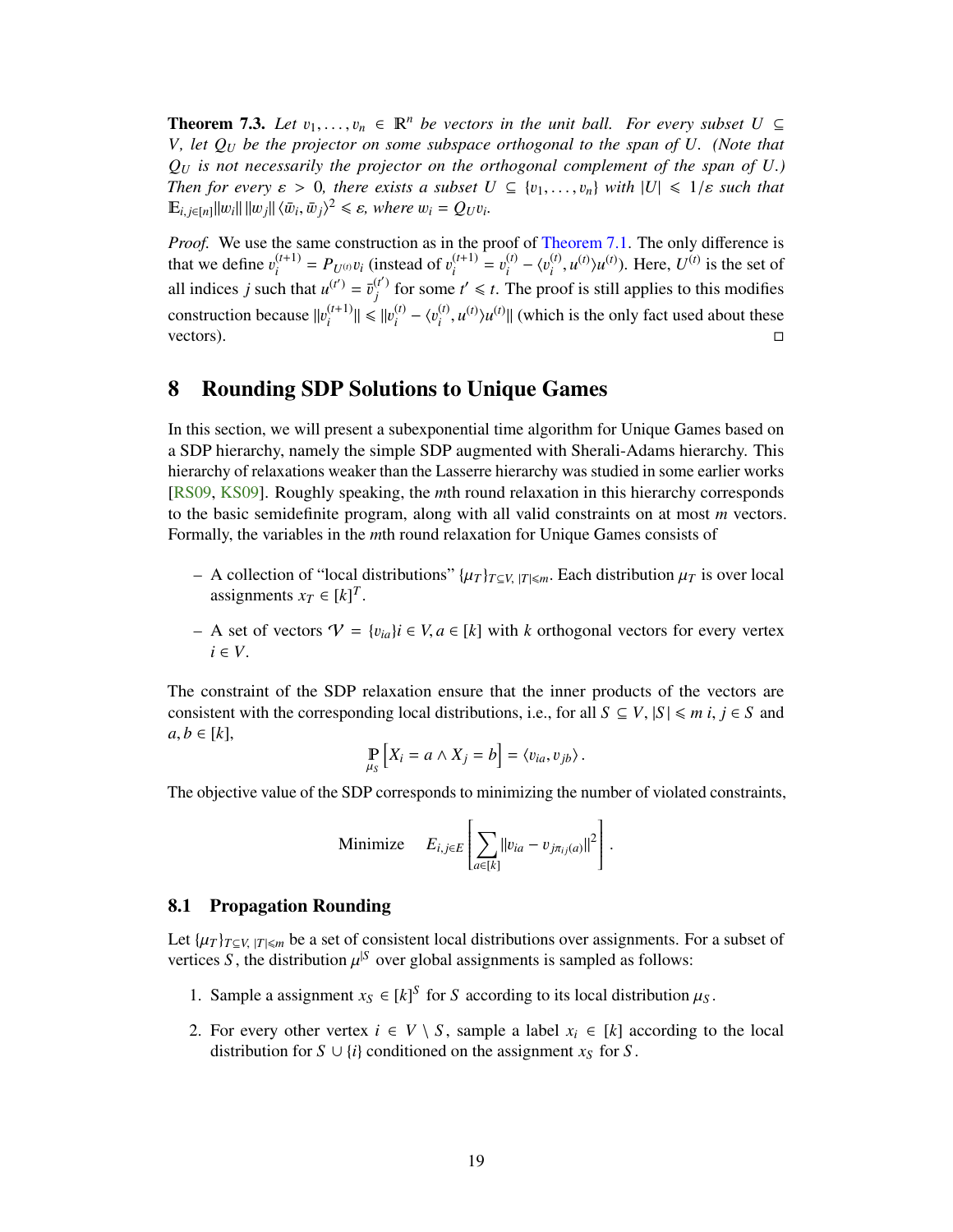<span id="page-20-3"></span><span id="page-20-2"></span>**Theorem 7.3.** Let  $v_1, \ldots, v_n \in \mathbb{R}^n$  be vectors in the unit ball. For every subset  $U \subseteq$ *V, let Q<sup>U</sup> be the projector on some subspace orthogonal to the span of U. (Note that*  $Q_U$  *is not necessarily the projector on the orthogonal complement of the span of*  $U$ .) *Then for every*  $\varepsilon > 0$ , there exists a subset  $U \subseteq \{v_1, \ldots, v_n\}$  with  $|U| \leq 1/\varepsilon$  such that  $\mathbb{E}_{i,j\in[n]} ||w_i|| ||w_j|| \langle \bar{w}_i, \bar{w}_j \rangle^2 \leq \varepsilon$ , where  $w_i = Q_U v_i$ .

*Proof.* We use the same construction as in the proof of [Theorem 7.1.](#page-18-1) The only difference is that we define  $v_i^{(t+1)}$  $P_U(t+1) = P_U(t) v_i$  (instead of  $v_i^{(t+1)}$ )  $v_i^{(t+1)} = v_i^{(t)}$  $\lambda_i^{(t)} - \langle v_i^{(t)} \rangle$  $\sum_i^{(t)} u^{(t)} \rangle u^{(t)}$ . Here,  $U^{(t)}$  is the set of all indices *j* such that  $u^{(t')} = \overline{v}_j^{(t')}$  $f'$  for some  $t' \leq t$ . The proof is still applies to this modifies construction because  $||v_i^{(t+1)}||$  $||u_i^{(t+1)}|| \le ||u_i^{(t)}||$  $\binom{t}{i} - \binom{v_i^{(t)}}{i}$  $\lim_{i}$ ,  $u^{(t)}$ ,  $u^{(t)}$  || (which is the only fact used about these vectors).  $\Box$ 

### <span id="page-20-0"></span>8 Rounding SDP Solutions to Unique Games

In this section, we will present a subexponential time algorithm for Unique Games based on a SDP hierarchy, namely the simple SDP augmented with Sherali-Adams hierarchy. This hierarchy of relaxations weaker than the Lasserre hierarchy was studied in some earlier works [\[RS09,](#page-28-3) [KS09\]](#page-27-5). Roughly speaking, the *m*th round relaxation in this hierarchy corresponds to the basic semidefinite program, along with all valid constraints on at most *m* vectors. Formally, the variables in the *m*th round relaxation for Unique Games consists of

- $-$  A collection of "local distributions" {μ<sub>*T*</sub>}<sub>*T*⊂*V*, |*T*|≤*m*. Each distribution μ<sub>*T*</sub> is over local</sub> assignments  $x_T \in [k]^T$ .
- − A set of vectors  $\mathcal{V} = \{v_{ia}\}\$ *i* ∈ *V*, *a* ∈ [*k*] with *k* orthogonal vectors for every vertex *i* ∈ *V*.

The constraint of the SDP relaxation ensure that the inner products of the vectors are consistent with the corresponding local distributions, i.e., for all  $S \subseteq V$ ,  $|S| \le m$  *i*,  $j \in S$  and  $a, b \in [k]$ ,

$$
\mathop{\mathbb{P}}_{\mu_S}\left[X_i = a \wedge X_j = b\right] = \langle v_{ia}, v_{jb} \rangle.
$$

The objective value of the SDP corresponds to minimizing the number of violated constraints,

Minimize 
$$
E_{i,j\in E}\left[\sum_{a\in[k]}||v_{ia}-v_{j\pi_{ij}(a)}||^2\right].
$$

#### <span id="page-20-1"></span>8.1 Propagation Rounding

Let  $\{\mu_T\}_{T\subseteq V, |T|\leq m}$  be a set of consistent local distributions over assignments. For a subset of vertices *S*, the distribution  $\mu$ <sup>[S</sup> over global assignments is sampled as follows:

- 1. Sample a assignment  $x_S \in [k]^S$  for *S* according to its local distribution  $\mu_S$ .
- 2. For every other vertex  $i \in V \setminus S$ , sample a label  $x_i \in [k]$  according to the local distribution for  $S \cup \{i\}$  conditioned on the assignment  $x_S$  for  $S$ .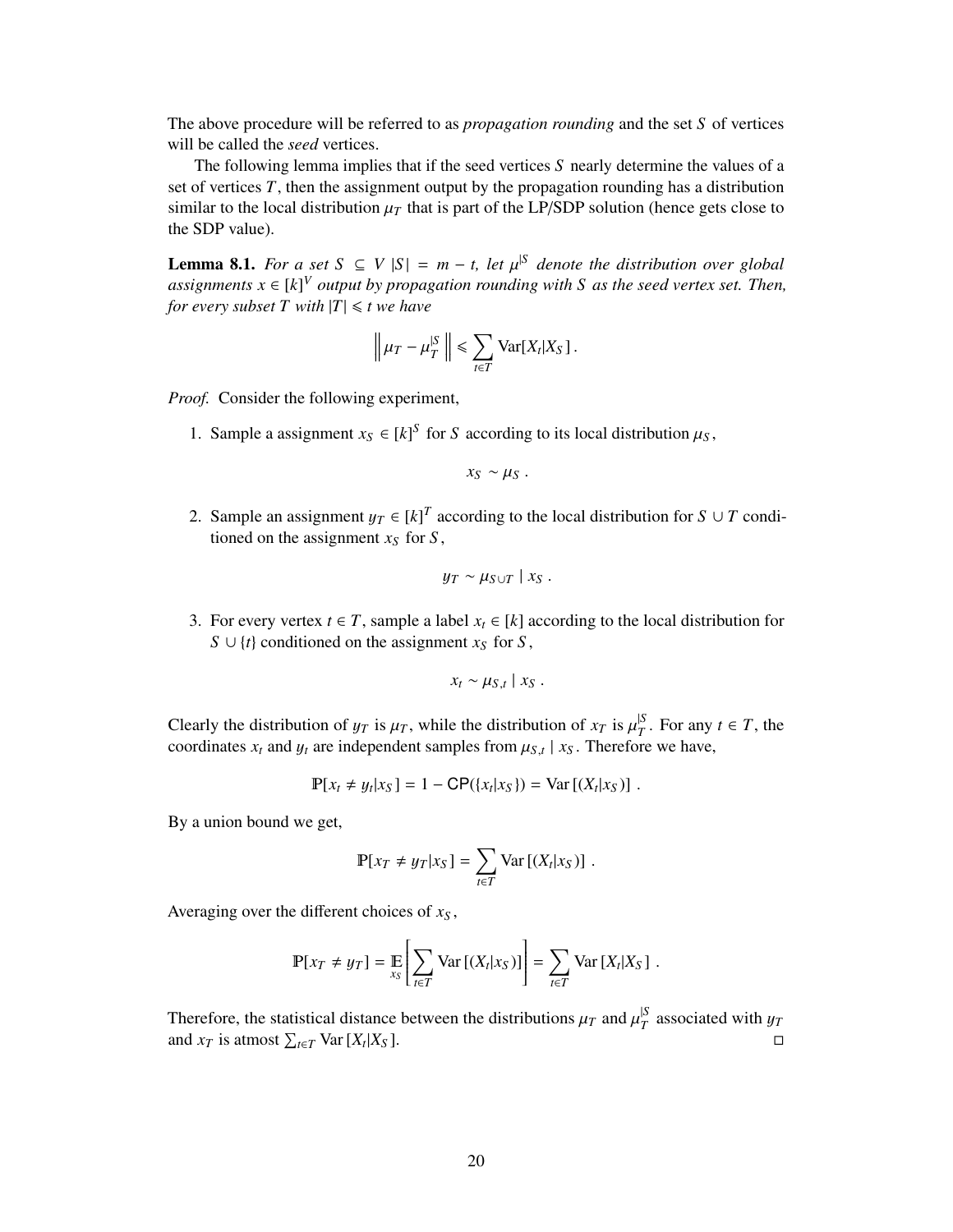The above procedure will be referred to as *propagation rounding* and the set *S* of vertices will be called the *seed* vertices.

The following lemma implies that if the seed vertices *S* nearly determine the values of a set of vertices *T*, then the assignment output by the propagation rounding has a distribution similar to the local distribution  $\mu_T$  that is part of the LP/SDP solution (hence gets close to the SDP value).

<span id="page-21-0"></span>**Lemma 8.1.** *For a set S* ⊆ *V* |*S*| = *m* − *t*, let  $\mu$ <sup>|S</sup> denote the distribution over global assignments  $x \in [k]^V$  output by propagation rounding with S as the seed vertex set. Then *assignments*  $x \in [k]^V$  *output by propagation rounding with S as the seed vertex set. Then, for every subset*  $T$  *with*  $|T| \le t$  *we have* 

$$
\left\|\mu_T-\mu_T^{|S|}\right\|\leq \sum_{t\in T} \text{Var}[X_t|X_S].
$$

*Proof.* Consider the following experiment,

1. Sample a assignment  $x_S \in [k]^S$  for *S* according to its local distribution  $\mu_S$ ,

$$
x_S \sim \mu_S.
$$

2. Sample an assignment  $y_T \in [k]^T$  according to the local distribution for *S* ∪ *T* conditioned on the assignment  $x_c$  for *S* tioned on the assignment  $x_S$  for  $S$ ,

$$
y_T \sim \mu_{S \cup T} \mid x_S \; .
$$

3. For every vertex *t* ∈ *T*, sample a label  $x_t$  ∈ [*k*] according to the local distribution for *S* ∪ {*t*} conditioned on the assignment *x<sub>S</sub>* for *S*,

$$
x_t \sim \mu_{S,t} \mid x_S .
$$

Clearly the distribution of  $y_T$  is  $\mu_T$ , while the distribution of  $x_T$  is  $\mu_T^{S}$ <br>coordinates *x* and *u* are independent samples from  $\mu_S$ , *x<sub>p</sub>*. Therefore  $T^{\text{S}}$ . For any  $t \in T$ , the coordinates  $x_t$  and  $y_t$  are independent samples from  $\mu_{S,t} \mid x_S$ . Therefore we have,

$$
\mathbb{P}[x_t \neq y_t | x_S] = 1 - \mathbb{CP}(\{x_t | x_S\}) = \text{Var}[(X_t | x_S)].
$$

By a union bound we get,

$$
\mathbb{P}[x_T \neq y_T | x_S] = \sum_{t \in T} \text{Var}[(X_t | x_S)].
$$

Averaging over the different choices of *x<sup>S</sup>* ,

$$
\mathbb{P}[x_T \neq y_T] = \mathop{\mathbb{E}}_{x_S} \left[ \sum_{t \in T} \text{Var} \left[ (X_t | x_S) \right] \right] = \sum_{t \in T} \text{Var} \left[ X_t | X_S \right].
$$

Therefore, the statistical distance between the distributions  $\mu_T$  and  $\mu_T^{S}$ <br>and  $r_{\rm T}$  is atmost  $\sum_{r}$  Nar [Y|Y|Y<sub>0</sub>] <sup> $\frac{p}{T}$ </sup> associated with  $y_T$ and  $x_T$  is atmost  $\sum_{t \in T}$  Var [ $X_t$  $|X_S|$ .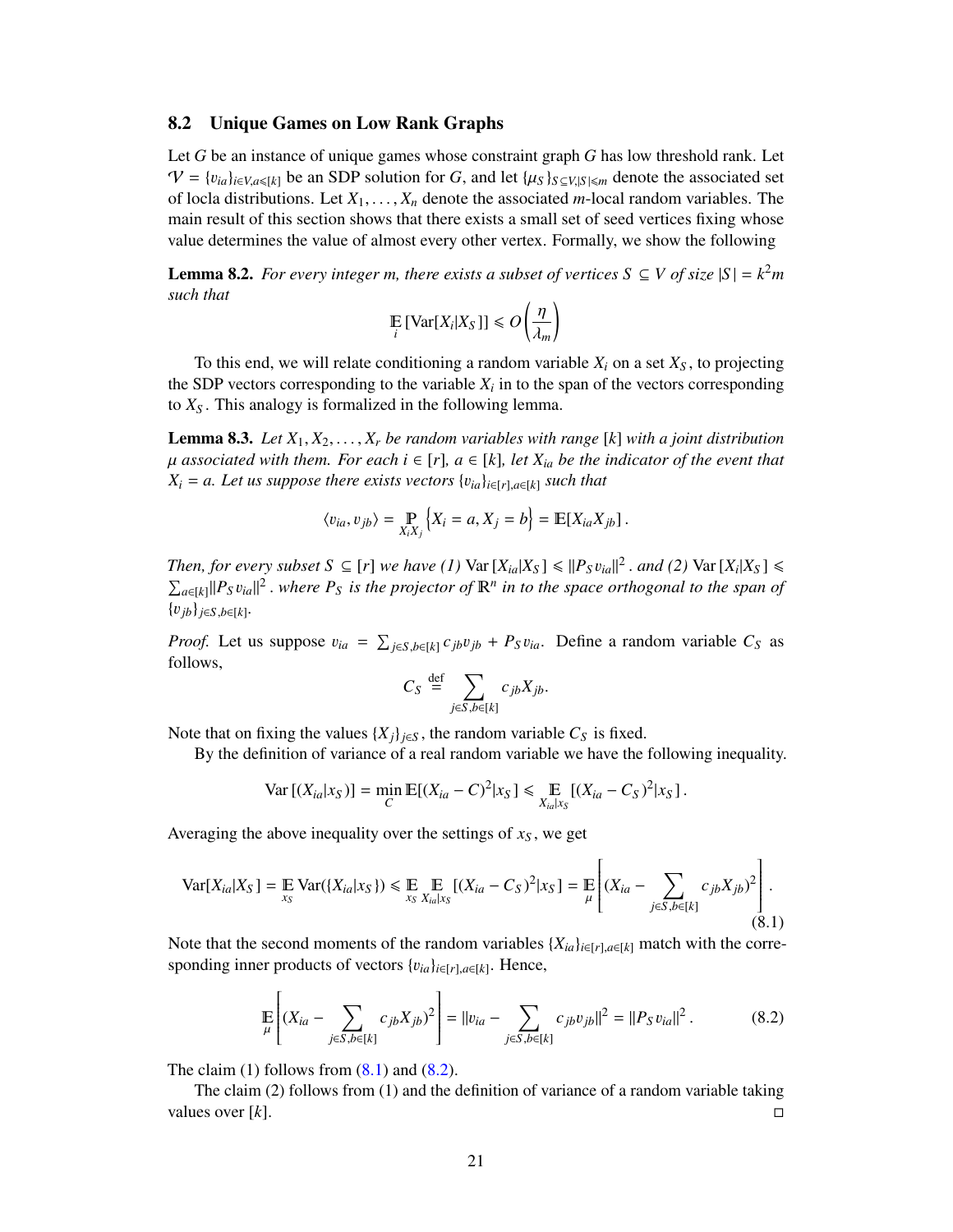#### <span id="page-22-0"></span>8.2 Unique Games on Low Rank Graphs

Let *G* be an instance of unique games whose constraint graph *G* has low threshold rank. Let  $V = \{v_{ia}\}_{i \in V, a \leq k}$  be an SDP solution for *G*, and let  $\{\mu_S\}_{S \subseteq V, |S| \leq m}$  denote the associated set of locla distributions. Let *<sup>X</sup>*1, . . . , *<sup>X</sup><sup>n</sup>* denote the associated *<sup>m</sup>*-local random variables. The main result of this section shows that there exists a small set of seed vertices fixing whose value determines the value of almost every other vertex. Formally, we show the following

<span id="page-22-3"></span>**Lemma 8.2.** *For every integer m, there exists a subset of vertices*  $S \subseteq V$  *of size*  $|S| = k^2m$ *such that*

$$
\mathop{\mathbb{E}}_i \left[ \text{Var}[X_i | X_S] \right] \leq O\left(\frac{\eta}{\lambda_m}\right)
$$

To this end, we will relate conditioning a random variable  $X_i$  on a set  $X<sub>S</sub>$ , to projecting the SDP vectors corresponding to the variable  $X_i$  in to the span of the vectors corresponding to *X<sup>S</sup>* . This analogy is formalized in the following lemma.

<span id="page-22-4"></span>**Lemma 8.3.** *Let*  $X_1, X_2, \ldots, X_r$  *be random variables with range* [k] *with a joint distribution*  $\mu$  associated with them. For each  $i \in [r]$ ,  $a \in [k]$ , let  $X_{ia}$  be the indicator of the event that  $X_i = a$ . Let us suppose there exists vectors  $\{v_{ia}\}_{i \in [r], a \in [k]}$  such that

$$
\langle v_{ia}, v_{jb} \rangle = \mathop{\mathbb{P}}_{X_i X_j} \{ X_i = a, X_j = b \} = \mathbb{E}[X_{ia} X_{jb}].
$$

*Then, for every subset*  $S \subseteq [r]$  *we have* (1)  $\text{Var}[X_{ia}|X_S] \le ||P_S v_{ia}||^2$ . *and* (2)  $\text{Var}[X_i|X_S] \le \sum_{a} ||P_a v_a||^2$ , where  $P_a$  is the projector of  $\mathbb{P}^n$  in to the space orthogonal to the span of  $\sum_{a \in [k]} ||P_S v_{ia}||^2$  *where*  $P_S$  *is the projector of*  $\mathbb{R}^n$  *in to the space orthogonal to the span of* {v*jb*}*j*∈*S*,*b*∈[*k*] *.*

*Proof.* Let us suppose  $v_{ia} = \sum_{j \in S, b \in [k]} c_{jb} v_{jb} + P_S v_{ia}$ . Define a random variable  $C_S$  as follows. follows,

$$
C_S \stackrel{\text{def}}{=} \sum_{j \in S, b \in [k]} c_{jb} X_{jb}.
$$

Note that on fixing the values  $\{X_j\}_{j \in S}$ , the random variable  $C_S$  is fixed.

By the definition of variance of a real random variable we have the following inequality.

$$
\text{Var}\left[ (X_{ia}|x_S) \right] = \min_C \mathbb{E}[(X_{ia} - C)^2 |x_S] \leq \mathbb{E}_{X_{ia}|x_S} [(X_{ia} - C_S)^2 |x_S].
$$

Averaging the above inequality over the settings of  $x<sub>S</sub>$ , we get

<span id="page-22-1"></span>
$$
\text{Var}[X_{ia}|X_S] = \mathop{\mathbb{E}}_{x_S} \text{Var}(\{X_{ia}|x_S\}) \le \mathop{\mathbb{E}}_{x_S} \mathop{\mathbb{E}}_{X_{ia}|x_S} [(X_{ia} - C_S)^2 | x_S] = \mathop{\mathbb{E}}_{\mu} \left[ (X_{ia} - \sum_{j \in S, b \in [k]} c_{jb} X_{jb})^2 \right].
$$
\n(8.1)

Note that the second moments of the random variables  ${X_{ia}}_{i \in [r], a \in [k]}$  match with the corresponding inner products of vectors {v*ia*}*i*∈[*r*],*a*∈[*k*] . Hence,

<span id="page-22-2"></span>
$$
\mathbb{E}\left[\left(X_{ia} - \sum_{j \in S, b \in [k]} c_{jb} X_{jb}\right)^2\right] = ||v_{ia} - \sum_{j \in S, b \in [k]} c_{jb} v_{jb}||^2 = ||P_S v_{ia}||^2. \tag{8.2}
$$

The claim (1) follows from  $(8.1)$  and  $(8.2)$ .

The claim (2) follows from (1) and the definition of variance of a random variable taking values over  $[k]$ .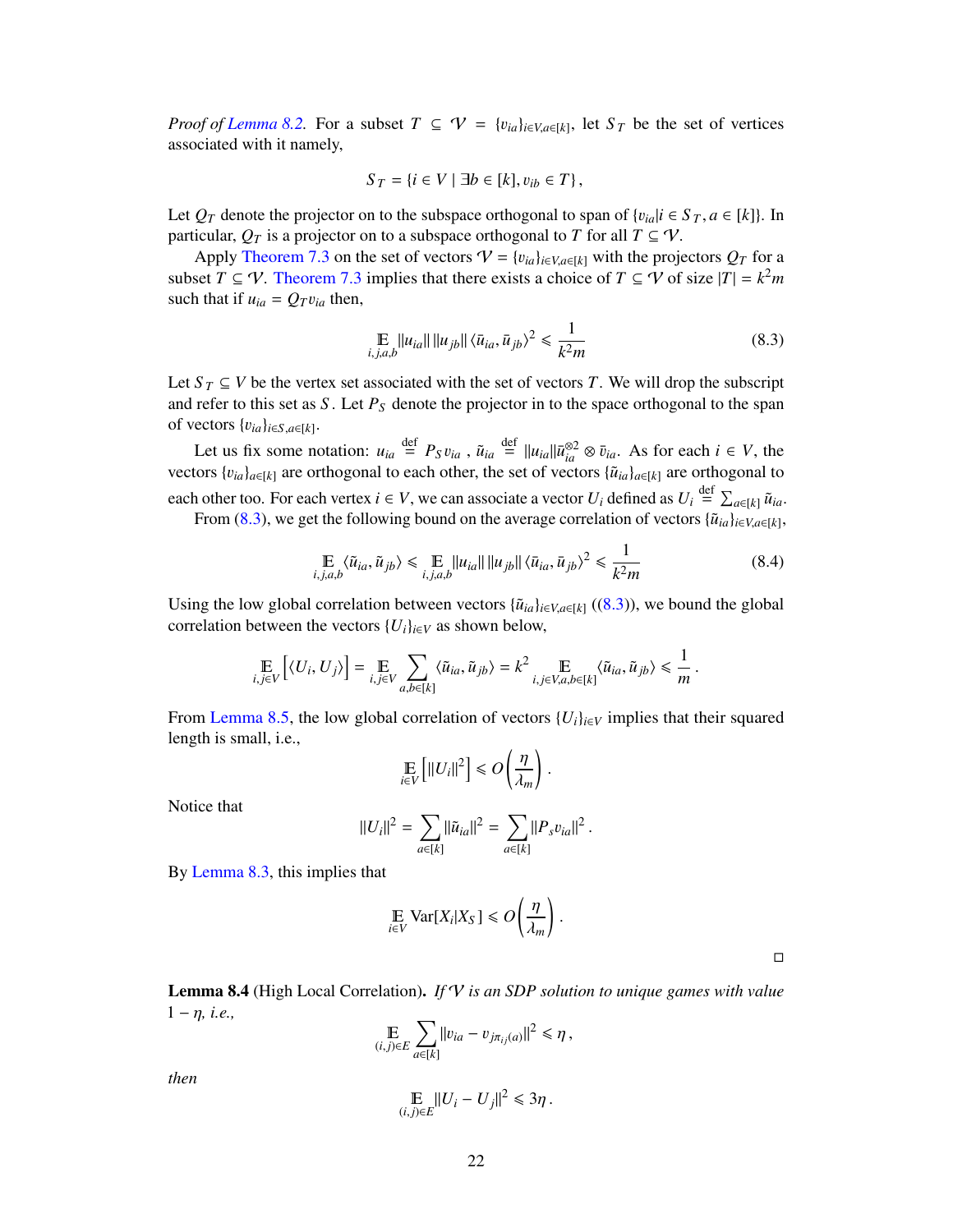*Proof of [Lemma 8.2.](#page-22-3)* For a subset  $T \subseteq V = \{v_{ia}\}_{i \in V, a \in [k]}$ , let  $S_T$  be the set of vertices associated with it namely associated with it namely,

$$
S_T = \{i \in V \mid \exists b \in [k], v_{ib} \in T\},\
$$

Let  $Q_T$  denote the projector on to the subspace orthogonal to span of  $\{v_{ia} | i \in S_T, a \in [k]\}$ . In particular,  $Q_T$  is a projector on to a subspace orthogonal to *T* for all  $T \subseteq V$ .

Apply [Theorem 7.3](#page-20-2) on the set of vectors  $V = \{v_{ia}\}_{i \in V, a \in [k]}$  with the projectors  $Q_T$  for a subset  $T \subseteq V$ . [Theorem 7.3](#page-20-2) implies that there exists a choice of  $T \subseteq V$  of size  $|T| = k^2m$ such that if  $u_{ia} = Q_T v_{ia}$  then,

<span id="page-23-0"></span>
$$
\mathbb{E}_{i,j,a,b} ||u_{ia}|| ||u_{jb}|| \langle \bar{u}_{ia}, \bar{u}_{jb} \rangle^2 \le \frac{1}{k^2 m}
$$
 (8.3)

Let  $S_T \subseteq V$  be the vertex set associated with the set of vectors *T*. We will drop the subscript and refer to this set as *S*. Let  $P<sub>S</sub>$  denote the projector in to the space orthogonal to the span of vectors  $\{v_{ia}\}_{i \in S, a \in [k]}$ .

Let us fix some notation:  $u_{ia} \stackrel{\text{def}}{=} P_S v_{ia}$ ,  $\tilde{u}_{ia} \stackrel{\text{def}}{=} ||u_{ia}|| \bar{u}_{ia}^{32} \otimes \bar{v}_{ia}$ . As for each  $i \in V$ , the vectors  ${v_{ia}}_{a \in [k]}$  are orthogonal to each other, the set of vectors  ${\tilde{u}_{ia}}_{a \in [k]}$  are orthogonal to each other too. For each vertex  $i \in V$ , we can associate a vector  $U_i$  defined as  $U_i \stackrel{\text{def}}{=} \sum_{a \in [k]} \tilde{u}_{ia}$ .

From [\(8.3\)](#page-23-0), we get the following bound on the average correlation of vectors  $\{\tilde{u}_{ia}\}_{i\in V, a\in[k]}$ ,

$$
\mathbb{E}_{i,j,a,b} \langle \tilde{u}_{ia}, \tilde{u}_{jb} \rangle \le \mathbb{E}_{i,j,a,b} ||u_{ia}|| ||u_{jb}|| \langle \bar{u}_{ia}, \bar{u}_{jb} \rangle^2 \le \frac{1}{k^2 m}
$$
(8.4)

Using the low global correlation between vectors  $\{\tilde{u}_{ia}\}_{i \in V, a \in [k]}$  ([\(8.3\)](#page-23-0)), we bound the global correlation between the vectors  ${U_i}_{i \in V}$  as shown below,

$$
\underset{i,j\in V}{\mathbb{E}}\left[\langle U_i,U_j\rangle\right]=\underset{i,j\in V}{\mathbb{E}}\sum_{a,b\in[k]}\langle \tilde{u}_{ia},\tilde{u}_{jb}\rangle=k^2\underset{i,j\in V,a,b\in[k]}{\mathbb{E}}\langle \tilde{u}_{ia},\tilde{u}_{jb}\rangle\leq \frac{1}{m}
$$

From [Lemma 8.5,](#page-24-1) the low global correlation of vectors  $\{U_i\}_{i\in V}$  implies that their squared length is small, i.e.,

$$
\mathop{\mathbb{E}}_{i \in V} \left[ ||U_i||^2 \right] \leq O\left(\frac{\eta}{\lambda_m}\right).
$$

Notice that

$$
||U_i||^2 = \sum_{a \in [k]} ||\tilde{u}_{ia}||^2 = \sum_{a \in [k]} ||P_s v_{ia}||^2
$$

By [Lemma 8.3,](#page-22-4) this implies that

$$
\mathop{\mathbb{E}}_{i \in V} \text{Var}[X_i | X_S] \le O\left(\frac{\eta}{\lambda_m}\right)
$$

 $\Box$ 

<span id="page-23-1"></span>Lemma 8.4 (High Local Correlation). *If* V *is an SDP solution to unique games with value*  $1 - \eta$ , *i.e.*,

$$
\mathop{\mathbb{E}}_{(i,j)\in E}\sum_{a\in[k]}\|v_{ia}-v_{j\pi_{ij}(a)}\|^2\leq \eta\,,
$$

*then*

$$
\mathop{\mathbb{E}}_{(i,j)\in E}||U_i-U_j||^2\leq 3\eta.
$$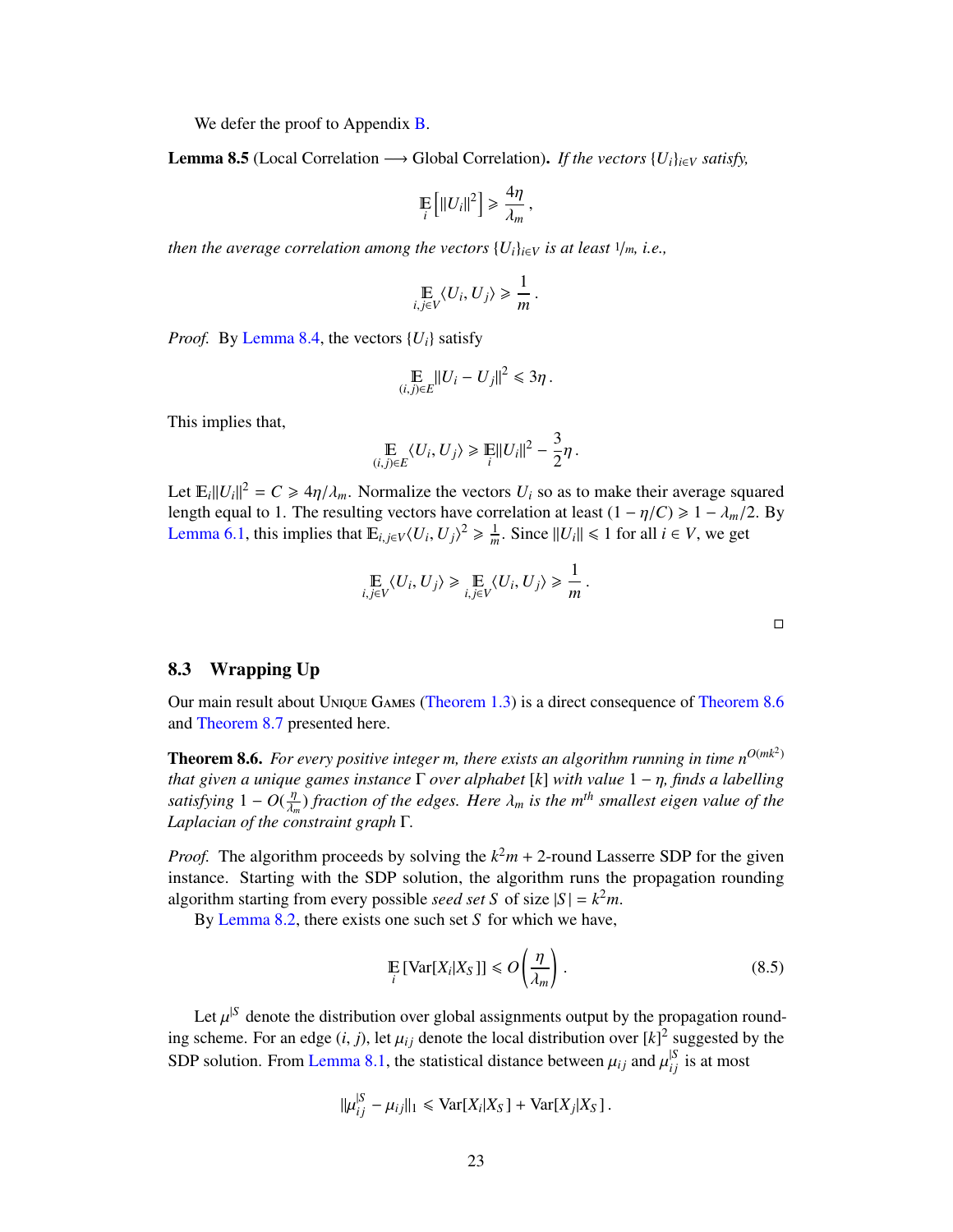We defer the proof to Appendix **B**.

<span id="page-24-1"></span>**Lemma 8.5** (Local Correlation → Global Correlation). *If the vectors*  $\{U_i\}_{i\in V}$  *satisfy*,

$$
\mathop{\mathbb{E}}_i\left[\|U_i\|^2\right] \geq \frac{4\eta}{\lambda_m},
$$

*then the average correlation among the vectors*  $\{U_i\}_{i\in V}$  *is at least*  $1/m$ *, i.e.,* 

$$
\mathop{\mathbb{E}}_{i,j\in V}\langle U_i,U_j\rangle\geq \frac{1}{m}.
$$

*Proof.* By [Lemma 8.4,](#page-23-1) the vectors  $\{U_i\}$  satisfy

$$
\mathop{\mathbb{E}}_{(i,j)\in E}||U_i-U_j||^2\leq 3\eta.
$$

This implies that,

$$
\mathop{\mathbb{E}}_{(i,j)\in E} \langle U_i, U_j \rangle \geq \mathop{\mathbb{E}}_{i} ||U_i||^2 - \frac{3}{2}\eta.
$$

Let  $\mathbb{E}_{i} ||U_{i}||^{2} = C \ge 4\eta/\lambda_{m}$ . Normalize the vectors  $U_{i}$  so as to make their average squared length equal to 1. The resulting vectors have correlation at least  $(1 - \eta/C) \ge 1 - \lambda$ . (2. By length equal to 1. The resulting vectors have correlation at least  $(1 - \eta/C) \ge 1 - \lambda_m/2$ . By [Lemma 6.1,](#page-17-1) this implies that  $\mathbb{E}_{i,j \in V} \langle U_i, U_j \rangle^2 \ge \frac{1}{m}$ . Since  $||U_i|| \le 1$  for all  $i \in V$ , we get

$$
\mathop{\mathbb{E}}_{i,j\in V}\langle U_i,U_j\rangle \geq \mathop{\mathbb{E}}_{i,j\in V}\langle U_i,U_j\rangle \geq \frac{1}{m}.
$$

#### <span id="page-24-0"></span>8.3 Wrapping Up

Our main result about Unique Games [\(Theorem 1.3\)](#page-4-1) is a direct consequence of [Theorem 8.6](#page-24-2) and [Theorem 8.7](#page-25-0) presented here.

<span id="page-24-2"></span>**Theorem 8.6.** For every positive integer *m*, there exists an algorithm running in time  $n^{O(mk^2)}$ *that given a unique games instance* <sup>Γ</sup> *over alphabet* [*k*] *with value* <sup>1</sup> <sup>−</sup> η*, finds a labelling satisfying*  $1 - O(\frac{\eta}{\lambda_m})$  *fraction of the edges. Here*  $\lambda_m$  *is the m*<sup>th</sup> *smallest eigen value of the*<br>*Laplacian of the constraint graph*  $\Gamma$ λ*m Laplacian of the constraint graph* Γ*.*

*Proof.* The algorithm proceeds by solving the  $k^2m + 2$ -round Lasserre SDP for the given instance. Starting with the SDP solution, the algorithm runs the propagation rounding algorithm starting from every possible *seed set S* of size  $|S| = k^2m$ .

By [Lemma 8.2,](#page-22-3) there exists one such set *S* for which we have,

<span id="page-24-3"></span>
$$
\mathbb{E}\left[\text{Var}[X_i|X_S]\right] \le O\left(\frac{\eta}{\lambda_m}\right). \tag{8.5}
$$

Let  $\mu^{S}$  denote the distribution over global assignments output by the propagation round-<br>scheme. For an edge *(i, j)* let *u*, denote the local distribution over  $[k]^2$  suggested by the ing scheme. For an edge  $(i, j)$ , let  $\mu_{ij}$  denote the local distribution over  $[k]^2$  suggested by the SDP solution. From [Lemma 8.1,](#page-21-0) the statistical distance between  $\mu_{ij}$  and  $\mu_{ij}^{|S|}$  is at most

$$
\|\mu_{ij}^{|S} - \mu_{ij}\|_1 \leq \text{Var}[X_i|X_S] + \text{Var}[X_j|X_S].
$$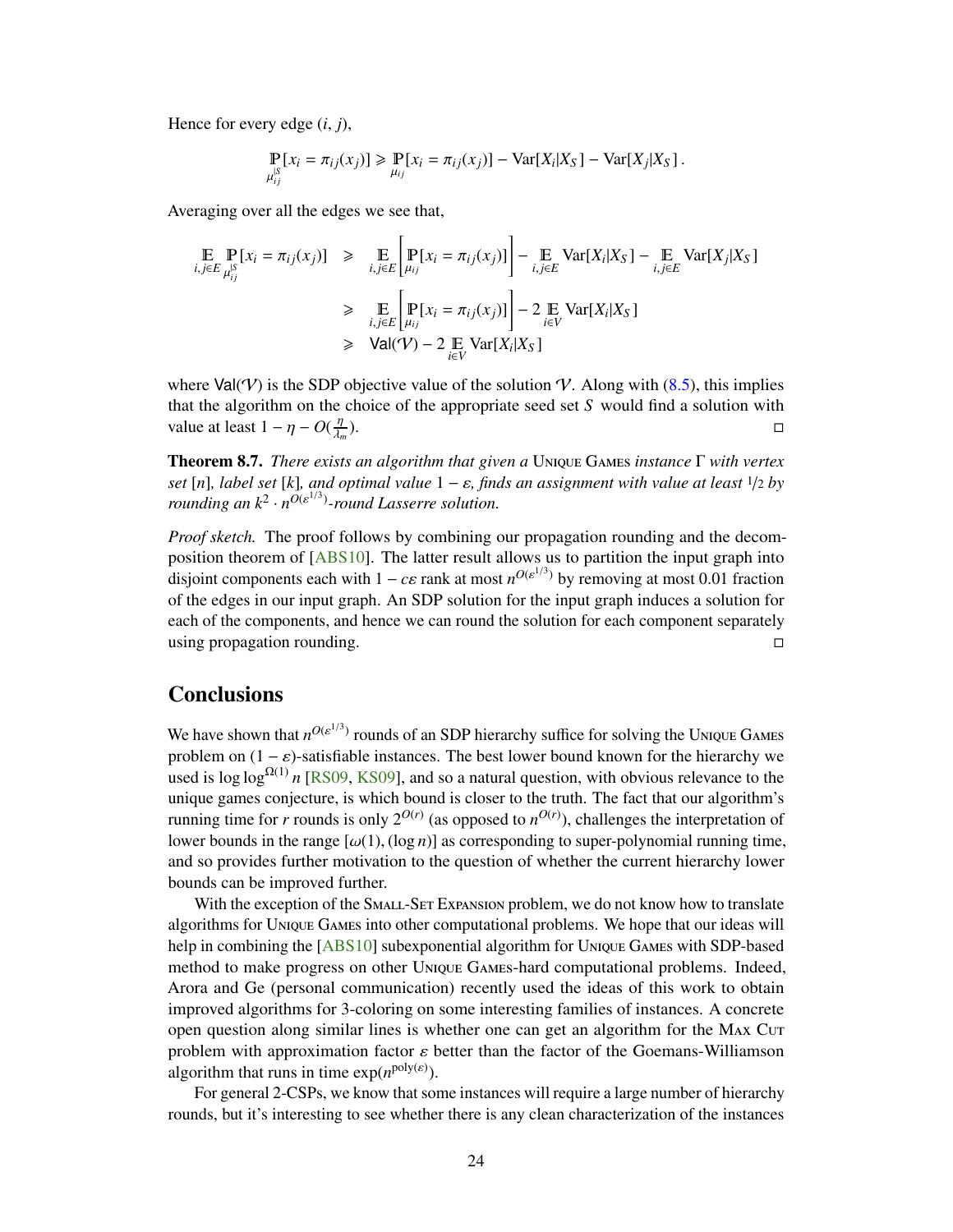<span id="page-25-1"></span>Hence for every edge (*i*, *<sup>j</sup>*),

$$
\mathop{\mathbb{P}}_{\mu_{ij}^S}[x_i = \pi_{ij}(x_j)] \ge \mathop{\mathbb{P}}_{\mu_{ij}}[x_i = \pi_{ij}(x_j)] - \text{Var}[X_i|X_S] - \text{Var}[X_j|X_S].
$$

Averaging over all the edges we see that,

$$
\mathbb{E}_{i,j \in E} \mathbb{P}_{\mu_{ij}^S} [x_i = \pi_{ij}(x_j)] \ge \mathbb{E}_{i,j \in E} \left[ \mathbb{P}_{\mu_{ij}} [x_i = \pi_{ij}(x_j)] \right] - \mathbb{E}_{i,j \in E} \text{Var}[X_i | X_S] - \mathbb{E}_{i,j \in E} \text{Var}[X_j | X_S]
$$
\n
$$
\ge \mathbb{E}_{i,j \in E} \left[ \mathbb{P}_{\mu_{ij}} [x_i = \pi_{ij}(x_j)] \right] - 2 \mathbb{E}_{i \in V} \text{Var}[X_i | X_S]
$$
\n
$$
\ge \text{Val}(\mathcal{V}) - 2 \mathbb{E}_{i \in V} \text{Var}[X_i | X_S]
$$

where Val(V) is the SDP objective value of the solution V. Along with [\(8.5\)](#page-24-3), this implies that the algorithm on the choice of the appropriate seed set *S* would find a solution with value at least  $1 - \eta - O(\frac{\eta}{\lambda_m})$ ).  $\Box$ 

<span id="page-25-0"></span>Theorem 8.7. *There exists an algorithm that given a* Unique Games *instance* Γ *with vertex set* [*n*]*, label set* [*k*]*, and optimal value* <sup>1</sup> <sup>−</sup> ε*, finds an assignment with value at least* <sup>1</sup>/<sup>2</sup> *by rounding an*  $k^2 \cdot n^{O(\varepsilon^{1/3})}$ -round Lasserre solution.

*Proof sketch.* The proof follows by combining our propagation rounding and the decomposition theorem of [\[ABS10\]](#page-26-7). The latter result allows us to partition the input graph into disjoint components each with  $1 - c\varepsilon$  rank at most  $n^{O(\varepsilon^{1/3})}$  by removing at most 0.01 fraction<br>of the edges in our input graph. An SDP solution for the input graph induces a solution for of the edges in our input graph. An SDP solution for the input graph induces a solution for each of the components, and hence we can round the solution for each component separately using propagation rounding.

# **Conclusions**

We have shown that  $n^{O(\varepsilon^{1/3})}$  rounds of an SDP hierarchy suffice for solving the Unique Games problem on  $(1 - \varepsilon)$ -satisfiable instances. The best lower bound known for the hierarchy we used is  $\log \log^{Q(1)} n$  [\[RS09,](#page-28-3) [KS09\]](#page-27-5), and so a natural question, with obvious relevance to the unique games conjecture, is which bound is closer to the truth. The fact that our algorithm's running time for *r* rounds is only  $2^{O(r)}$  (as opposed to  $n^{O(r)}$ ), challenges the interpretation of lower bounds in the range  $[\omega(1), (\log n)]$  as corresponding to super-polynomial running time, and so provides further motivation to the question of whether the current hierarchy lower bounds can be improved further.

With the exception of the SMALL-SET Expansion problem, we do not know how to translate algorithms for Unique Games into other computational problems. We hope that our ideas will help in combining the  $[ABS10]$  subexponential algorithm for Unique Games with SDP-based method to make progress on other Unique Games-hard computational problems. Indeed, Arora and Ge (personal communication) recently used the ideas of this work to obtain improved algorithms for 3-coloring on some interesting families of instances. A concrete open question along similar lines is whether one can get an algorithm for the MAX Cut problem with approximation factor  $\varepsilon$  better than the factor of the Goemans-Williamson algorithm that runs in time  $exp(n^{poly(\varepsilon)})$ .

For general 2-CSPs, we know that some instances will require a large number of hierarchy rounds, but it's interesting to see whether there is any clean characterization of the instances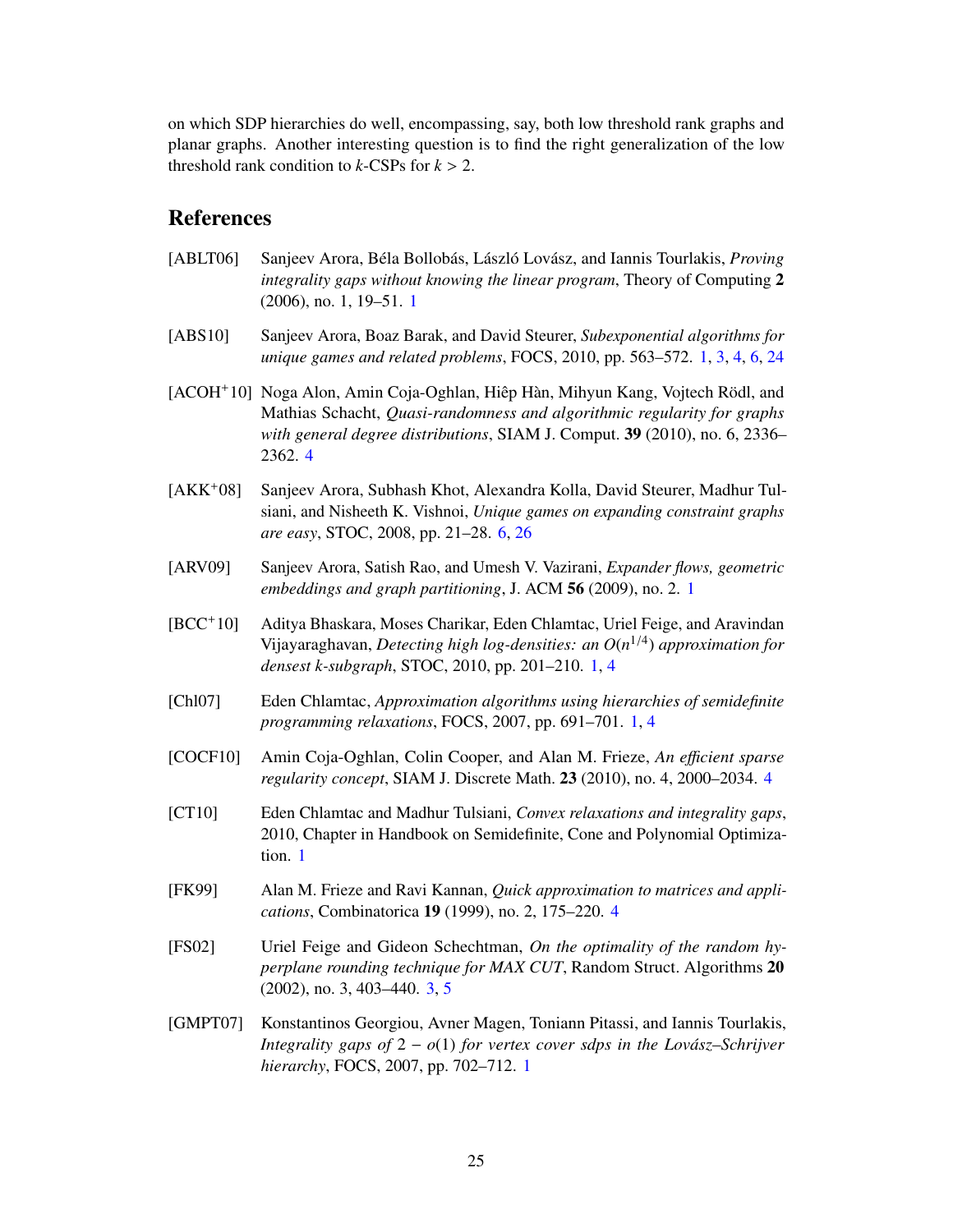on which SDP hierarchies do well, encompassing, say, both low threshold rank graphs and planar graphs. Another interesting question is to find the right generalization of the low threshold rank condition to  $k$ -CSPs for  $k > 2$ .

### <span id="page-26-0"></span>References

- <span id="page-26-5"></span>[ABLT06] Sanjeev Arora, Béla Bollobás, László Lovász, and Iannis Tourlakis, *Proving integrality gaps without knowing the linear program*, Theory of Computing 2 (2006), no. 1, 19–51. [1](#page-0-0)
- <span id="page-26-7"></span>[ABS10] Sanjeev Arora, Boaz Barak, and David Steurer, *Subexponential algorithms for unique games and related problems*, FOCS, 2010, pp. 563–572. [1,](#page-0-0) [3,](#page-4-2) [4,](#page-5-1) [6,](#page-7-0) [24](#page-25-1)
- <span id="page-26-10"></span>[ACOH+10] Noga Alon, Amin Coja-Oghlan, Hiêp Hàn, Mihyun Kang, Vojtech Rödl, and Mathias Schacht, *Quasi-randomness and algorithmic regularity for graphs with general degree distributions*, SIAM J. Comput. 39 (2010), no. 6, 2336– 2362. [4](#page-5-1)
- <span id="page-26-12"></span>[AKK+08] Sanjeev Arora, Subhash Khot, Alexandra Kolla, David Steurer, Madhur Tulsiani, and Nisheeth K. Vishnoi, *Unique games on expanding constraint graphs are easy*, STOC, 2008, pp. 21–28. [6,](#page-7-0) [26](#page-27-15)
- <span id="page-26-2"></span>[ARV09] Sanjeev Arora, Satish Rao, and Umesh V. Vazirani, *Expander flows, geometric embeddings and graph partitioning*, J. ACM 56 (2009), no. 2. [1](#page-0-0)
- <span id="page-26-4"></span>[BCC+10] Aditya Bhaskara, Moses Charikar, Eden Chlamtac, Uriel Feige, and Aravindan Vijayaraghavan, *Detecting high log-densities: an O*(*n* 1/4 ) *approximation for densest k-subgraph*, STOC, 2010, pp. 201–210. [1,](#page-0-0) [4](#page-5-1)
- <span id="page-26-3"></span>[Chl07] Eden Chlamtac, *Approximation algorithms using hierarchies of semidefinite programming relaxations*, FOCS, 2007, pp. 691–701. [1,](#page-0-0) [4](#page-5-1)
- <span id="page-26-11"></span>[COCF10] Amin Coja-Oghlan, Colin Cooper, and Alan M. Frieze, *An e*ffi*cient sparse regularity concept*, SIAM J. Discrete Math. 23 (2010), no. 4, 2000–2034. [4](#page-5-1)
- <span id="page-26-1"></span>[CT10] Eden Chlamtac and Madhur Tulsiani, *Convex relaxations and integrality gaps*, 2010, Chapter in Handbook on Semidefinite, Cone and Polynomial Optimization. [1](#page-0-0)
- <span id="page-26-9"></span>[FK99] Alan M. Frieze and Ravi Kannan, *Quick approximation to matrices and applications*, Combinatorica 19 (1999), no. 2, 175–220. [4](#page-5-1)
- <span id="page-26-8"></span>[FS02] Uriel Feige and Gideon Schechtman, *On the optimality of the random hyperplane rounding technique for MAX CUT*, Random Struct. Algorithms 20 (2002), no. 3, 403–440. [3,](#page-4-2) [5](#page-6-0)
- <span id="page-26-6"></span>[GMPT07] Konstantinos Georgiou, Avner Magen, Toniann Pitassi, and Iannis Tourlakis, *Integrality gaps of* 2 − *o*(1) *for vertex cover sdps in the Lovász–Schrijver hierarchy*, FOCS, 2007, pp. 702–712. [1](#page-0-0)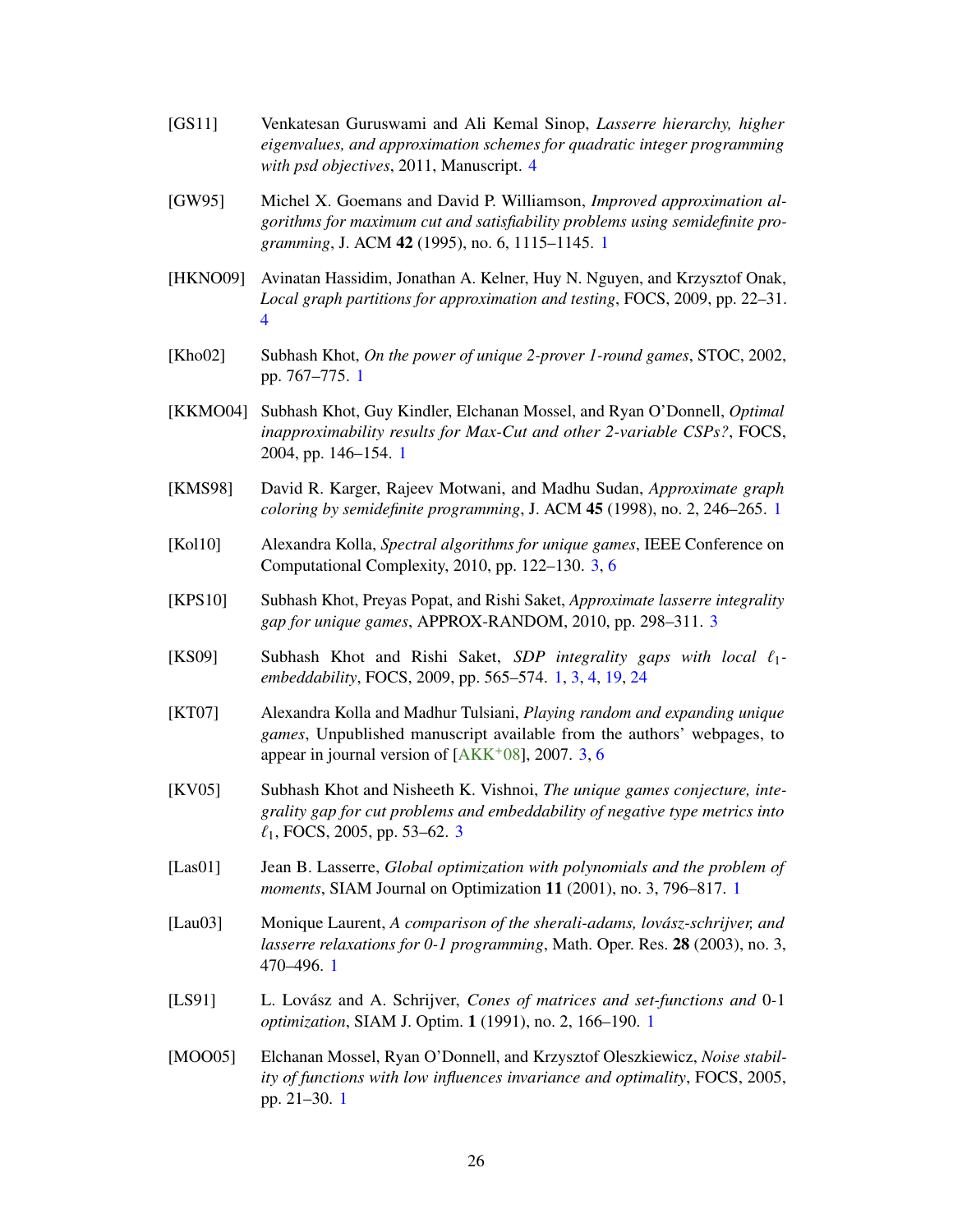- <span id="page-27-15"></span><span id="page-27-14"></span>[GS11] Venkatesan Guruswami and Ali Kemal Sinop, *Lasserre hierarchy, higher eigenvalues, and approximation schemes for quadratic integer programming with psd objectives*, 2011, Manuscript. [4](#page-5-1)
- <span id="page-27-0"></span>[GW95] Michel X. Goemans and David P. Williamson, *Improved approximation algorithms for maximum cut and satisfiability problems using semidefinite programming*, J. ACM 42 (1995), no. 6, 1115–1145. [1](#page-0-0)
- <span id="page-27-13"></span>[HKNO09] Avinatan Hassidim, Jonathan A. Kelner, Huy N. Nguyen, and Krzysztof Onak, *Local graph partitions for approximation and testing*, FOCS, 2009, pp. 22–31. [4](#page-5-1)
- <span id="page-27-6"></span>[Kho02] Subhash Khot, *On the power of unique 2-prover 1-round games*, STOC, 2002, pp. 767–775. [1](#page-0-0)
- <span id="page-27-7"></span>[KKMO04] Subhash Khot, Guy Kindler, Elchanan Mossel, and Ryan O'Donnell, *Optimal inapproximability results for Max-Cut and other 2-variable CSPs?*, FOCS, 2004, pp. 146–154. [1](#page-0-0)
- <span id="page-27-1"></span>[KMS98] David R. Karger, Rajeev Motwani, and Madhu Sudan, *Approximate graph coloring by semidefinite programming*, J. ACM 45 (1998), no. 2, 246–265. [1](#page-0-0)
- <span id="page-27-12"></span>[Kol10] Alexandra Kolla, *Spectral algorithms for unique games*, IEEE Conference on Computational Complexity, 2010, pp. 122–130. [3,](#page-4-2) [6](#page-7-0)
- <span id="page-27-10"></span>[KPS10] Subhash Khot, Preyas Popat, and Rishi Saket, *Approximate lasserre integrality gap for unique games*, APPROX-RANDOM, 2010, pp. 298–311. [3](#page-4-2)
- <span id="page-27-5"></span>[KS09] Subhash Khot and Rishi Saket, *SDP integrality gaps with local*  $\ell_1$ *embeddability*, FOCS, 2009, pp. 565–574. [1,](#page-0-0) [3,](#page-4-2) [4,](#page-5-1) [19,](#page-20-3) [24](#page-25-1)
- <span id="page-27-11"></span>[KT07] Alexandra Kolla and Madhur Tulsiani, *Playing random and expanding unique games*, Unpublished manuscript available from the authors' webpages, to appear in journal version of  $[AKK^+08]$  $[AKK^+08]$ , 2007. [3,](#page-4-2) [6](#page-7-0)
- <span id="page-27-9"></span>[KV05] Subhash Khot and Nisheeth K. Vishnoi, *The unique games conjecture, integrality gap for cut problems and embeddability of negative type metrics into*  $\ell_1$ , FOCS, 2005, pp. 5[3](#page-4-2)–62. 3
- <span id="page-27-3"></span>[Las01] Jean B. Lasserre, *Global optimization with polynomials and the problem of moments*, SIAM Journal on Optimization 11 (2001), no. 3, 796–817. [1](#page-0-0)
- <span id="page-27-4"></span>[Lau03] Monique Laurent, *A comparison of the sherali-adams, lovász-schrijver, and lasserre relaxations for 0-1 programming*, Math. Oper. Res. 28 (2003), no. 3, 470–496. [1](#page-0-0)
- <span id="page-27-2"></span>[LS91] L. Lovász and A. Schrijver, *Cones of matrices and set-functions and* 0*-*1 *optimization*, SIAM J. Optim. 1 (1991), no. 2, 166–190. [1](#page-0-0)
- <span id="page-27-8"></span>[MOO05] Elchanan Mossel, Ryan O'Donnell, and Krzysztof Oleszkiewicz, *Noise stability of functions with low influences invariance and optimality*, FOCS, 2005, pp. 21–30. [1](#page-0-0)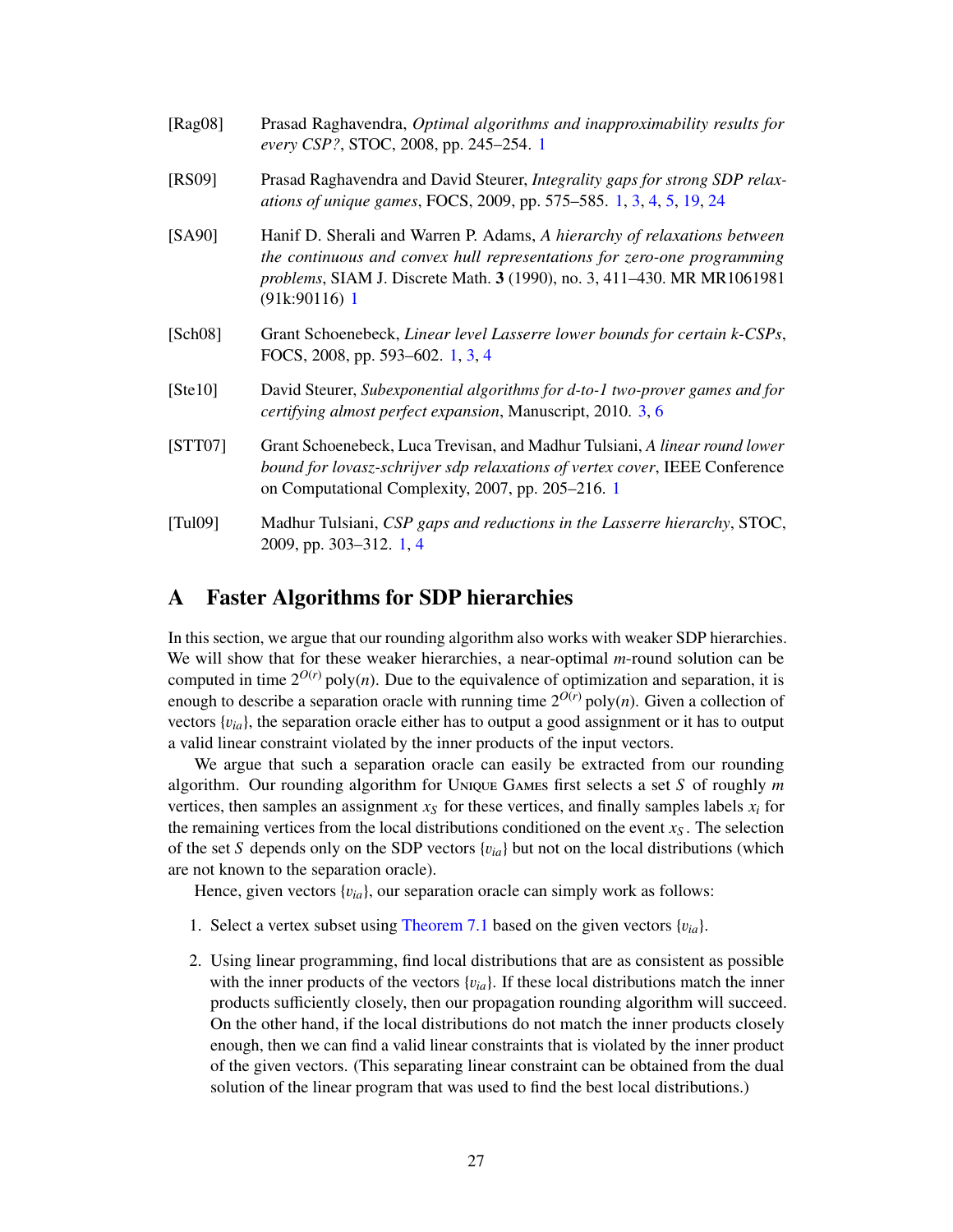<span id="page-28-6"></span><span id="page-28-4"></span><span id="page-28-3"></span><span id="page-28-1"></span>

| [ $Rag08$ ]                  | Prasad Raghavendra, Optimal algorithms and inapproximability results for<br>every CSP?, STOC, 2008, pp. 245-254. 1                                                                                                                                        |
|------------------------------|-----------------------------------------------------------------------------------------------------------------------------------------------------------------------------------------------------------------------------------------------------------|
| [RS09]                       | Prasad Raghavendra and David Steurer, Integrality gaps for strong SDP relax-<br>ations of unique games, FOCS, 2009, pp. 575–585. 1, 3, 4, 5, 19, 24                                                                                                       |
| [SA90]                       | Hanif D. Sherali and Warren P. Adams, A hierarchy of relaxations between<br>the continuous and convex hull representations for zero-one programming<br><i>problems</i> , SIAM J. Discrete Math. 3 (1990), no. 3, 411–430. MR MR1061981<br>$(91k:90116)$ 1 |
| [Sch08]                      | Grant Schoenebeck, Linear level Lasserre lower bounds for certain k-CSPs,<br>FOCS, 2008, pp. 593–602. 1, 3, 4                                                                                                                                             |
| [Ste10]                      | David Steurer, Subexponential algorithms for d-to-1 two-prover games and for<br><i>certifying almost perfect expansion, Manuscript, 2010.</i> 3, 6                                                                                                        |
| [STT07]                      | Grant Schoenebeck, Luca Trevisan, and Madhur Tulsiani, A linear round lower<br>bound for lovasz-schrijver sdp relaxations of vertex cover, IEEE Conference<br>on Computational Complexity, 2007, pp. 205–216. 1                                           |
| $\lceil \text{Tul09} \rceil$ | Madhur Tulsiani, CSP gaps and reductions in the Lasserre hierarchy, STOC,<br>2009, pp. 303-312. 1, 4                                                                                                                                                      |

# <span id="page-28-7"></span><span id="page-28-5"></span><span id="page-28-2"></span><span id="page-28-0"></span>A Faster Algorithms for SDP hierarchies

In this section, we argue that our rounding algorithm also works with weaker SDP hierarchies. We will show that for these weaker hierarchies, a near-optimal *m*-round solution can be computed in time  $2^{O(r)}$  poly(*n*). Due to the equivalence of optimization and separation, it is enough to describe a separation oracle with running time  $2^{O(r)}$  poly $(n)$ . Given a collection of vectors  $\{v_{ia}\}\$ , the separation oracle either has to output a good assignment or it has to output a valid linear constraint violated by the inner products of the input vectors.

We argue that such a separation oracle can easily be extracted from our rounding algorithm. Our rounding algorithm for Unique Games first selects a set *S* of roughly *m* vertices, then samples an assignment  $x<sub>S</sub>$  for these vertices, and finally samples labels  $x<sub>i</sub>$  for the remaining vertices from the local distributions conditioned on the event  $x<sub>S</sub>$ . The selection of the set *S* depends only on the SDP vectors  ${v_{ia}}$  but not on the local distributions (which are not known to the separation oracle).

Hence, given vectors  $\{v_{ia}\}$ , our separation oracle can simply work as follows:

- 1. Select a vertex subset using [Theorem 7.1](#page-18-1) based on the given vectors  ${v_{ia}}$ .
- 2. Using linear programming, find local distributions that are as consistent as possible with the inner products of the vectors  $\{v_{ia}\}\$ . If these local distributions match the inner products sufficiently closely, then our propagation rounding algorithm will succeed. On the other hand, if the local distributions do not match the inner products closely enough, then we can find a valid linear constraints that is violated by the inner product of the given vectors. (This separating linear constraint can be obtained from the dual solution of the linear program that was used to find the best local distributions.)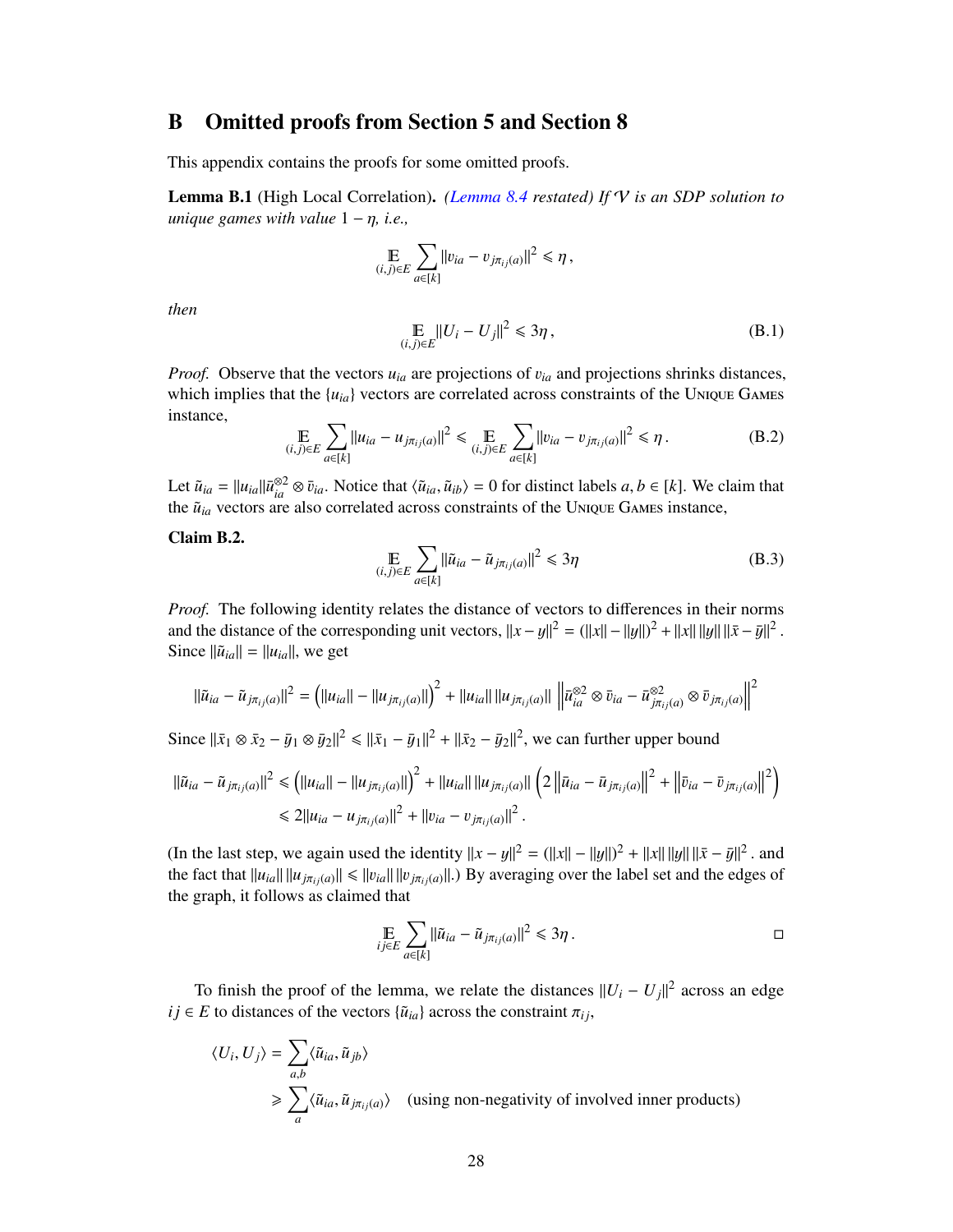# <span id="page-29-0"></span>B Omitted proofs from Section 5 and Section 8

This appendix contains the proofs for some omitted proofs.

Lemma B.1 (High Local Correlation). *[\(Lemma 8.4](#page-23-1) restated) If* V *is an SDP solution to unique games with value* <sup>1</sup> <sup>−</sup> η*, i.e.,*

$$
\mathop{\mathbb{E}}_{(i,j)\in E} \sum_{a\in[k]} \|v_{ia} - v_{j\pi_{ij}(a)}\|^2 \leq \eta,
$$

*then*

$$
\mathbb{E}_{(i,j)\in E}||U_i - U_j||^2 \leq 3\eta\,,\tag{B.1}
$$

*Proof.* Observe that the vectors *<sup>u</sup>ia* are projections of <sup>v</sup>*ia* and projections shrinks distances, which implies that the  $\{u_{ia}\}$  vectors are correlated across constraints of the Unique Games instance,

$$
\mathop{\mathbb{E}}_{(i,j)\in E} \sum_{a\in[k]} ||u_{ia} - u_{j\pi_{ij}(a)}||^2 \le \mathop{\mathbb{E}}_{(i,j)\in E} \sum_{a\in[k]} ||v_{ia} - v_{j\pi_{ij}(a)}||^2 \le \eta.
$$
 (B.2)

Let  $\tilde{u}_{ia} = ||u_{ia}|| \bar{u}_{ia}^{\otimes 2} \otimes \bar{v}_{ia}$ . Notice that  $\langle \tilde{u}_{ia}, \tilde{u}_{ib} \rangle = 0$  for distinct labels  $a, b \in [k]$ . We claim that the  $\tilde{u}_{ia}$ , vectors are also correlated across constraints of the UNIOUE GAMES instanc the  $\tilde{u}_{ia}$  vectors are also correlated across constraints of the Unique Games instance,

<span id="page-29-1"></span>Claim B.2.

$$
\mathop{\mathbb{E}}_{(i,j)\in E} \sum_{a\in[k]} \|\tilde{u}_{ia} - \tilde{u}_{j\pi_{ij}(a)}\|^2 \leq 3\eta
$$
\n(B.3)

*Proof.* The following identity relates the distance of vectors to differences in their norms and the distance of the corresponding unit vectors,  $||x - y||^2 = (||x|| - ||y||)^2 + ||x|| ||y|| ||\bar{x} - \bar{y}||^2$ <br>Since  $||\tilde{u}_x|| = ||u_x||$  we get Since  $\|\tilde{u}_{ia}\| = \|u_{ia}\|$ , we get

$$
\|\tilde{u}_{ia} - \tilde{u}_{j\pi_{ij}(a)}\|^2 = \left( \|u_{ia}\| - \|u_{j\pi_{ij}(a)}\| \right)^2 + \|u_{ia}\| \|u_{j\pi_{ij}(a)}\| \left\| \bar{u}_{ia}^{\otimes 2} \otimes \bar{v}_{ia} - \bar{u}_{j\pi_{ij}(a)}^{\otimes 2} \otimes \bar{v}_{j\pi_{ij}(a)} \right\|^2
$$

Since  $\|\bar{x}_1 \otimes \bar{x}_2 - \bar{y}_1 \otimes \bar{y}_2\|^2 \le \|\bar{x}_1 - \bar{y}_1\|^2 + \|\bar{x}_2 - \bar{y}_2\|^2$ , we can further upper bound

$$
\|\tilde{u}_{ia} - \tilde{u}_{j\pi_{ij}(a)}\|^2 \leq (||u_{ia}|| - ||u_{j\pi_{ij}(a)}||)^2 + ||u_{ia}|| ||u_{j\pi_{ij}(a)}|| (2||\bar{u}_{ia} - \bar{u}_{j\pi_{ij}(a)}||^2 + ||\bar{v}_{ia} - \bar{v}_{j\pi_{ij}(a)}||^2)
$$
  

$$
\leq 2||u_{ia} - u_{j\pi_{ij}(a)}||^2 + ||v_{ia} - v_{j\pi_{ij}(a)}||^2.
$$

(In the last step, we again used the identity  $||x - y||^2 = (||x|| - ||y||)^2 + ||x|| ||y|| ||\bar{x} - \bar{y}||^2$ , and the fact that  $||u|| ||u|| \le ||x|| ||\bar{x}||$ . the fact that  $||u_{ia}|| ||u_{j\pi_{i}(a)}|| \le ||v_{ia}|| ||v_{j\pi_{i}(a)}||$ .) By averaging over the label set and the edges of the graph, it follows as claimed that

$$
\mathop{\mathbb{E}}_{ij\in E}\sum_{a\in[k]}||\tilde{u}_{ia}-\tilde{u}_{j\pi_{ij}(a)}||^2\leq 3\eta\,.
$$

To finish the proof of the lemma, we relate the distances  $||U_i - U_j||^2$  across an edge  $ij \in E$  to distances of the vectors  $\{\tilde{u}_{ia}\}$  across the constraint  $\pi_{ij}$ ,

$$
\langle U_i, U_j \rangle = \sum_{a,b} \langle \tilde{u}_{ia}, \tilde{u}_{jb} \rangle
$$
  
\n
$$
\geq \sum_a \langle \tilde{u}_{ia}, \tilde{u}_{j\pi_{ij}(a)} \rangle \quad \text{(using non-negativity of involved inner products)}
$$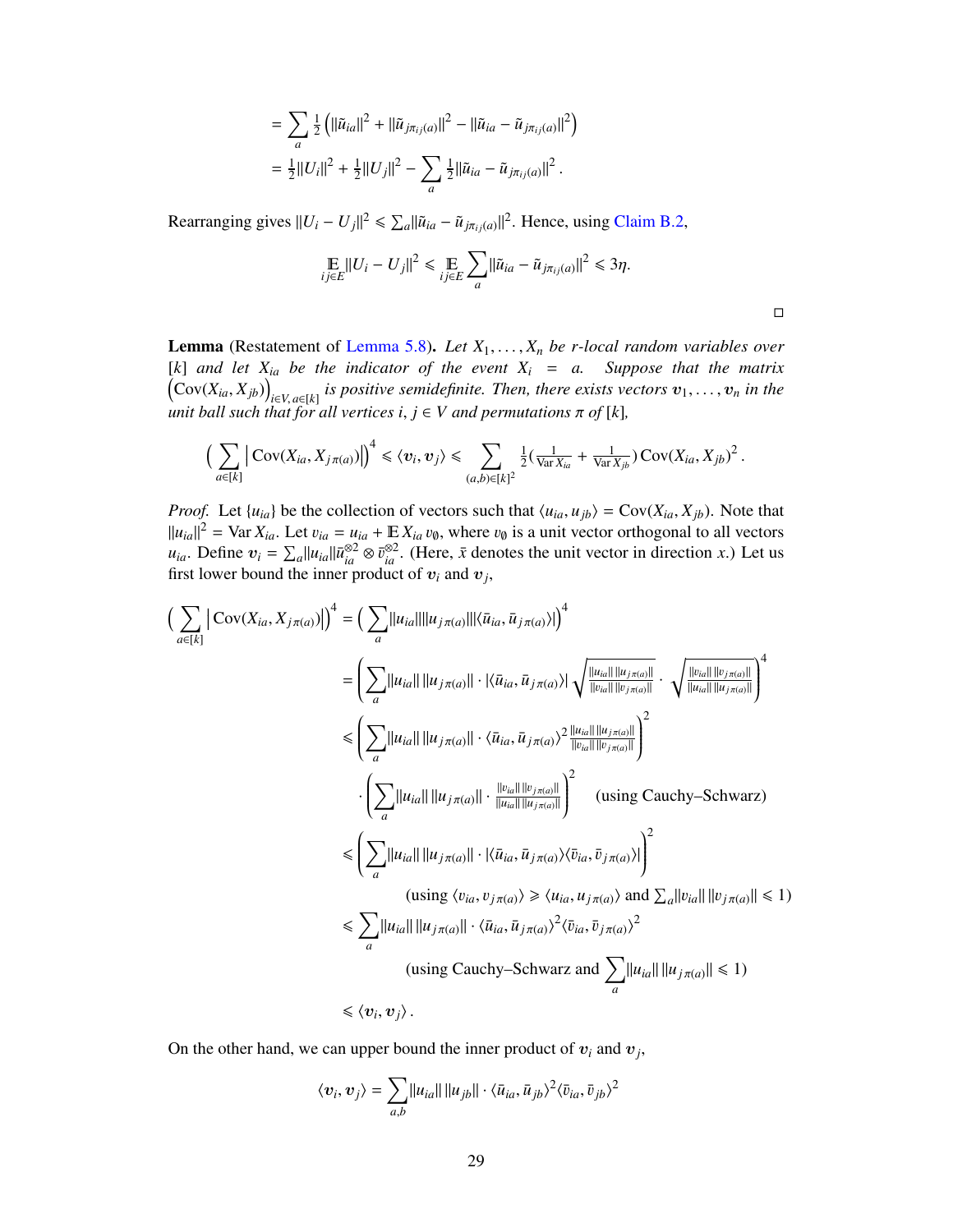$$
= \sum_{a} \frac{1}{2} \left( ||\tilde{u}_{ia}||^{2} + ||\tilde{u}_{j\pi_{ij}(a)}||^{2} - ||\tilde{u}_{ia} - \tilde{u}_{j\pi_{ij}(a)}||^{2} \right)
$$
  

$$
= \frac{1}{2} ||U_{i}||^{2} + \frac{1}{2} ||U_{j}||^{2} - \sum_{a} \frac{1}{2} ||\tilde{u}_{ia} - \tilde{u}_{j\pi_{ij}(a)}||^{2}.
$$

Rearranging gives  $||U_i - U_j||^2 \le \sum_a ||\tilde{u}_{ia} - \tilde{u}_{j\pi_{ij}(a)}||^2$ . Hence, using [Claim B.2,](#page-29-1)

$$
\mathop{\mathbb{E}}_{ij\in E}||U_i - U_j||^2 \le \mathop{\mathbb{E}}_{ij\in E} \sum_{a} ||\tilde{u}_{ia} - \tilde{u}_{j\pi_{ij}(a)}||^2 \le 3\eta.
$$

 $\Box$ 

Lemma (Restatement of [Lemma 5.8\)](#page-16-1). *Let <sup>X</sup>*1, . . . , *<sup>X</sup><sup>n</sup> be r-local random variables over*  $[K]$  *and let*  $X_{ia}$  *be the indicator of the event*  $X_i = a$ . Suppose that the matrix  $\left(\text{Cov}(X_{ia}, X_{jb})\right)_{i \in V, a \in [k]}$  is positive semidefinite. Then, there exists vectors  $v_1, \ldots, v_n$  in the *i unit ball such that for all vertices*  $i, j \in V$  *and permutations*  $\pi$  *of* [*k*]*,* 

$$
\left(\sum_{a\in[k]} \left| \mathrm{Cov}(X_{ia}, X_{j\pi(a)}) \right|\right)^4 \leq \langle v_i, v_j \rangle \leq \sum_{(a,b)\in[k]^2} \frac{1}{2} \left( \frac{1}{\mathrm{Var} X_{ia}} + \frac{1}{\mathrm{Var} X_{jb}} \right) \mathrm{Cov}(X_{ia}, X_{jb})^2.
$$

*Proof.* Let  $\{u_{ia}\}$  be the collection of vectors such that  $\langle u_{ia}, u_{jb} \rangle = \text{Cov}(X_{ia}, X_{jb})$ . Note that  $||u_{ia}||^2$  = Var  $X_{ia}$ . Let  $v_{ia} = u_{ia} + \mathbb{E} X_{ia} v_{\emptyset}$ , where  $v_{\emptyset}$  is a unit vector orthogonal to all vectors  $u_{ia}$ . Define  $v_i = \sum_a ||u_{ia}||\bar{u}_{ia}^{\otimes 2} \otimes \bar{v}_{ia}^{\otimes 2}$ . (Here,  $\bar{x}$  denotes the unit vector in d first lower bound the inner product of  $v_i$  and  $v_j$ ,

$$
\left(\sum_{a \in [k]} |\text{Cov}(X_{ia}, X_{j\pi(a)})|\right)^4 = \left(\sum_a ||u_{ia}|| ||u_{j\pi(a)}|| |\langle \bar{u}_{ia}, \bar{u}_{j\pi(a)}\rangle|\right)^4
$$
  
\n
$$
= \left(\sum_a ||u_{ia}|| ||u_{j\pi(a)}|| \cdot |\langle \bar{u}_{ia}, \bar{u}_{j\pi(a)}\rangle| \sqrt{\frac{||u_{ia}|| ||u_{j\pi(a)}||}{||u_{ia}|| ||u_{j\pi(a)}||}} \cdot \sqrt{\frac{||v_{ia}|| ||v_{j\pi(a)}||}{||u_{ia}|| ||u_{j\pi(a)}||}}\right)^4
$$
  
\n
$$
\leq \left(\sum_a ||u_{ia}|| ||u_{j\pi(a)}|| \cdot \langle \bar{u}_{ia}, \bar{u}_{j\pi(a)}\rangle^2 \frac{||u_{ia}|| ||u_{j\pi(a)}||}{||v_{ia}|| ||v_{j\pi(a)}||}\right)^2
$$
  
\n
$$
\cdot \left(\sum_a ||u_{ia}|| ||u_{j\pi(a)}|| \cdot \frac{||v_{ia}|| ||v_{j\pi(a)}||}{||u_{ia}|| ||u_{j\pi(a)}||}\right)^2 \quad \text{(using Cauchy–Schwarz)}
$$
  
\n
$$
\leq \left(\sum_a ||u_{ia}|| ||u_{j\pi(a)}|| \cdot |\langle \bar{u}_{ia}, \bar{u}_{j\pi(a)}\rangle \langle \bar{v}_{ia}, \bar{v}_{j\pi(a)}\rangle|\right)^2
$$
  
\n
$$
\left(\text{using } \langle v_{ia}, v_{j\pi(a)}\rangle \geq \langle u_{ia}, u_{j\pi(a)}\rangle \text{ and } \sum_a ||v_{ia}|| ||v_{j\pi(a)}|| \leq 1\right)
$$
  
\n
$$
\leq \sum_a ||u_{ia}|| ||u_{j\pi(a)}|| \cdot \langle \bar{u}_{ia}, \bar{u}_{j\pi(a)}\rangle^2 \langle \bar{v}_{ia}, \bar{v}_{j\pi(a)}\rangle^2
$$
  
\n
$$
\left(\text{using Cauchy–Schwarz and } \sum_a ||u_{ia}|| ||u_{j\pi(a)}|| \leq 1\right)
$$
  
\n
$$
\leq \langle v_i, v_j \rangle.
$$

On the other hand, we can upper bound the inner product of  $v_i$  and  $v_j$ ,

$$
\langle v_i, v_j \rangle = \sum_{a,b} ||u_{ia}|| ||u_{jb}|| \cdot \langle \bar{u}_{ia}, \bar{u}_{jb} \rangle^2 \langle \bar{v}_{ia}, \bar{v}_{jb} \rangle^2
$$